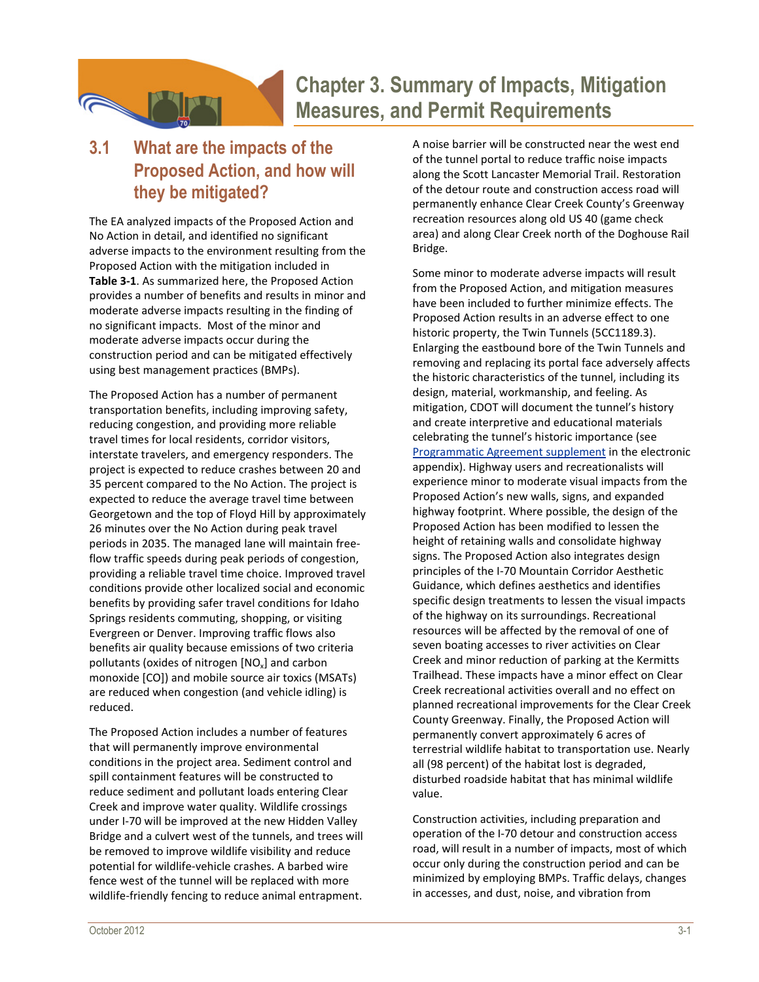

# **Chapter 3. Summary of Impacts, Mitigation Measures, and Permit Requirements**

## **3.1 What are the impacts of the Proposed Action, and how will they be mitigated?**

The EA analyzed impacts of the Proposed Action and No Action in detail, and identified no significant adverse impacts to the environment resulting from the Proposed Action with the mitigation included in **Table 3-1**. As summarized here, the Proposed Action provides a number of benefits and results in minor and moderate adverse impacts resulting in the finding of no significant impacts. Most of the minor and moderate adverse impacts occur during the construction period and can be mitigated effectively using best management practices (BMPs).

The Proposed Action has a number of permanent transportation benefits, including improving safety, reducing congestion, and providing more reliable travel times for local residents, corridor visitors, interstate travelers, and emergency responders. The project is expected to reduce crashes between 20 and 35 percent compared to the No Action. The project is expected to reduce the average travel time between Georgetown and the top of Floyd Hill by approximately 26 minutes over the No Action during peak travel periods in 2035. The managed lane will maintain freeflow traffic speeds during peak periods of congestion, providing a reliable travel time choice. Improved travel conditions provide other localized social and economic benefits by providing safer travel conditions for Idaho Springs residents commuting, shopping, or visiting Evergreen or Denver. Improving traffic flows also benefits air quality because emissions of two criteria pollutants (oxides of nitrogen  $[NO_x]$  and carbon monoxide [CO]) and mobile source air toxics (MSATs) are reduced when congestion (and vehicle idling) is reduced.

The Proposed Action includes a number of features that will permanently improve environmental conditions in the project area. Sediment control and spill containment features will be constructed to reduce sediment and pollutant loads entering Clear Creek and improve water quality. Wildlife crossings under I-70 will be improved at the new Hidden Valley Bridge and a culvert west of the tunnels, and trees will be removed to improve wildlife visibility and reduce potential for wildlife-vehicle crashes. A barbed wire fence west of the tunnel will be replaced with more wildlife-friendly fencing to reduce animal entrapment. A noise barrier will be constructed near the west end of the tunnel portal to reduce traffic noise impacts along the Scott Lancaster Memorial Trail. Restoration of the detour route and construction access road will permanently enhance Clear Creek County's Greenway recreation resources along old US 40 (game check area) and along Clear Creek north of the Doghouse Rail Bridge.

Some minor to moderate adverse impacts will result from the Proposed Action, and mitigation measures have been included to further minimize effects. The Proposed Action results in an adverse effect to one historic property, the Twin Tunnels (5CC1189.3). Enlarging the eastbound bore of the Twin Tunnels and removing and replacing its portal face adversely affects the historic characteristics of the tunnel, including its design, material, workmanship, and feeling. As mitigation, CDOT will document the tunnel's history and create interpretive and educational materials celebrating the tunnel's historic importance (see Programmatic Agreement supplement in the electronic appendix). Highway users and recreationalists will experience minor to moderate visual impacts from the Proposed Action's new walls, signs, and expanded highway footprint. Where possible, the design of the Proposed Action has been modified to lessen the height of retaining walls and consolidate highway signs. The Proposed Action also integrates design principles of the I-70 Mountain Corridor Aesthetic Guidance, which defines aesthetics and identifies specific design treatments to lessen the visual impacts of the highway on its surroundings. Recreational resources will be affected by the removal of one of seven boating accesses to river activities on Clear Creek and minor reduction of parking at the Kermitts Trailhead. These impacts have a minor effect on Clear Creek recreational activities overall and no effect on planned recreational improvements for the Clear Creek County Greenway. Finally, the Proposed Action will permanently convert approximately 6 acres of terrestrial wildlife habitat to transportation use. Nearly all (98 percent) of the habitat lost is degraded, disturbed roadside habitat that has minimal wildlife value.

Construction activities, including preparation and operation of the I-70 detour and construction access road, will result in a number of impacts, most of which occur only during the construction period and can be minimized by employing BMPs. Traffic delays, changes in accesses, and dust, noise, and vibration from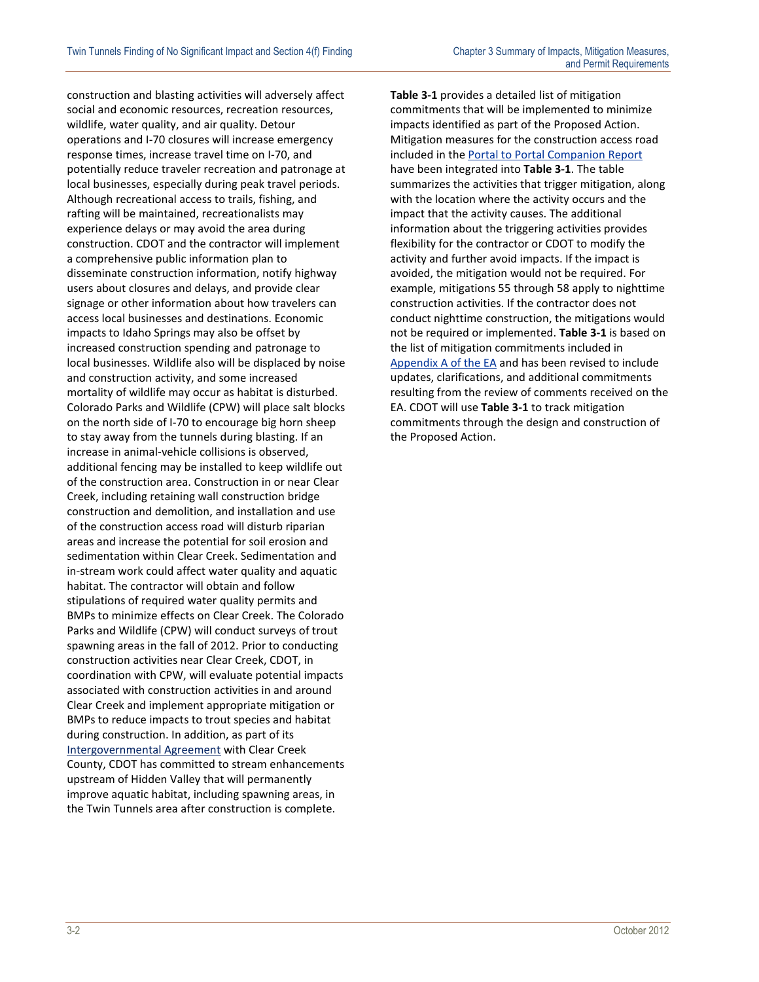construction and blasting activities will adversely affect social and economic resources, recreation resources, wildlife, water quality, and air quality. Detour operations and I-70 closures will increase emergency response times, increase travel time on I-70, and potentially reduce traveler recreation and patronage at local businesses, especially during peak travel periods. Although recreational access to trails, fishing, and rafting will be maintained, recreationalists may experience delays or may avoid the area during construction. CDOT and the contractor will implement a comprehensive public information plan to disseminate construction information, notify highway users about closures and delays, and provide clear signage or other information about how travelers can access local businesses and destinations. Economic impacts to Idaho Springs may also be offset by increased construction spending and patronage to local businesses. Wildlife also will be displaced by noise and construction activity, and some increased mortality of wildlife may occur as habitat is disturbed. Colorado Parks and Wildlife (CPW) will place salt blocks on the north side of I-70 to encourage big horn sheep to stay away from the tunnels during blasting. If an increase in animal-vehicle collisions is observed, additional fencing may be installed to keep wildlife out of the construction area. Construction in or near Clear Creek, including retaining wall construction bridge construction and demolition, and installation and use of the construction access road will disturb riparian areas and increase the potential for soil erosion and sedimentation within Clear Creek. Sedimentation and in-stream work could affect water quality and aquatic habitat. The contractor will obtain and follow stipulations of required water quality permits and BMPs to minimize effects on Clear Creek. The Colorado Parks and Wildlife (CPW) will conduct surveys of trout spawning areas in the fall of 2012. Prior to conducting construction activities near Clear Creek, CDOT, in coordination with CPW, will evaluate potential impacts associated with construction activities in and around Clear Creek and implement appropriate mitigation or BMPs to reduce impacts to trout species and habitat during construction. In addition, as part of its Intergovernmental Agreement with Clear Creek County, CDOT has committed to stream enhancements upstream of Hidden Valley that will permanently improve aquatic habitat, including spawning areas, in the Twin Tunnels area after construction is complete.

**Table 3-1** provides a detailed list of mitigation commitments that will be implemented to minimize impacts identified as part of the Proposed Action. Mitigation measures for the construction access road included in the **Portal to Portal Companion Report** have been integrated into **Table 3-1**. The table summarizes the activities that trigger mitigation, along with the location where the activity occurs and the impact that the activity causes. The additional information about the triggering activities provides flexibility for the contractor or CDOT to modify the activity and further avoid impacts. If the impact is avoided, the mitigation would not be required. For example, mitigations 55 through 58 apply to nighttime construction activities. If the contractor does not conduct nighttime construction, the mitigations would not be required or implemented. **Table 3-1** is based on the list of mitigation commitments included in Appendix A of the EA and has been revised to include updates, clarifications, and additional commitments resulting from the review of comments received on the EA. CDOT will use **Table 3-1** to track mitigation commitments through the design and construction of the Proposed Action.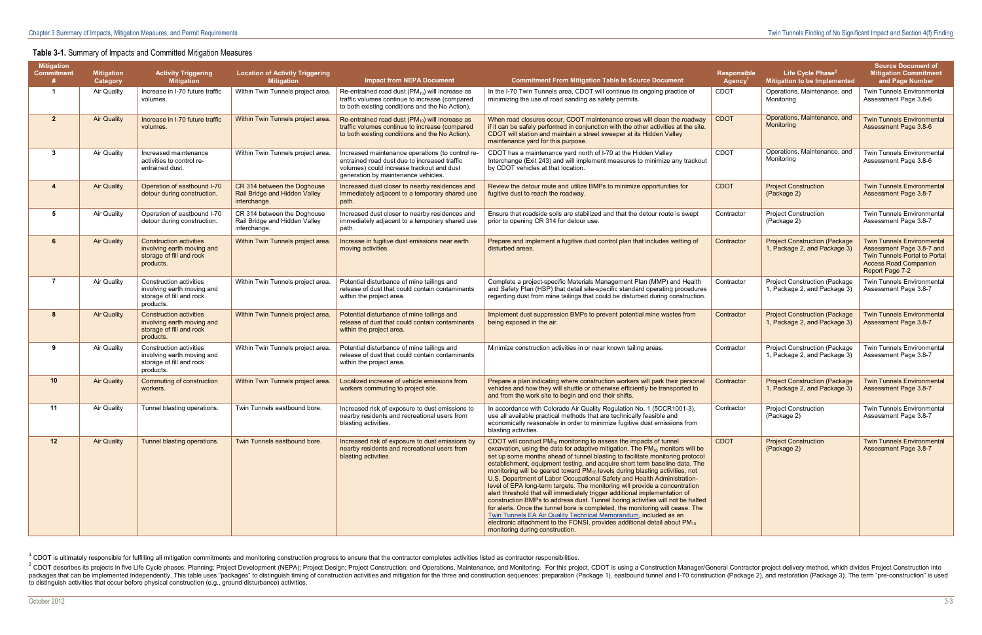#### **Table 3-1.** Summary of Impacts and Committed Mitigation Measures

| <b>Mitigation</b><br>Commitment | <b>Mitigation</b><br>Category | <b>Activity Triggering</b><br><b>Mitigation</b>                                                       | <b>Location of Activity Triggering</b><br><b>Mitigation</b>                  | <b>Impact from NEPA Document</b>                                                                                                                                                     | <b>Commitment From Mitigation Table In Source Document</b>                                                                                                                                                                                                                                                                                                                                                                                                                                                                                                                                                                                                                                                                                                                                                                                                                                                                                                                                                                                 | <b>Responsible</b><br><b>Agency</b> | Life Cycle Phase <sup>2</sup><br>Mitigation to be Implemented         | <b>Source Document of</b><br><b>Mitigation Commitment</b><br>and Page Number                                                                       |
|---------------------------------|-------------------------------|-------------------------------------------------------------------------------------------------------|------------------------------------------------------------------------------|--------------------------------------------------------------------------------------------------------------------------------------------------------------------------------------|--------------------------------------------------------------------------------------------------------------------------------------------------------------------------------------------------------------------------------------------------------------------------------------------------------------------------------------------------------------------------------------------------------------------------------------------------------------------------------------------------------------------------------------------------------------------------------------------------------------------------------------------------------------------------------------------------------------------------------------------------------------------------------------------------------------------------------------------------------------------------------------------------------------------------------------------------------------------------------------------------------------------------------------------|-------------------------------------|-----------------------------------------------------------------------|----------------------------------------------------------------------------------------------------------------------------------------------------|
| -1                              | Air Quality                   | Increase in I-70 future traffic<br>volumes.                                                           | Within Twin Tunnels project area                                             | Re-entrained road dust $(PM_{10})$ will increase as<br>traffic volumes continue to increase (compared<br>to both existing conditions and the No Action).                             | In the I-70 Twin Tunnels area, CDOT will continue its ongoing practice of<br>minimizing the use of road sanding as safety permits.                                                                                                                                                                                                                                                                                                                                                                                                                                                                                                                                                                                                                                                                                                                                                                                                                                                                                                         | <b>CDOT</b>                         | Operations, Maintenance, and<br>Monitoring                            | <b>Twin Tunnels Environmental</b><br>Assessment Page 3.8-6                                                                                         |
| $\overline{2}$                  | <b>Air Quality</b>            | Increase in I-70 future traffic<br>volumes.                                                           | Within Twin Tunnels project area                                             | Re-entrained road dust (PM <sub>10</sub> ) will increase as<br>traffic volumes continue to increase (compared<br>to both existing conditions and the No Action).                     | When road closures occur, CDOT maintenance crews will clean the roadway<br>if it can be safely performed in conjunction with the other activities at the site.<br>CDOT will station and maintain a street sweeper at its Hidden Valley<br>maintenance yard for this purpose.                                                                                                                                                                                                                                                                                                                                                                                                                                                                                                                                                                                                                                                                                                                                                               | <b>CDOT</b>                         | Operations, Maintenance, and<br>Monitoring                            | <b>Twin Tunnels Environmental</b><br>Assessment Page 3.8-6                                                                                         |
| -3                              | Air Quality                   | Increased maintenance<br>activities to control re-<br>entrained dust.                                 | Within Twin Tunnels project area.                                            | Increased maintenance operations (to control re-<br>entrained road dust due to increased traffic<br>volumes) could increase trackout and dust<br>generation by maintenance vehicles. | CDOT has a maintenance yard north of I-70 at the Hidden Valley<br>Interchange (Exit 243) and will implement measures to minimize any trackout<br>by CDOT vehicles at that location.                                                                                                                                                                                                                                                                                                                                                                                                                                                                                                                                                                                                                                                                                                                                                                                                                                                        | CDOT                                | Operations, Maintenance, and<br>Monitoring                            | <b>Twin Tunnels Environmental</b><br>Assessment Page 3.8-6                                                                                         |
| $\overline{4}$                  | <b>Air Quality</b>            | Operation of eastbound I-70<br>detour during construction.                                            | CR 314 between the Doghouse<br>Rail Bridge and Hidden Valley<br>interchange. | Increased dust closer to nearby residences and<br>immediately adjacent to a temporary shared use<br>path.                                                                            | Review the detour route and utilize BMPs to minimize opportunities for<br>fugitive dust to reach the roadway.                                                                                                                                                                                                                                                                                                                                                                                                                                                                                                                                                                                                                                                                                                                                                                                                                                                                                                                              | <b>CDOT</b>                         | <b>Project Construction</b><br>(Package 2)                            | <b>Twin Tunnels Environmental</b><br>Assessment Page 3.8-7                                                                                         |
| 5                               | Air Quality                   | Operation of eastbound I-70<br>detour during construction.                                            | CR 314 between the Doghouse<br>Rail Bridge and Hidden Valley<br>interchange. | Increased dust closer to nearby residences and<br>immediately adjacent to a temporary shared use<br>path.                                                                            | Ensure that roadside soils are stabilized and that the detour route is swept<br>prior to opening CR 314 for detour use.                                                                                                                                                                                                                                                                                                                                                                                                                                                                                                                                                                                                                                                                                                                                                                                                                                                                                                                    | Contractor                          | <b>Project Construction</b><br>(Package 2)                            | <b>Twin Tunnels Environmental</b><br>Assessment Page 3.8-7                                                                                         |
| 6                               | <b>Air Quality</b>            | <b>Construction activities</b><br>involving earth moving and<br>storage of fill and rock<br>products. | Within Twin Tunnels project area                                             | Increase in fugitive dust emissions near earth<br>moving activities.                                                                                                                 | Prepare and implement a fugitive dust control plan that includes wetting of<br>disturbed areas.                                                                                                                                                                                                                                                                                                                                                                                                                                                                                                                                                                                                                                                                                                                                                                                                                                                                                                                                            | Contractor                          | <b>Project Construction (Package)</b><br>1, Package 2, and Package 3) | <b>Twin Tunnels Environmental</b><br>Assessment Page 3.8-7 and<br>Twin Tunnels Portal to Portal<br><b>Access Road Companion</b><br>Report Page 7-2 |
| $\overline{7}$                  | Air Quality                   | <b>Construction activities</b><br>involving earth moving and<br>storage of fill and rock<br>products. | Within Twin Tunnels project area.                                            | Potential disturbance of mine tailings and<br>release of dust that could contain contaminants<br>within the project area.                                                            | Complete a project-specific Materials Management Plan (MMP) and Health<br>and Safety Plan (HSP) that detail site-specific standard operating procedures<br>regarding dust from mine tailings that could be disturbed during construction.                                                                                                                                                                                                                                                                                                                                                                                                                                                                                                                                                                                                                                                                                                                                                                                                  | Contractor                          | <b>Project Construction (Package)</b><br>1, Package 2, and Package 3) | <b>Twin Tunnels Environmental</b><br>Assessment Page 3.8-7                                                                                         |
| $\mathbf{R}$                    | <b>Air Quality</b>            | <b>Construction activities</b><br>involving earth moving and<br>storage of fill and rock<br>products. | Within Twin Tunnels project area.                                            | Potential disturbance of mine tailings and<br>release of dust that could contain contaminants<br>within the project area.                                                            | Implement dust suppression BMPs to prevent potential mine wastes from<br>being exposed in the air.                                                                                                                                                                                                                                                                                                                                                                                                                                                                                                                                                                                                                                                                                                                                                                                                                                                                                                                                         | Contractor                          | <b>Project Construction (Package)</b><br>1, Package 2, and Package 3) | <b>Twin Tunnels Environmental</b><br>Assessment Page 3.8-7                                                                                         |
| -9                              | Air Quality                   | <b>Construction activities</b><br>involving earth moving and<br>storage of fill and rock<br>products. | Within Twin Tunnels project area.                                            | Potential disturbance of mine tailings and<br>release of dust that could contain contaminants<br>within the project area.                                                            | Minimize construction activities in or near known tailing areas.                                                                                                                                                                                                                                                                                                                                                                                                                                                                                                                                                                                                                                                                                                                                                                                                                                                                                                                                                                           | Contractor                          | <b>Project Construction (Package)</b><br>1, Package 2, and Package 3) | <b>Twin Tunnels Environmental</b><br>Assessment Page 3.8-7                                                                                         |
| 10 <sup>1</sup>                 | <b>Air Quality</b>            | Commuting of construction<br>workers.                                                                 | Within Twin Tunnels project area.                                            | Localized increase of vehicle emissions from<br>workers commuting to project site.                                                                                                   | Prepare a plan indicating where construction workers will park their personal<br>vehicles and how they will shuttle or otherwise efficiently be transported to<br>and from the work site to begin and end their shifts.                                                                                                                                                                                                                                                                                                                                                                                                                                                                                                                                                                                                                                                                                                                                                                                                                    | Contractor                          | <b>Project Construction (Package)</b><br>1, Package 2, and Package 3) | <b>Twin Tunnels Environmental</b><br>Assessment Page 3.8-7                                                                                         |
| 11                              | Air Quality                   | Tunnel blasting operations.                                                                           | Twin Tunnels eastbound bore                                                  | Increased risk of exposure to dust emissions to<br>nearby residents and recreational users from<br>blasting activities.                                                              | In accordance with Colorado Air Quality Regulation No. 1 (5CCR1001-3).<br>use all available practical methods that are technically feasible and<br>economically reasonable in order to minimize fugitive dust emissions from<br>blasting activities.                                                                                                                                                                                                                                                                                                                                                                                                                                                                                                                                                                                                                                                                                                                                                                                       | Contractor                          | <b>Project Construction</b><br>(Package 2)                            | <b>Twin Tunnels Environmental</b><br>Assessment Page 3.8-7                                                                                         |
| 12                              | <b>Air Quality</b>            | Tunnel blasting operations.                                                                           | Twin Tunnels eastbound bore.                                                 | Increased risk of exposure to dust emissions by<br>nearby residents and recreational users from<br>blasting activities.                                                              | CDOT will conduct PM <sub>10</sub> monitoring to assess the impacts of tunnel<br>excavation, using the data for adaptive mitigation. The $PM_{10}$ monitors will be<br>set up some months ahead of tunnel blasting to facilitate monitoring protocol<br>establishment, equipment testing, and acquire short term baseline data. The<br>monitoring will be geared toward PM <sub>10</sub> levels during blasting activities, not<br>U.S. Department of Labor Occupational Safety and Health Administration-<br>level of EPA long-term targets. The monitoring will provide a concentration<br>alert threshold that will immediately trigger additional implementation of<br>construction BMPs to address dust. Tunnel boring activities will not be halted<br>for alerts. Once the tunnel bore is completed, the monitoring will cease. The<br>Twin Tunnels EA Air Quality Technical Memorandum, included as an<br>electronic attachment to the FONSI, provides additional detail about PM <sub>10</sub><br>monitoring during construction. | <b>CDOT</b>                         | <b>Project Construction</b><br>(Package 2)                            | <b>Twin Tunnels Environmental</b><br>Assessment Page 3.8-7                                                                                         |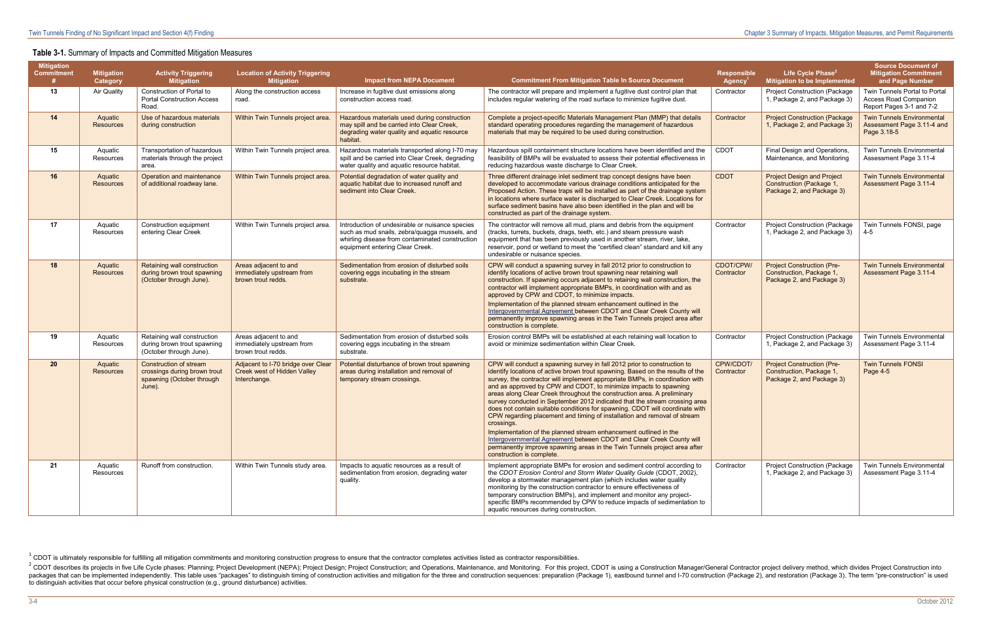### **Table 3-1.** Summary of Impacts and Committed Mitigation Measures

| <b>Mitigation</b><br>Commitment | <b>Mitigation</b><br>Category | <b>Activity Triggering</b><br><b>Mitigation</b>                                                      | <b>Location of Activity Triggering</b><br><b>Mitigation</b>                       | <b>Impact from NEPA Document</b>                                                                                                                                                       | <b>Commitment From Mitigation Table In Source Document</b>                                                                                                                                                                                                                                                                                                                                                                                                                                                                                                                                                                                                                                                                                                                                                                                                                                              | <b>Responsible</b><br><b>Agency</b> | Life Cycle Phase <sup>2</sup><br>Mitigation to be Implemented                              | <b>Source Document of</b><br><b>Mitigation Commitment</b><br>and Page Number              |
|---------------------------------|-------------------------------|------------------------------------------------------------------------------------------------------|-----------------------------------------------------------------------------------|----------------------------------------------------------------------------------------------------------------------------------------------------------------------------------------|---------------------------------------------------------------------------------------------------------------------------------------------------------------------------------------------------------------------------------------------------------------------------------------------------------------------------------------------------------------------------------------------------------------------------------------------------------------------------------------------------------------------------------------------------------------------------------------------------------------------------------------------------------------------------------------------------------------------------------------------------------------------------------------------------------------------------------------------------------------------------------------------------------|-------------------------------------|--------------------------------------------------------------------------------------------|-------------------------------------------------------------------------------------------|
| 13                              | Air Quality                   | Construction of Portal to<br><b>Portal Construction Access</b><br>Road.                              | Along the construction access<br>road.                                            | Increase in fugitive dust emissions along<br>construction access road.                                                                                                                 | The contractor will prepare and implement a fugitive dust control plan that<br>includes regular watering of the road surface to minimize fugitive dust.                                                                                                                                                                                                                                                                                                                                                                                                                                                                                                                                                                                                                                                                                                                                                 | Contractor                          | <b>Project Construction (Package</b><br>1, Package 2, and Package 3)                       | Twin Tunnels Portal to Portal<br><b>Access Road Companion</b><br>Report Pages 3-1 and 7-2 |
| 14                              | Aquatic<br><b>Resources</b>   | Use of hazardous materials<br>during construction                                                    | Within Twin Tunnels project area                                                  | Hazardous materials used during construction<br>may spill and be carried into Clear Creek,<br>degrading water quality and aquatic resource<br>habitat.                                 | Complete a project-specific Materials Management Plan (MMP) that details<br>standard operating procedures regarding the management of hazardous<br>materials that may be required to be used during construction.                                                                                                                                                                                                                                                                                                                                                                                                                                                                                                                                                                                                                                                                                       | Contractor                          | <b>Project Construction (Package)</b><br>1, Package 2, and Package 3)                      | <b>Twin Tunnels Environmental</b><br>Assessment Page 3.11-4 and<br>Page 3.18-5            |
| 15                              | Aquatic<br>Resources          | Transportation of hazardous<br>materials through the project<br>area.                                | Within Twin Tunnels project area.                                                 | Hazardous materials transported along I-70 may<br>spill and be carried into Clear Creek, degrading<br>water quality and aquatic resource habitat.                                      | Hazardous spill containment structure locations have been identified and the<br>feasibility of BMPs will be evaluated to assess their potential effectiveness in<br>reducing hazardous waste discharge to Clear Creek.                                                                                                                                                                                                                                                                                                                                                                                                                                                                                                                                                                                                                                                                                  | CDOT                                | Final Design and Operations,<br>Maintenance, and Monitoring                                | <b>Twin Tunnels Environmental</b><br>Assessment Page 3.11-4                               |
| 16                              | Aquatic<br><b>Resources</b>   | Operation and maintenance<br>of additional roadway lane.                                             | Within Twin Tunnels project area.                                                 | Potential degradation of water quality and<br>aquatic habitat due to increased runoff and<br>sediment into Clear Creek.                                                                | Three different drainage inlet sediment trap concept designs have been<br>developed to accommodate various drainage conditions anticipated for the<br>Proposed Action. These traps will be installed as part of the drainage system<br>in locations where surface water is discharged to Clear Creek. Locations for<br>surface sediment basins have also been identified in the plan and will be<br>constructed as part of the drainage system.                                                                                                                                                                                                                                                                                                                                                                                                                                                         | <b>CDOT</b>                         | <b>Project Design and Project</b><br>Construction (Package 1,<br>Package 2, and Package 3) | <b>Twin Tunnels Environmental</b><br>Assessment Page 3.11-4                               |
| 17                              | Aquatic<br>Resources          | Construction equipment<br>entering Clear Creek                                                       | Within Twin Tunnels project area.                                                 | Introduction of undesirable or nuisance species<br>such as mud snails, zebra/quagga mussels, and<br>whirling disease from contaminated construction<br>equipment entering Clear Creek. | The contractor will remove all mud, plans and debris from the equipment<br>(tracks, turrets, buckets, drags, teeth, etc.) and steam pressure wash<br>equipment that has been previously used in another stream, river, lake,<br>reservoir, pond or wetland to meet the "certified clean" standard and kill any<br>undesirable or nuisance species.                                                                                                                                                                                                                                                                                                                                                                                                                                                                                                                                                      | Contractor                          | <b>Project Construction (Package)</b><br>1, Package 2, and Package 3)                      | Twin Tunnels FONSI, page<br>$4 - 5$                                                       |
| 18                              | Aquatic<br><b>Resources</b>   | Retaining wall construction<br>during brown trout spawning<br>(October through June).                | Areas adjacent to and<br>immediately upstream from<br>brown trout redds.          | Sedimentation from erosion of disturbed soils<br>covering eggs incubating in the stream<br>substrate.                                                                                  | CPW will conduct a spawning survey in fall 2012 prior to construction to<br>identify locations of active brown trout spawning near retaining wall<br>construction. If spawning occurs adjacent to retaining wall construction, the<br>contractor will implement appropriate BMPs, in coordination with and as<br>approved by CPW and CDOT, to minimize impacts.<br>Implementation of the planned stream enhancement outlined in the<br>Intergovernmental Agreement between CDOT and Clear Creek County will<br>permanently improve spawning areas in the Twin Tunnels project area after<br>construction is complete.                                                                                                                                                                                                                                                                                   | CDOT/CPW/<br>Contractor             | <b>Project Construction (Pre-</b><br>Construction, Package 1,<br>Package 2, and Package 3) | <b>Twin Tunnels Environmental</b><br>Assessment Page 3.11-4                               |
| 19                              | Aquatic<br>Resources          | Retaining wall construction<br>during brown trout spawning<br>(October through June).                | Areas adjacent to and<br>immediately upstream from<br>brown trout redds.          | Sedimentation from erosion of disturbed soils<br>covering eggs incubating in the stream<br>substrate.                                                                                  | Erosion control BMPs will be established at each retaining wall location to<br>avoid or minimize sedimentation within Clear Creek.                                                                                                                                                                                                                                                                                                                                                                                                                                                                                                                                                                                                                                                                                                                                                                      | Contractor                          | <b>Project Construction (Package</b><br>1, Package 2, and Package 3)                       | <b>Twin Tunnels Environmental</b><br>Assessment Page 3.11-4                               |
| 20                              | Aquatic<br><b>Resources</b>   | <b>Construction of stream</b><br>crossings during brown trout<br>spawning (October through<br>June). | Adjacent to I-70 bridge over Clear<br>Creek west of Hidden Valley<br>Interchange. | Potential disturbance of brown trout spawning<br>areas during installation and removal of<br>temporary stream crossings.                                                               | CPW will conduct a spawning survey in fall 2012 prior to construction to<br>identify locations of active brown trout spawning. Based on the results of the<br>survey, the contractor will implement appropriate BMPs, in coordination with<br>and as approved by CPW and CDOT, to minimize impacts to spawning<br>areas along Clear Creek throughout the construction area. A preliminary<br>survey conducted in September 2012 indicated that the stream crossing area<br>does not contain suitable conditions for spawning. CDOT will coordinate with<br>CPW regarding placement and timing of installation and removal of stream<br>crossings.<br>Implementation of the planned stream enhancement outlined in the<br>Intergovernmental Agreement between CDOT and Clear Creek County will<br>permanently improve spawning areas in the Twin Tunnels project area after<br>construction is complete. | CPW/CDOT/<br>Contractor             | <b>Project Construction (Pre-</b><br>Construction, Package 1,<br>Package 2, and Package 3) | <b>Twin Tunnels FONSI</b><br>Page 4-5                                                     |
| 21                              | Aquatic<br>Resources          | Runoff from construction.                                                                            | Within Twin Tunnels study area.                                                   | Impacts to aquatic resources as a result of<br>sedimentation from erosion, degrading water<br>quality.                                                                                 | Implement appropriate BMPs for erosion and sediment control according to<br>the CDOT Erosion Control and Storm Water Quality Guide (CDOT, 2002),<br>develop a stormwater management plan (which includes water quality<br>monitoring by the construction contractor to ensure effectiveness of<br>temporary construction BMPs), and implement and monitor any project-<br>specific BMPs recommended by CPW to reduce impacts of sedimentation to<br>aquatic resources during construction.                                                                                                                                                                                                                                                                                                                                                                                                              | Contractor                          | Project Construction (Package<br>1, Package 2, and Package 3)                              | <b>Twin Tunnels Environmental</b><br>Assessment Page 3.11-4                               |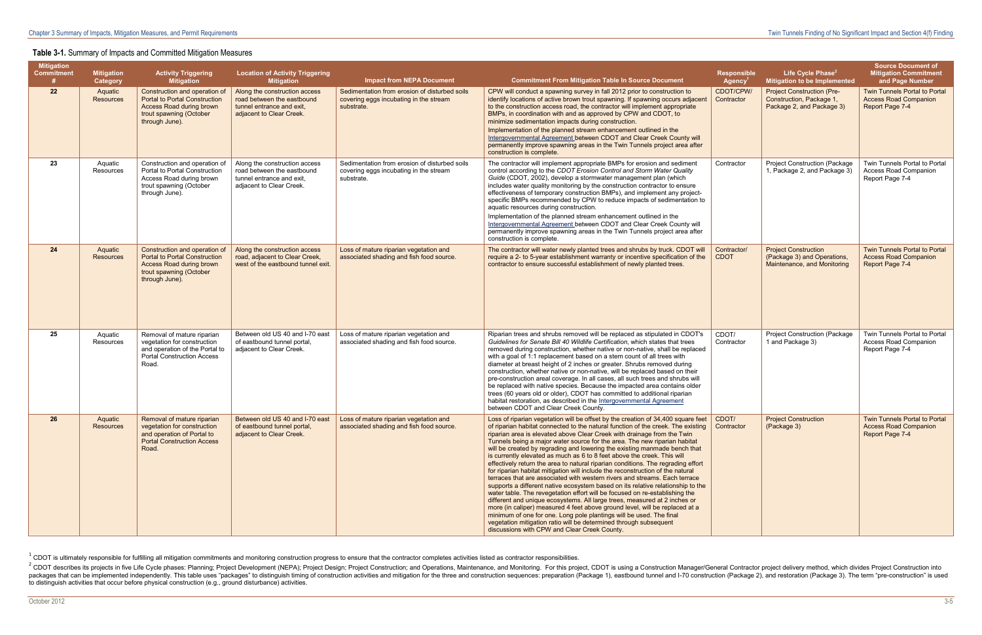#### **Table 3-1.** Summary of Impacts and Committed Mitigation Measures

| <b>Mitigation</b><br>Commitment<br># | <b>Mitigation</b><br>Category | <b>Activity Triggering</b><br><b>Mitigation</b>                                                                                                       | <b>Location of Activity Triggering</b><br><b>Mitigation</b>                                                          | <b>Impact from NEPA Document</b>                                                                      | <b>Commitment From Mitigation Table In Source Document</b>                                                                                                                                                                                                                                                                                                                                                                                                                                                                                                                                                                                                                                                                                                                                                                                                                                                                                                                                                                                                                                                                                                                                                                                                                                    | <b>Responsible</b><br><b>Agency</b> | Life Cycle Phase <sup>2</sup><br>Mitigation to be Implemented                              | <b>Source Document of</b><br><b>Mitigation Commitment</b><br>and Page Number            |
|--------------------------------------|-------------------------------|-------------------------------------------------------------------------------------------------------------------------------------------------------|----------------------------------------------------------------------------------------------------------------------|-------------------------------------------------------------------------------------------------------|-----------------------------------------------------------------------------------------------------------------------------------------------------------------------------------------------------------------------------------------------------------------------------------------------------------------------------------------------------------------------------------------------------------------------------------------------------------------------------------------------------------------------------------------------------------------------------------------------------------------------------------------------------------------------------------------------------------------------------------------------------------------------------------------------------------------------------------------------------------------------------------------------------------------------------------------------------------------------------------------------------------------------------------------------------------------------------------------------------------------------------------------------------------------------------------------------------------------------------------------------------------------------------------------------|-------------------------------------|--------------------------------------------------------------------------------------------|-----------------------------------------------------------------------------------------|
| 22                                   | Aquatic<br><b>Resources</b>   | Construction and operation of<br><b>Portal to Portal Construction</b><br><b>Access Road during brown</b><br>trout spawning (October<br>through June). | Along the construction access<br>road between the eastbound<br>tunnel entrance and exit.<br>adjacent to Clear Creek. | Sedimentation from erosion of disturbed soils<br>covering eggs incubating in the stream<br>substrate. | CPW will conduct a spawning survey in fall 2012 prior to construction to<br>identify locations of active brown trout spawning. If spawning occurs adjacent<br>to the construction access road, the contractor will implement appropriate<br>BMPs, in coordination with and as approved by CPW and CDOT, to<br>minimize sedimentation impacts during construction.<br>Implementation of the planned stream enhancement outlined in the<br>Intergovernmental Agreement between CDOT and Clear Creek County will<br>permanently improve spawning areas in the Twin Tunnels project area after<br>construction is complete.                                                                                                                                                                                                                                                                                                                                                                                                                                                                                                                                                                                                                                                                       | CDOT/CPW/<br>Contractor             | <b>Project Construction (Pre-</b><br>Construction, Package 1,<br>Package 2, and Package 3) | Twin Tunnels Portal to Portal<br><b>Access Road Companion</b><br>Report Page 7-4        |
| 23                                   | Aquatic<br>Resources          | Construction and operation of<br>Portal to Portal Construction<br>Access Road during brown<br>trout spawning (October<br>through June).               | Along the construction access<br>road between the eastbound<br>tunnel entrance and exit.<br>adjacent to Clear Creek. | Sedimentation from erosion of disturbed soils<br>covering eggs incubating in the stream<br>substrate. | The contractor will implement appropriate BMPs for erosion and sediment<br>control according to the CDOT Erosion Control and Storm Water Quality<br>Guide (CDOT, 2002), develop a stormwater management plan (which<br>includes water quality monitoring by the construction contractor to ensure<br>effectiveness of temporary construction BMPs), and implement any project-<br>specific BMPs recommended by CPW to reduce impacts of sedimentation to<br>aquatic resources during construction.<br>Implementation of the planned stream enhancement outlined in the<br>Intergovernmental Agreement between CDOT and Clear Creek County will<br>permanently improve spawning areas in the Twin Tunnels project area after<br>construction is complete.                                                                                                                                                                                                                                                                                                                                                                                                                                                                                                                                      | Contractor                          | <b>Project Construction (Package</b><br>1, Package 2, and Package 3)                       | Twin Tunnels Portal to Portal<br><b>Access Road Companion</b><br>Report Page 7-4        |
| 24                                   | Aquatic<br><b>Resources</b>   | Construction and operation of<br><b>Portal to Portal Construction</b><br><b>Access Road during brown</b><br>trout spawning (October<br>through June). | Along the construction access<br>road, adjacent to Clear Creek,<br>west of the eastbound tunnel exit.                | Loss of mature riparian vegetation and<br>associated shading and fish food source.                    | The contractor will water newly planted trees and shrubs by truck. CDOT will<br>require a 2- to 5-year establishment warranty or incentive specification of the<br>contractor to ensure successful establishment of newly planted trees.                                                                                                                                                                                                                                                                                                                                                                                                                                                                                                                                                                                                                                                                                                                                                                                                                                                                                                                                                                                                                                                      | Contractor/<br><b>CDOT</b>          | <b>Project Construction</b><br>(Package 3) and Operations,<br>Maintenance, and Monitoring  | Twin Tunnels Portal to Portal<br><b>Access Road Companion</b><br>Report Page 7-4        |
| 25                                   | Aquatic<br>Resources          | Removal of mature riparian<br>vegetation for construction<br>and operation of the Portal to<br><b>Portal Construction Access</b><br>Road.             | Between old US 40 and I-70 east<br>of eastbound tunnel portal,<br>adjacent to Clear Creek.                           | Loss of mature riparian vegetation and<br>associated shading and fish food source.                    | Riparian trees and shrubs removed will be replaced as stipulated in CDOT's<br>Guidelines for Senate Bill 40 Wildlife Certification, which states that trees<br>removed during construction, whether native or non-native, shall be replaced<br>with a goal of 1:1 replacement based on a stem count of all trees with<br>diameter at breast height of 2 inches or greater. Shrubs removed during<br>construction, whether native or non-native, will be replaced based on their<br>pre-construction areal coverage. In all cases, all such trees and shrubs will<br>be replaced with native species. Because the impacted area contains older<br>trees (60 years old or older), CDOT has committed to additional riparian<br>habitat restoration, as described in the Intergovernmental Agreement<br>between CDOT and Clear Creek County.                                                                                                                                                                                                                                                                                                                                                                                                                                                     | CDOT/<br>Contractor                 | <b>Project Construction (Package</b><br>1 and Package 3)                                   | Twin Tunnels Portal to Portal<br><b>Access Road Companion</b><br>Report Page 7-4        |
| 26                                   | Aquatic<br><b>Resources</b>   | Removal of mature riparian<br>vegetation for construction<br>and operation of Portal to<br><b>Portal Construction Access</b><br>Road.                 | Between old US 40 and I-70 east<br>of eastbound tunnel portal,<br>adjacent to Clear Creek.                           | Loss of mature riparian vegetation and<br>associated shading and fish food source.                    | Loss of riparian vegetation will be offset by the creation of $34,400$ square feet $\vert$ CDOT/<br>of riparian habitat connected to the natural function of the creek. The existing Contractor<br>riparian area is elevated above Clear Creek with drainage from the Twin<br>Tunnels being a major water source for the area. The new riparian habitat<br>will be created by regrading and lowering the existing manmade bench that<br>is currently elevated as much as 6 to 8 feet above the creek. This will<br>effectively return the area to natural riparian conditions. The regrading effort<br>for riparian habitat mitigation will include the reconstruction of the natural<br>terraces that are associated with western rivers and streams. Each terrace<br>supports a different native ecosystem based on its relative relationship to the<br>water table. The revegetation effort will be focused on re-establishing the<br>different and unique ecosystems. All large trees, measured at 2 inches or<br>more (in caliper) measured 4 feet above ground level, will be replaced at a<br>minimum of one for one. Long pole plantings will be used. The final<br>vegetation mitigation ratio will be determined through subsequent<br>discussions with CPW and Clear Creek County. |                                     | <b>Project Construction</b><br>(Package 3)                                                 | <b>Twin Tunnels Portal to Portal</b><br><b>Access Road Companion</b><br>Report Page 7-4 |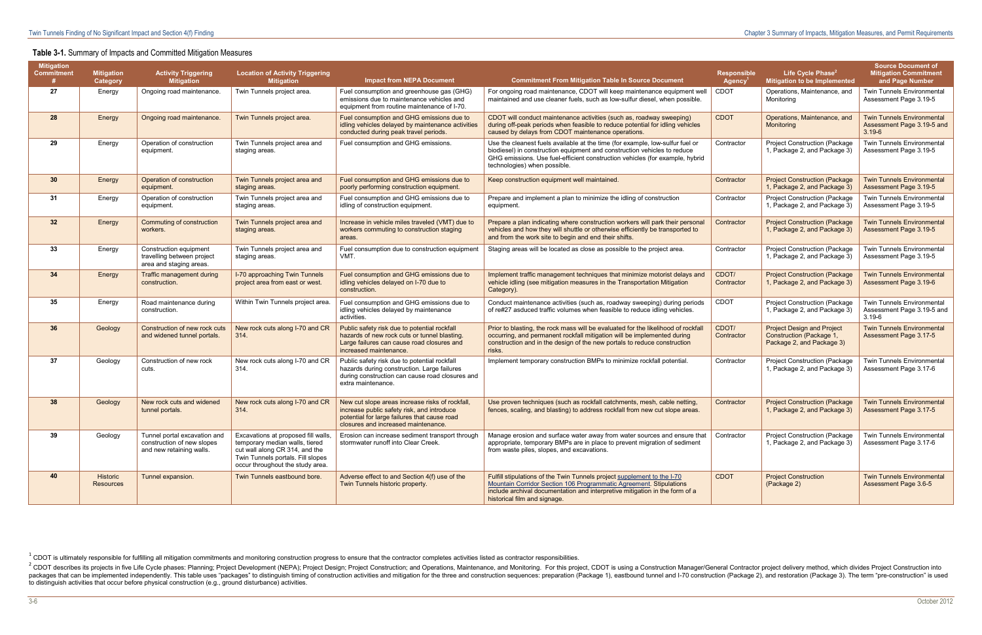#### **Table 3-1.** Summary of Impacts and Committed Mitigation Measures

| <b>Mitigation</b><br>Commitment<br># | <b>Mitigation</b><br>Category | <b>Activity Triggering</b><br><b>Mitigation</b>                                        | <b>Location of Activity Triggering</b><br><b>Mitigation</b>                                                                                                                     | <b>Impact from NEPA Document</b>                                                                                                                                                     | <b>Commitment From Mitigation Table In Source Document</b>                                                                                                                                                                                                                | <b>Responsible</b><br>Agency | Life Cycle Phase <sup>2</sup><br>Mitigation to be Implemented                              | <b>Source Document of</b><br><b>Mitigation Commitment</b><br>and Page Number  |
|--------------------------------------|-------------------------------|----------------------------------------------------------------------------------------|---------------------------------------------------------------------------------------------------------------------------------------------------------------------------------|--------------------------------------------------------------------------------------------------------------------------------------------------------------------------------------|---------------------------------------------------------------------------------------------------------------------------------------------------------------------------------------------------------------------------------------------------------------------------|------------------------------|--------------------------------------------------------------------------------------------|-------------------------------------------------------------------------------|
| 27                                   | Energy                        | Ongoing road maintenance.                                                              | Twin Tunnels project area.                                                                                                                                                      | Fuel consumption and greenhouse gas (GHG)<br>emissions due to maintenance vehicles and<br>equipment from routine maintenance of I-70.                                                | For ongoing road maintenance, CDOT will keep maintenance equipment well<br>maintained and use cleaner fuels, such as low-sulfur diesel, when possible.                                                                                                                    | <b>CDOT</b>                  | Operations, Maintenance, and<br>Monitoring                                                 | <b>Twin Tunnels Environmental</b><br>Assessment Page 3.19-5                   |
| 28                                   | Energy                        | Ongoing road maintenance.                                                              | Twin Tunnels project area.                                                                                                                                                      | Fuel consumption and GHG emissions due to<br>idling vehicles delayed by maintenance activities<br>conducted during peak travel periods.                                              | CDOT will conduct maintenance activities (such as, roadway sweeping)<br>during off-peak periods when feasible to reduce potential for idling vehicles<br>caused by delays from CDOT maintenance operations.                                                               | <b>CDOT</b>                  | Operations, Maintenance, and<br>Monitoring                                                 | <b>Twin Tunnels Environmental</b><br>Assessment Page 3.19-5 and<br>$3.19 - 6$ |
| 29                                   | Energy                        | Operation of construction<br>equipment.                                                | Twin Tunnels project area and<br>staging areas.                                                                                                                                 | Fuel consumption and GHG emissions.                                                                                                                                                  | Use the cleanest fuels available at the time (for example, low-sulfur fuel or<br>biodiesel) in construction equipment and construction vehicles to reduce<br>GHG emissions. Use fuel-efficient construction vehicles (for example, hybrid<br>technologies) when possible. | Contractor                   | Project Construction (Package<br>1, Package 2, and Package 3)                              | <b>Twin Tunnels Environmental</b><br>Assessment Page 3.19-5                   |
| 30                                   | Energy                        | Operation of construction<br>equipment.                                                | Twin Tunnels project area and<br>staging areas.                                                                                                                                 | Fuel consumption and GHG emissions due to<br>poorly performing construction equipment.                                                                                               | Keep construction equipment well maintained.                                                                                                                                                                                                                              | Contractor                   | <b>Project Construction (Package)</b><br>1, Package 2, and Package 3)                      | <b>Twin Tunnels Environmental</b><br>Assessment Page 3.19-5                   |
| 31                                   | Energy                        | Operation of construction<br>equipment.                                                | Twin Tunnels project area and<br>staging areas.                                                                                                                                 | Fuel consumption and GHG emissions due to<br>idling of construction equipment.                                                                                                       | Prepare and implement a plan to minimize the idling of construction<br>equipment.                                                                                                                                                                                         | Contractor                   | <b>Project Construction (Package</b><br>1, Package 2, and Package 3)                       | Twin Tunnels Environmental<br>Assessment Page 3.19-5                          |
| 32                                   | Energy                        | Commuting of construction<br>workers.                                                  | Twin Tunnels project area and<br>staging areas.                                                                                                                                 | Increase in vehicle miles traveled (VMT) due to<br>workers commuting to construction staging<br>areas.                                                                               | Prepare a plan indicating where construction workers will park their personal<br>vehicles and how they will shuttle or otherwise efficiently be transported to<br>and from the work site to begin and end their shifts.                                                   | Contractor                   | <b>Project Construction (Package)</b><br>1, Package 2, and Package 3)                      | <b>Twin Tunnels Environmental</b><br>Assessment Page 3.19-5                   |
| 33                                   | Energy                        | Construction equipment<br>travelling between project<br>area and staging areas.        | Twin Tunnels project area and<br>staging areas.                                                                                                                                 | Fuel consumption due to construction equipment<br>VMT.                                                                                                                               | Staging areas will be located as close as possible to the project area.                                                                                                                                                                                                   | Contractor                   | <b>Project Construction (Package</b><br>1, Package 2, and Package 3)                       | <b>Twin Tunnels Environmental</b><br>Assessment Page 3.19-5                   |
| 34                                   | Energy                        | Traffic management during<br>construction.                                             | I-70 approaching Twin Tunnels<br>project area from east or west.                                                                                                                | Fuel consumption and GHG emissions due to<br>idling vehicles delayed on I-70 due to<br>construction.                                                                                 | Implement traffic management techniques that minimize motorist delays and<br>vehicle idling (see mitigation measures in the Transportation Mitigation<br>Category).                                                                                                       | CDOT/<br>Contractor          | <b>Project Construction (Package)</b><br>1, Package 2, and Package 3)                      | <b>Twin Tunnels Environmental</b><br>Assessment Page 3.19-6                   |
| 35                                   | Energy                        | Road maintenance during<br>construction.                                               | Within Twin Tunnels project area.                                                                                                                                               | Fuel consumption and GHG emissions due to<br>idling vehicles delayed by maintenance<br>activities.                                                                                   | Conduct maintenance activities (such as, roadway sweeping) during periods<br>of re#27 asduced traffic volumes when feasible to reduce idling vehicles.                                                                                                                    | <b>CDOT</b>                  | <b>Project Construction (Package</b><br>1, Package 2, and Package 3)                       | <b>Twin Tunnels Environmental</b><br>Assessment Page 3.19-5 and<br>$3.19 - 6$ |
| 36                                   | Geology                       | Construction of new rock cuts<br>and widened tunnel portals.                           | New rock cuts along I-70 and CR<br>314.                                                                                                                                         | Public safety risk due to potential rockfall<br>hazards of new rock cuts or tunnel blasting.<br>Large failures can cause road closures and<br>increased maintenance.                 | Prior to blasting, the rock mass will be evaluated for the likelihood of rockfall<br>occurring, and permanent rockfall mitigation will be implemented during<br>construction and in the design of the new portals to reduce construction<br>risks.                        | CDOT/<br>Contractor          | <b>Project Design and Project</b><br>Construction (Package 1,<br>Package 2, and Package 3) | <b>Twin Tunnels Environmental</b><br>Assessment Page 3.17-5                   |
| 37                                   | Geology                       | Construction of new rock<br>cuts.                                                      | New rock cuts along I-70 and CR<br>314.                                                                                                                                         | Public safety risk due to potential rockfall<br>hazards during construction. Large failures<br>during construction can cause road closures and<br>extra maintenance.                 | Implement temporary construction BMPs to minimize rockfall potential.                                                                                                                                                                                                     | Contractor                   | <b>Project Construction (Package)</b><br>1, Package 2, and Package 3)                      | <b>Twin Tunnels Environmental</b><br>Assessment Page 3.17-6                   |
| 38                                   | Geology                       | New rock cuts and widened<br>tunnel portals.                                           | New rock cuts along I-70 and CR<br>314.                                                                                                                                         | New cut slope areas increase risks of rockfall.<br>increase public safety risk, and introduce<br>potential for large failures that cause road<br>closures and increased maintenance. | Use proven techniques (such as rockfall catchments, mesh, cable netting,<br>fences, scaling, and blasting) to address rockfall from new cut slope areas.                                                                                                                  | Contractor                   | <b>Project Construction (Package)</b><br>1, Package 2, and Package 3)                      | <b>Twin Tunnels Environmental</b><br>Assessment Page 3.17-5                   |
| 39                                   | Geology                       | Tunnel portal excavation and<br>construction of new slopes<br>and new retaining walls. | Excavations at proposed fill walls<br>temporary median walls, tiered<br>cut wall along CR 314, and the<br>Twin Tunnels portals. Fill slopes<br>occur throughout the study area. | Erosion can increase sediment transport through<br>stormwater runoff into Clear Creek.                                                                                               | Manage erosion and surface water away from water sources and ensure that<br>appropriate, temporary BMPs are in place to prevent migration of sediment<br>from waste piles, slopes, and excavations.                                                                       | Contractor                   | Project Construction (Package<br>1, Package 2, and Package 3)                              | <b>Twin Tunnels Environmental</b><br>Assessment Page 3.17-6                   |
| 40                                   | Historic<br><b>Resources</b>  | Tunnel expansion.                                                                      | Twin Tunnels eastbound bore.                                                                                                                                                    | Adverse effect to and Section 4(f) use of the<br>Twin Tunnels historic property.                                                                                                     | Fulfill stipulations of the Twin Tunnels project supplement to the I-70<br>Mountain Corridor Section 106 Programmatic Agreement. Stipulations<br>include archival documentation and interpretive mitigation in the form of a<br>historical film and signage.              | <b>CDOT</b>                  | <b>Project Construction</b><br>(Package 2)                                                 | <b>Twin Tunnels Environmental</b><br>Assessment Page 3.6-5                    |

<sup>&</sup>lt;sup>2</sup> CDOT describes its projects in five Life Cycle phases: Planning; Project Development (NEPA); Project Design; Project Construction; and Operations, Maintenance, and Monitoring. For this project, CDOT is using a Construc packages that can be implemented independently. This table uses "packages" to distinguish timing of construction activities and mitigation for the three and construction sequences: preparation (Package 1), eastbound tunnel to distinguish activities that occur before physical construction (e.g., ground disturbance) activities.

 $1$  CDOT is ultimately responsible for fulfilling all mitigation commitments and monitoring construction progress to ensure that the contractor completes activities listed as contractor responsibilities.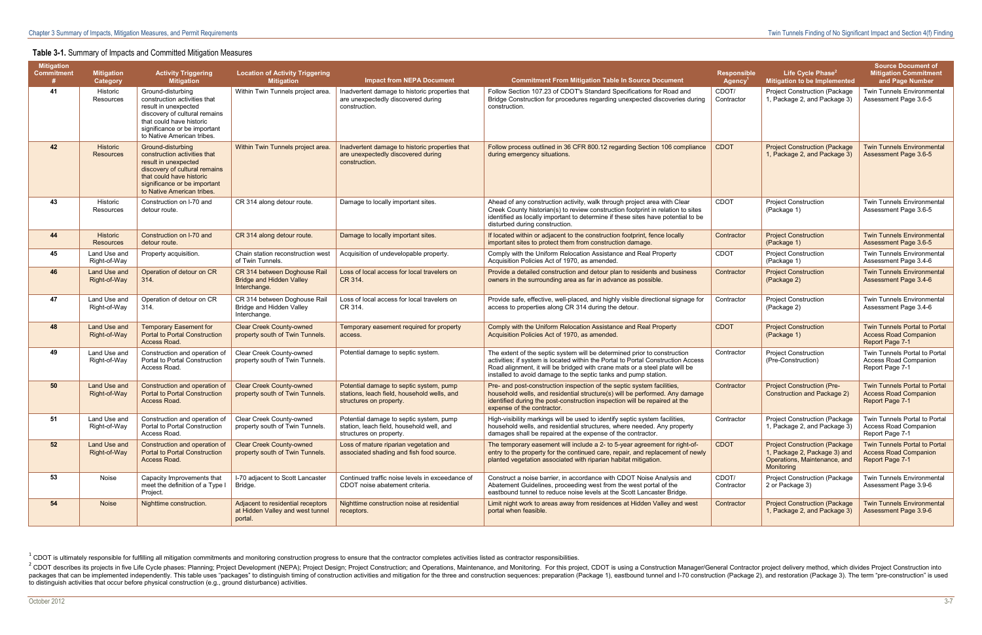#### **Table 3-1.** Summary of Impacts and Committed Mitigation Measures

| <b>Mitigation</b><br>Commitment<br># | <b>Mitigation</b><br>Category       | <b>Activity Triggering</b><br><b>Mitigation</b>                                                                                                                                                      | <b>Location of Activity Triggering</b><br><b>Mitigation</b>                      | <b>Impact from NEPA Document</b>                                                                                  | <b>Commitment From Mitigation Table In Source Document</b>                                                                                                                                                                                                                                                     | <b>Responsible</b><br><b>Agency</b> | Life Cycle Phase <sup>2</sup><br>Mitigation to be Implemented                                                       | <b>Source Document of</b><br><b>Mitigation Commitment</b><br>and Page Number            |
|--------------------------------------|-------------------------------------|------------------------------------------------------------------------------------------------------------------------------------------------------------------------------------------------------|----------------------------------------------------------------------------------|-------------------------------------------------------------------------------------------------------------------|----------------------------------------------------------------------------------------------------------------------------------------------------------------------------------------------------------------------------------------------------------------------------------------------------------------|-------------------------------------|---------------------------------------------------------------------------------------------------------------------|-----------------------------------------------------------------------------------------|
| 41                                   | Historic<br>Resources               | Ground-disturbing<br>construction activities that<br>result in unexpected<br>discovery of cultural remains<br>that could have historic<br>significance or be important<br>to Native American tribes. | Within Twin Tunnels project area                                                 | Inadvertent damage to historic properties that<br>are unexpectedly discovered during<br>construction.             | Follow Section 107.23 of CDOT's Standard Specifications for Road and<br>Bridge Construction for procedures regarding unexpected discoveries during<br>construction.                                                                                                                                            | CDOT/<br>Contractor                 | <b>Project Construction (Package</b><br>1, Package 2, and Package 3)                                                | <b>Twin Tunnels Environmental</b><br>Assessment Page 3.6-5                              |
| 42                                   | <b>Historic</b><br><b>Resources</b> | Ground-disturbing<br>construction activities that<br>result in unexpected<br>discovery of cultural remains<br>that could have historic<br>significance or be important<br>to Native American tribes. | Within Twin Tunnels project area                                                 | Inadvertent damage to historic properties that<br>are unexpectedly discovered during<br>construction.             | Follow process outlined in 36 CFR 800.12 regarding Section 106 compliance<br>during emergency situations.                                                                                                                                                                                                      | <b>CDOT</b>                         | <b>Project Construction (Package</b><br>1, Package 2, and Package 3)                                                | <b>Twin Tunnels Environmental</b><br>Assessment Page 3.6-5                              |
| 43                                   | Historic<br>Resources               | Construction on I-70 and<br>detour route.                                                                                                                                                            | CR 314 along detour route.                                                       | Damage to locally important sites.                                                                                | Ahead of any construction activity, walk through project area with Clear<br>Creek County historian(s) to review construction footprint in relation to sites<br>identified as locally important to determine if these sites have potential to be<br>disturbed during construction.                              | <b>CDOT</b>                         | <b>Project Construction</b><br>(Package 1)                                                                          | <b>Twin Tunnels Environmental</b><br>Assessment Page 3.6-5                              |
| 44                                   | <b>Historic</b><br><b>Resources</b> | Construction on I-70 and<br>detour route.                                                                                                                                                            | CR 314 along detour route.                                                       | Damage to locally important sites.                                                                                | If located within or adjacent to the construction footprint, fence locally<br>important sites to protect them from construction damage.                                                                                                                                                                        | Contractor                          | <b>Project Construction</b><br>(Package 1)                                                                          | <b>Twin Tunnels Environmental</b><br>Assessment Page 3.6-5                              |
| 45                                   | Land Use and<br>Right-of-Way        | Property acquisition.                                                                                                                                                                                | Chain station reconstruction west<br>of Twin Tunnels.                            | Acquisition of undevelopable property.                                                                            | Comply with the Uniform Relocation Assistance and Real Property<br>Acquisition Policies Act of 1970, as amended.                                                                                                                                                                                               | CDOT                                | <b>Project Construction</b><br>(Package 1)                                                                          | <b>Twin Tunnels Environmental</b><br>Assessment Page 3.4-6                              |
| 46                                   | Land Use and<br>Right-of-Way        | Operation of detour on CR<br>314.                                                                                                                                                                    | CR 314 between Doghouse Rail<br><b>Bridge and Hidden Valley</b><br>Interchange.  | Loss of local access for local travelers on<br>CR 314.                                                            | Provide a detailed construction and detour plan to residents and business<br>owners in the surrounding area as far in advance as possible.                                                                                                                                                                     | Contractor                          | <b>Project Construction</b><br>(Package 2)                                                                          | <b>Twin Tunnels Environmental</b><br><b>Assessment Page 3.4-6</b>                       |
| 47                                   | Land Use and<br>Right-of-Way        | Operation of detour on CR<br>314.                                                                                                                                                                    | CR 314 between Doghouse Rail<br>Bridge and Hidden Valley<br>Interchange.         | Loss of local access for local travelers on<br>CR 314.                                                            | Provide safe, effective, well-placed, and highly visible directional signage for<br>access to properties along CR 314 during the detour.                                                                                                                                                                       | Contractor                          | <b>Project Construction</b><br>(Package 2)                                                                          | <b>Twin Tunnels Environmental</b><br>Assessment Page 3.4-6                              |
| 48                                   | Land Use and<br>Right-of-Way        | <b>Temporary Easement for</b><br><b>Portal to Portal Construction</b><br>Access Road.                                                                                                                | <b>Clear Creek County-owned</b><br>property south of Twin Tunnels.               | Temporary easement required for property<br>access.                                                               | Comply with the Uniform Relocation Assistance and Real Property<br>Acquisition Policies Act of 1970, as amended.                                                                                                                                                                                               | <b>CDOT</b>                         | <b>Project Construction</b><br>(Package 1)                                                                          | Twin Tunnels Portal to Portal<br><b>Access Road Companion</b><br>Report Page 7-1        |
| 49                                   | Land Use and<br>Right-of-Way        | Construction and operation of<br>Portal to Portal Construction<br>Access Road.                                                                                                                       | Clear Creek County-owned<br>property south of Twin Tunnels.                      | Potential damage to septic system.                                                                                | The extent of the septic system will be determined prior to construction<br>activities; if system is located within the Portal to Portal Construction Access<br>Road alignment, it will be bridged with crane mats or a steel plate will be<br>installed to avoid damage to the septic tanks and pump station. | Contractor                          | <b>Project Construction</b><br>(Pre-Construction)                                                                   | Twin Tunnels Portal to Portal<br><b>Access Road Companion</b><br>Report Page 7-1        |
| 50                                   | Land Use and<br>Right-of-Way        | Construction and operation of<br><b>Portal to Portal Construction</b><br>Access Road.                                                                                                                | <b>Clear Creek County-owned</b><br>property south of Twin Tunnels.               | Potential damage to septic system, pump<br>stations, leach field, household wells, and<br>structures on property. | Pre- and post-construction inspection of the septic system facilities,<br>household wells, and residential structure(s) will be performed. Any damage<br>identified during the post-construction inspection will be repaired at the<br>expense of the contractor.                                              | Contractor                          | <b>Project Construction (Pre-</b><br><b>Construction and Package 2)</b>                                             | <b>Twin Tunnels Portal to Portal</b><br><b>Access Road Companion</b><br>Report Page 7-1 |
| 51                                   | Land Use and<br>Right-of-Way        | Construction and operation of<br>Portal to Portal Construction<br>Access Road.                                                                                                                       | Clear Creek County-owned<br>property south of Twin Tunnels.                      | Potential damage to septic system, pump<br>station, leach field, household well, and<br>structures on property.   | High-visibility markings will be used to identify septic system facilities,<br>household wells, and residential structures, where needed. Any property<br>damages shall be repaired at the expense of the contractor.                                                                                          | Contractor                          | <b>Project Construction (Package</b><br>1, Package 2, and Package 3)                                                | Twin Tunnels Portal to Portal<br><b>Access Road Companion</b><br>Report Page 7-1        |
| 52                                   | Land Use and<br>Right-of-Way        | Construction and operation of<br><b>Portal to Portal Construction</b><br>Access Road.                                                                                                                | <b>Clear Creek County-owned</b><br>property south of Twin Tunnels.               | Loss of mature riparian vegetation and<br>associated shading and fish food source.                                | The temporary easement will include a 2- to 5-year agreement for right-of-<br>entry to the property for the continued care, repair, and replacement of newly<br>planted vegetation associated with riparian habitat mitigation.                                                                                | <b>CDOT</b>                         | <b>Project Construction (Package)</b><br>1, Package 2, Package 3) and<br>Operations, Maintenance, and<br>Monitoring | Twin Tunnels Portal to Portal<br><b>Access Road Companion</b><br>Report Page 7-1        |
| 53                                   | Noise                               | Capacity Improvements that<br>meet the definition of a Type I<br>Project.                                                                                                                            | I-70 adjacent to Scott Lancaster<br>Bridge.                                      | Continued traffic noise levels in exceedance of<br>CDOT noise abatement criteria.                                 | Construct a noise barrier, in accordance with CDOT Noise Analysis and<br>Abatement Guidelines, proceeding west from the west portal of the<br>eastbound tunnel to reduce noise levels at the Scott Lancaster Bridge.                                                                                           | CDOT/<br>Contractor                 | <b>Project Construction (Package</b><br>2 or Package 3)                                                             | Twin Tunnels Environmental<br>Assessment Page 3.9-6                                     |
| 54                                   | Noise                               | Nighttime construction.                                                                                                                                                                              | Adjacent to residential receptors<br>at Hidden Valley and west tunnel<br>portal. | Nighttime construction noise at residential<br>receptors.                                                         | Limit night work to areas away from residences at Hidden Valley and west<br>portal when feasible.                                                                                                                                                                                                              | Contractor                          | <b>Project Construction (Package)</b><br>1, Package 2, and Package 3)                                               | <b>Twin Tunnels Environmental</b><br>Assessment Page 3.9-6                              |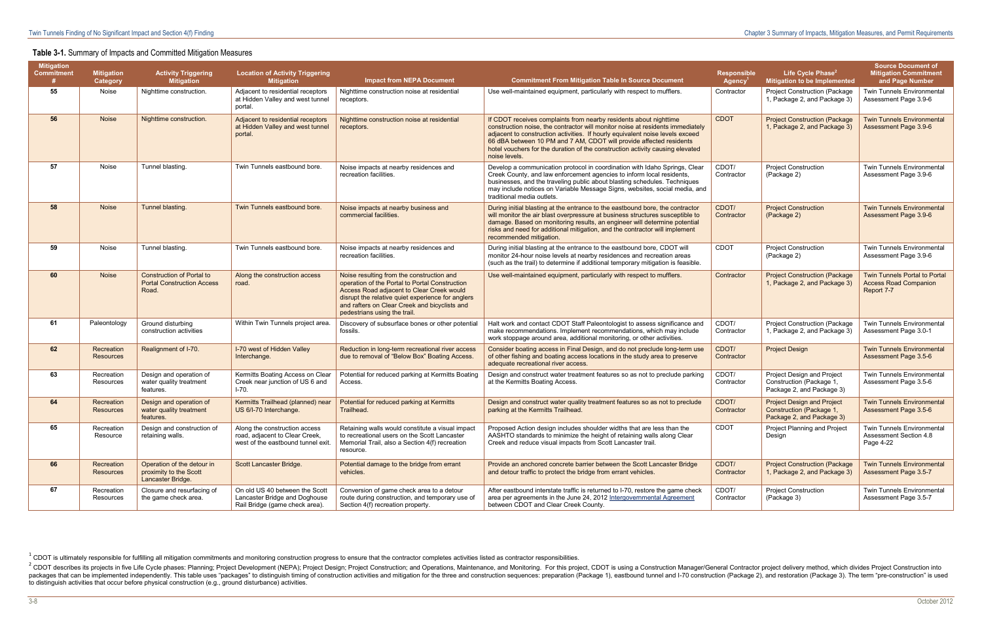#### **Table 3-1.** Summary of Impacts and Committed Mitigation Measures

| <b>Mitigation</b><br>Commitment | <b>Mitigation</b><br>Category  | <b>Activity Triggering</b><br><b>Mitigation</b>                               | <b>Location of Activity Triggering</b><br><b>Mitigation</b>                                          | <b>Impact from NEPA Document</b>                                                                                                                                                                                                                                               | <b>Commitment From Mitigation Table In Source Document</b>                                                                                                                                                                                                                                                                                                                                                    | <b>Responsible</b><br>Agency | Life Cycle Phase <sup>2</sup><br>Mitigation to be Implemented                              | <b>Source Document of</b><br><b>Mitigation Commitment</b><br>and Page Number       |
|---------------------------------|--------------------------------|-------------------------------------------------------------------------------|------------------------------------------------------------------------------------------------------|--------------------------------------------------------------------------------------------------------------------------------------------------------------------------------------------------------------------------------------------------------------------------------|---------------------------------------------------------------------------------------------------------------------------------------------------------------------------------------------------------------------------------------------------------------------------------------------------------------------------------------------------------------------------------------------------------------|------------------------------|--------------------------------------------------------------------------------------------|------------------------------------------------------------------------------------|
| 55                              | Noise                          | Nighttime construction.                                                       | Adjacent to residential receptors<br>at Hidden Valley and west tunnel<br>portal.                     | Nighttime construction noise at residential<br>receptors.                                                                                                                                                                                                                      | Use well-maintained equipment, particularly with respect to mufflers.                                                                                                                                                                                                                                                                                                                                         | Contractor                   | <b>Project Construction (Package</b><br>1, Package 2, and Package 3)                       | <b>Twin Tunnels Environmental</b><br>Assessment Page 3.9-6                         |
| 56                              | <b>Noise</b>                   | Nighttime construction.                                                       | Adjacent to residential receptors<br>at Hidden Valley and west tunnel<br>portal.                     | Nighttime construction noise at residential<br>receptors.                                                                                                                                                                                                                      | If CDOT receives complaints from nearby residents about nighttime<br>construction noise, the contractor will monitor noise at residents immediately<br>adjacent to construction activities. If hourly equivalent noise levels exceed<br>66 dBA between 10 PM and 7 AM, CDOT will provide affected residents<br>hotel vouchers for the duration of the construction activity causing elevated<br>noise levels. | <b>CDOT</b>                  | <b>Project Construction (Package)</b><br>1, Package 2, and Package 3)                      | <b>Twin Tunnels Environmental</b><br>Assessment Page 3.9-6                         |
| 57                              | Noise                          | Tunnel blasting.                                                              | Twin Tunnels eastbound bore.                                                                         | Noise impacts at nearby residences and<br>recreation facilities                                                                                                                                                                                                                | Develop a communication protocol in coordination with Idaho Springs, Clear<br>Creek County, and law enforcement agencies to inform local residents,<br>businesses, and the traveling public about blasting schedules. Techniques<br>may include notices on Variable Message Signs, websites, social media, and<br>traditional media outlets.                                                                  | CDOT/<br>Contractor          | <b>Project Construction</b><br>(Package 2)                                                 | <b>Twin Tunnels Environmental</b><br>Assessment Page 3.9-6                         |
| 58                              | <b>Noise</b>                   | Tunnel blasting.                                                              | Twin Tunnels eastbound bore                                                                          | Noise impacts at nearby business and<br>commercial facilities.                                                                                                                                                                                                                 | During initial blasting at the entrance to the eastbound bore, the contractor<br>will monitor the air blast overpressure at business structures susceptible to<br>damage. Based on monitoring results, an engineer will determine potential<br>risks and need for additional mitigation, and the contractor will implement<br>recommended mitigation.                                                         | CDOT/<br>Contractor          | <b>Project Construction</b><br>(Package 2)                                                 | <b>Twin Tunnels Environmental</b><br>Assessment Page 3.9-6                         |
| 59                              | Noise                          | Tunnel blasting.                                                              | Twin Tunnels eastbound bore.                                                                         | Noise impacts at nearby residences and<br>recreation facilities.                                                                                                                                                                                                               | During initial blasting at the entrance to the eastbound bore, CDOT will<br>monitor 24-hour noise levels at nearby residences and recreation areas<br>(such as the trail) to determine if additional temporary mitigation is feasible.                                                                                                                                                                        | CDOT                         | <b>Project Construction</b><br>(Package 2)                                                 | Twin Tunnels Environmental<br>Assessment Page 3.9-6                                |
| 60                              | <b>Noise</b>                   | <b>Construction of Portal to</b><br><b>Portal Construction Access</b><br>Road | Along the construction access<br>road.                                                               | Noise resulting from the construction and<br>operation of the Portal to Portal Construction<br>Access Road adjacent to Clear Creek would<br>disrupt the relative quiet experience for anglers<br>and rafters on Clear Creek and bicyclists and<br>pedestrians using the trail. | Use well-maintained equipment, particularly with respect to mufflers.                                                                                                                                                                                                                                                                                                                                         | Contractor                   | <b>Project Construction (Package)</b><br>1, Package 2, and Package 3)                      | <b>Twin Tunnels Portal to Portal</b><br><b>Access Road Companion</b><br>Report 7-7 |
| 61                              | Paleontology                   | Ground disturbing<br>construction activities                                  | Within Twin Tunnels project area.                                                                    | Discovery of subsurface bones or other potential<br>fossils.                                                                                                                                                                                                                   | Halt work and contact CDOT Staff Paleontologist to assess significance and<br>make recommendations. Implement recommendations, which may include<br>work stoppage around area, additional monitoring, or other activities.                                                                                                                                                                                    | CDOT/<br>Contractor          | <b>Project Construction (Package</b><br>1, Package 2, and Package 3)                       | <b>Twin Tunnels Environmental</b><br>Assessment Page 3.0-1                         |
| 62                              | Recreation<br><b>Resources</b> | Realignment of I-70.                                                          | I-70 west of Hidden Valley<br>Interchange.                                                           | Reduction in long-term recreational river access<br>due to removal of "Below Box" Boating Access.                                                                                                                                                                              | Consider boating access in Final Design, and do not preclude long-term use<br>of other fishing and boating access locations in the study area to preserve<br>adequate recreational river access.                                                                                                                                                                                                              | CDOT/<br>Contractor          | <b>Project Design</b>                                                                      | <b>Twin Tunnels Environmental</b><br>Assessment Page 3.5-6                         |
| 63                              | Recreation<br>Resources        | Design and operation of<br>water quality treatment<br>features.               | Kermitts Boating Access on Clear<br>Creek near junction of US 6 and<br>$1-70.$                       | Potential for reduced parking at Kermitts Boating<br>Access.                                                                                                                                                                                                                   | Design and construct water treatment features so as not to preclude parking<br>at the Kermitts Boating Access.                                                                                                                                                                                                                                                                                                | CDOT/<br>Contractor          | Project Design and Project<br>Construction (Package 1,<br>Package 2, and Package 3)        | <b>Twin Tunnels Environmental</b><br>Assessment Page 3.5-6                         |
| 64                              | Recreation<br><b>Resources</b> | Design and operation of<br>water quality treatment<br>features.               | Kermitts Trailhead (planned) near<br>US 6/I-70 Interchange.                                          | Potential for reduced parking at Kermitts<br>Trailhead.                                                                                                                                                                                                                        | Design and construct water quality treatment features so as not to preclude<br>parking at the Kermitts Trailhead.                                                                                                                                                                                                                                                                                             | CDOT/<br>Contractor          | <b>Project Design and Project</b><br>Construction (Package 1,<br>Package 2, and Package 3) | <b>Twin Tunnels Environmental</b><br>Assessment Page 3.5-6                         |
| 65                              | Recreation<br>Resource         | Design and construction of<br>retaining walls.                                | Along the construction access<br>road, adjacent to Clear Creek,<br>west of the eastbound tunnel exit | Retaining walls would constitute a visual impact<br>to recreational users on the Scott Lancaster<br>Memorial Trail, also a Section 4(f) recreation<br>resource.                                                                                                                | Proposed Action design includes shoulder widths that are less than the<br>AASHTO standards to minimize the height of retaining walls along Clear<br>Creek and reduce visual impacts from Scott Lancaster trail.                                                                                                                                                                                               | CDOT                         | Project Planning and Project<br>Design                                                     | Twin Tunnels Environmental<br>Assessment Section 4.8<br>Page 4-22                  |
| 66                              | Recreation<br><b>Resources</b> | Operation of the detour in<br>proximity to the Scott<br>Lancaster Bridge.     | Scott Lancaster Bridge.                                                                              | Potential damage to the bridge from errant<br>vehicles.                                                                                                                                                                                                                        | Provide an anchored concrete barrier between the Scott Lancaster Bridge<br>and detour traffic to protect the bridge from errant vehicles.                                                                                                                                                                                                                                                                     | CDOT/<br>Contractor          | <b>Project Construction (Package)</b><br>1, Package 2, and Package 3)                      | <b>Twin Tunnels Environmental</b><br>Assessment Page 3.5-7                         |
| 67                              | Recreation<br>Resources        | Closure and resurfacing of<br>the game check area.                            | On old US 40 between the Scott<br>Lancaster Bridge and Doghouse<br>Rail Bridge (game check area).    | Conversion of game check area to a detour<br>route during construction, and temporary use of<br>Section 4(f) recreation property.                                                                                                                                              | After eastbound interstate traffic is returned to I-70, restore the game check<br>area per agreements in the June 24, 2012 Intergovernmental Agreement<br>between CDOT and Clear Creek County.                                                                                                                                                                                                                | CDOT/<br>Contractor          | <b>Project Construction</b><br>(Package 3)                                                 | <b>Twin Tunnels Environmental</b><br>Assessment Page 3.5-7                         |

<sup>&</sup>lt;sup>2</sup> CDOT describes its projects in five Life Cycle phases: Planning; Project Development (NEPA); Project Design; Project Construction; and Operations, Maintenance, and Monitoring. For this project, CDOT is using a Construc packages that can be implemented independently. This table uses "packages" to distinguish timing of construction activities and mitigation for the three and construction sequences: preparation (Package 1), eastbound tunnel to distinguish activities that occur before physical construction (e.g., ground disturbance) activities.

 $1$  CDOT is ultimately responsible for fulfilling all mitigation commitments and monitoring construction progress to ensure that the contractor completes activities listed as contractor responsibilities.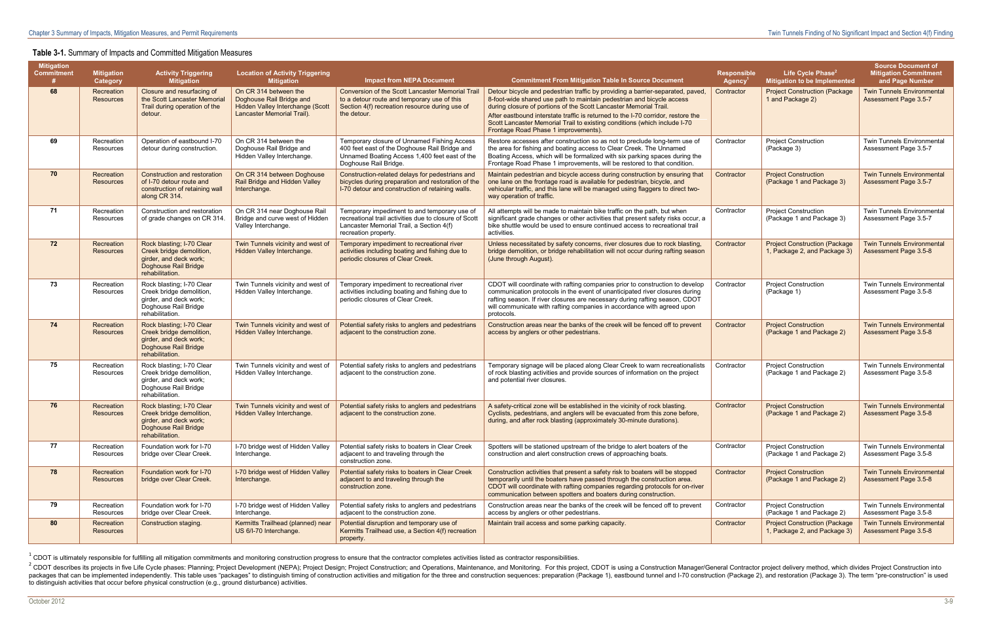#### **Table 3-1.** Summary of Impacts and Committed Mitigation Measures

| <b>Mitigation</b><br>Commitment | <b>Mitigation</b><br>Category  | <b>Activity Triggering</b><br><b>Mitigation</b>                                                                            | <b>Location of Activity Triggering</b><br><b>Mitigation</b>                                                         | <b>Impact from NEPA Document</b>                                                                                                                                          | <b>Commitment From Mitigation Table In Source Document</b>                                                                                                                                                                                                                                                                                                                                                                            | <b>Responsible</b><br><b>Agency</b> | Life Cycle Phase <sup>2</sup><br>Mitigation to be Implemented         | <b>Source Document of</b><br><b>Mitigation Commitment</b><br>and Page Number |
|---------------------------------|--------------------------------|----------------------------------------------------------------------------------------------------------------------------|---------------------------------------------------------------------------------------------------------------------|---------------------------------------------------------------------------------------------------------------------------------------------------------------------------|---------------------------------------------------------------------------------------------------------------------------------------------------------------------------------------------------------------------------------------------------------------------------------------------------------------------------------------------------------------------------------------------------------------------------------------|-------------------------------------|-----------------------------------------------------------------------|------------------------------------------------------------------------------|
| 68                              | Recreation<br><b>Resources</b> | Closure and resurfacing of<br>the Scott Lancaster Memorial<br>Trail during operation of the<br>detour.                     | On CR 314 between the<br>Doghouse Rail Bridge and<br>Hidden Valley Interchange (Scott<br>Lancaster Memorial Trail). | Conversion of the Scott Lancaster Memorial Tra<br>to a detour route and temporary use of this<br>Section 4(f) recreation resource during use of<br>the detour.            | Detour bicycle and pedestrian traffic by providing a barrier-separated, paved,<br>8-foot-wide shared use path to maintain pedestrian and bicycle access<br>during closure of portions of the Scott Lancaster Memorial Trail.<br>After eastbound interstate traffic is returned to the I-70 corridor, restore the<br>Scott Lancaster Memorial Trail to existing conditions (which include I-70<br>Frontage Road Phase 1 improvements). | Contractor                          | <b>Project Construction (Package</b><br>1 and Package 2)              | <b>Twin Tunnels Environmental</b><br>Assessment Page 3.5-7                   |
| 69                              | Recreation<br>Resources        | Operation of eastbound I-70<br>detour during construction.                                                                 | On CR 314 between the<br>Doghouse Rail Bridge and<br>Hidden Valley Interchange.                                     | Temporary closure of Unnamed Fishing Access<br>400 feet east of the Doghouse Rail Bridge and<br>Unnamed Boating Access 1,400 feet east of the<br>Doghouse Rail Bridge.    | Restore accesses after construction so as not to preclude long-term use of<br>the area for fishing and boating access to Clear Creek. The Unnamed<br>Boating Access, which will be formalized with six parking spaces during the<br>Frontage Road Phase 1 improvements, will be restored to that condition.                                                                                                                           | Contractor                          | <b>Project Construction</b><br>(Package 3)                            | <b>Twin Tunnels Environmental</b><br>Assessment Page 3.5-7                   |
| 70                              | Recreation<br><b>Resources</b> | Construction and restoration<br>of I-70 detour route and<br>construction of retaining wall<br>along CR 314.                | On CR 314 between Doghouse<br>Rail Bridge and Hidden Valley<br>Interchange.                                         | Construction-related delays for pedestrians and<br>bicycles during preparation and restoration of the<br>I-70 detour and construction of retaining walls.                 | Maintain pedestrian and bicycle access during construction by ensuring that<br>one lane on the frontage road is available for pedestrian, bicycle, and<br>vehicular traffic, and this lane will be managed using flaggers to direct two-<br>way operation of traffic.                                                                                                                                                                 | Contractor                          | <b>Project Construction</b><br>(Package 1 and Package 3)              | <b>Twin Tunnels Environmental</b><br>Assessment Page 3.5-7                   |
| 71                              | Recreation<br>Resources        | Construction and restoration<br>of grade changes on CR 314.                                                                | On CR 314 near Doghouse Rail<br>Bridge and curve west of Hidden<br>Valley Interchange.                              | Temporary impediment to and temporary use of<br>recreational trail activities due to closure of Scott<br>Lancaster Memorial Trail, a Section 4(f)<br>recreation property. | All attempts will be made to maintain bike traffic on the path, but when<br>significant grade changes or other activities that present safety risks occur, a<br>bike shuttle would be used to ensure continued access to recreational trail<br>activities.                                                                                                                                                                            | Contractor                          | <b>Project Construction</b><br>(Package 1 and Package 3)              | <b>Twin Tunnels Environmental</b><br>Assessment Page 3.5-7                   |
| 72                              | Recreation<br><b>Resources</b> | Rock blasting; I-70 Clear<br>Creek bridge demolition,<br>girder, and deck work;<br>Doghouse Rail Bridge<br>rehabilitation. | Twin Tunnels vicinity and west of<br>Hidden Valley Interchange.                                                     | Temporary impediment to recreational river<br>activities including boating and fishing due to<br>periodic closures of Clear Creek.                                        | Unless necessitated by safety concerns, river closures due to rock blasting,<br>bridge demolition, or bridge rehabilitation will not occur during rafting season<br>(June through August).                                                                                                                                                                                                                                            | Contractor                          | <b>Project Construction (Package)</b><br>1, Package 2, and Package 3) | <b>Twin Tunnels Environmental</b><br>Assessment Page 3.5-8                   |
| 73                              | Recreation<br>Resources        | Rock blasting: I-70 Clear<br>Creek bridge demolition.<br>girder, and deck work:<br>Doghouse Rail Bridge<br>rehabilitation. | Twin Tunnels vicinity and west of<br>Hidden Valley Interchange.                                                     | Temporary impediment to recreational river<br>activities including boating and fishing due to<br>periodic closures of Clear Creek.                                        | CDOT will coordinate with rafting companies prior to construction to develop<br>communication protocols in the event of unanticipated river closures during<br>rafting season. If river closures are necessary during rafting season, CDOT<br>will communicate with rafting companies in accordance with agreed upon<br>protocols.                                                                                                    | Contractor                          | <b>Project Construction</b><br>(Package 1)                            | <b>Twin Tunnels Environmental</b><br>Assessment Page 3.5-8                   |
| 74                              | Recreation<br><b>Resources</b> | Rock blasting; I-70 Clear<br>Creek bridge demolition,<br>girder, and deck work;<br>Doghouse Rail Bridge<br>rehabilitation. | Twin Tunnels vicinity and west of<br>Hidden Valley Interchange.                                                     | Potential safety risks to anglers and pedestrians<br>adjacent to the construction zone.                                                                                   | Construction areas near the banks of the creek will be fenced off to prevent<br>access by anglers or other pedestrians.                                                                                                                                                                                                                                                                                                               | Contractor                          | <b>Project Construction</b><br>(Package 1 and Package 2)              | <b>Twin Tunnels Environmental</b><br>Assessment Page 3.5-8                   |
| 75                              | Recreation<br>Resources        | Rock blasting: I-70 Clear<br>Creek bridge demolition,<br>girder, and deck work:<br>Doghouse Rail Bridge<br>rehabilitation. | Twin Tunnels vicinity and west of<br>Hidden Valley Interchange.                                                     | Potential safety risks to anglers and pedestrians<br>adjacent to the construction zone                                                                                    | Temporary signage will be placed along Clear Creek to warn recreationalists<br>of rock blasting activities and provide sources of information on the project<br>and potential river closures.                                                                                                                                                                                                                                         | Contractor                          | <b>Project Construction</b><br>(Package 1 and Package 2)              | <b>Twin Tunnels Environmental</b><br>Assessment Page 3.5-8                   |
| 76                              | Recreation<br><b>Resources</b> | Rock blasting; I-70 Clear<br>Creek bridge demolition,<br>girder, and deck work;<br>Doghouse Rail Bridge<br>rehabilitation. | Twin Tunnels vicinity and west of<br>Hidden Valley Interchange.                                                     | Potential safety risks to anglers and pedestrians<br>adjacent to the construction zone.                                                                                   | A safety-critical zone will be established in the vicinity of rock blasting.<br>Cyclists, pedestrians, and anglers will be evacuated from this zone before,<br>during, and after rock blasting (approximately 30-minute durations).                                                                                                                                                                                                   | Contractor                          | <b>Project Construction</b><br>(Package 1 and Package 2)              | <b>Twin Tunnels Environmental</b><br>Assessment Page 3.5-8                   |
| 77                              | Recreation<br>Resources        | Foundation work for I-70<br>bridge over Clear Creek.                                                                       | I-70 bridge west of Hidden Valley<br>Interchange.                                                                   | Potential safety risks to boaters in Clear Creek<br>adjacent to and traveling through the<br>construction zone.                                                           | Spotters will be stationed upstream of the bridge to alert boaters of the<br>construction and alert construction crews of approaching boats.                                                                                                                                                                                                                                                                                          | Contractor                          | <b>Project Construction</b><br>(Package 1 and Package 2)              | Twin Tunnels Environmental<br>Assessment Page 3.5-8                          |
| 78                              | Recreation<br><b>Resources</b> | Foundation work for I-70<br>bridge over Clear Creek.                                                                       | I-70 bridge west of Hidden Valley<br>Interchange.                                                                   | Potential safety risks to boaters in Clear Creek<br>adjacent to and traveling through the<br>construction zone.                                                           | Construction activities that present a safety risk to boaters will be stopped<br>temporarily until the boaters have passed through the construction area.<br>CDOT will coordinate with rafting companies regarding protocols for on-river<br>communication between spotters and boaters during construction.                                                                                                                          | Contractor                          | <b>Project Construction</b><br>(Package 1 and Package 2)              | <b>Twin Tunnels Environmental</b><br>Assessment Page 3.5-8                   |
| 79                              | Recreation<br>Resources        | Foundation work for I-70<br>bridge over Clear Creek.                                                                       | I-70 bridge west of Hidden Valley<br>Interchange.                                                                   | Potential safety risks to anglers and pedestrians<br>adjacent to the construction zone.                                                                                   | Construction areas near the banks of the creek will be fenced off to prevent<br>access by anglers or other pedestrians.                                                                                                                                                                                                                                                                                                               | Contractor                          | <b>Project Construction</b><br>(Package 1 and Package 2)              | Twin Tunnels Environmental<br>Assessment Page 3.5-8                          |
| 80                              | Recreation<br>Resources        | Construction staging.                                                                                                      | Kermitts Trailhead (planned) near<br>US 6/I-70 Interchange.                                                         | Potential disruption and temporary use of<br>Kermitts Trailhead use, a Section 4(f) recreation<br>property.                                                               | Maintain trail access and some parking capacity.                                                                                                                                                                                                                                                                                                                                                                                      | Contractor                          | <b>Project Construction (Package)</b><br>1, Package 2, and Package 3) | <b>Twin Tunnels Environmental</b><br>Assessment Page 3.5-8                   |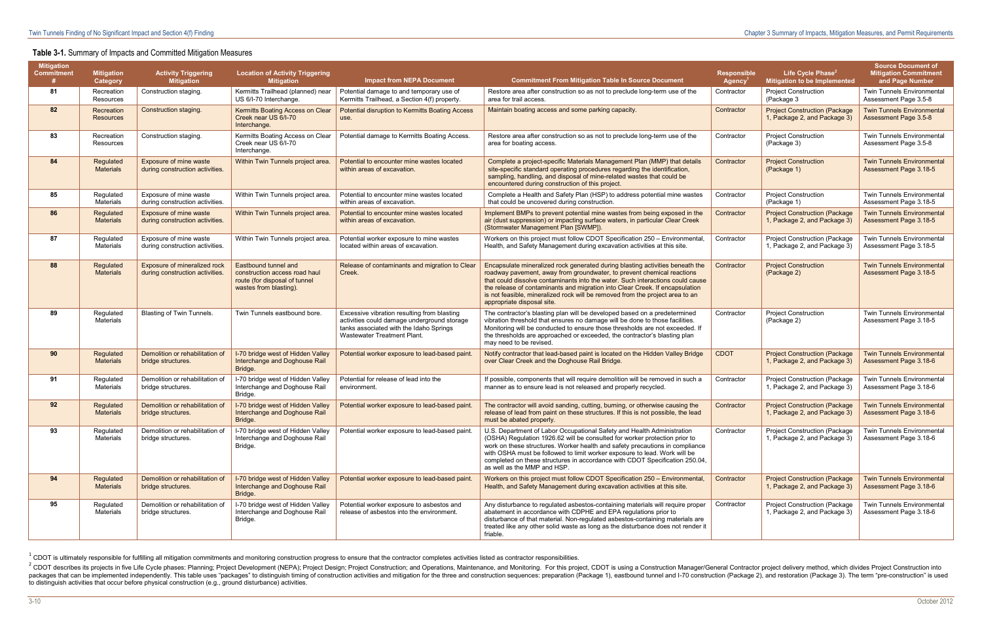#### **Table 3-1.** Summary of Impacts and Committed Mitigation Measures

| <b>Mitigation</b><br>Commitment | <b>Mitigation</b><br>Category  | <b>Activity Triggering</b><br><b>Mitigation</b>                 | <b>Location of Activity Triggering</b><br><b>Mitigation</b>                                                      | <b>Impact from NEPA Document</b>                                                                                                                                            | <b>Commitment From Mitigation Table In Source Document</b>                                                                                                                                                                                                                                                                                                                                                                               | <b>Responsible</b><br>Agency | Life Cycle Phase <sup>2</sup><br>Mitigation to be Implemented         | <b>Source Document of</b><br><b>Mitigation Commitment</b><br>and Page Number |
|---------------------------------|--------------------------------|-----------------------------------------------------------------|------------------------------------------------------------------------------------------------------------------|-----------------------------------------------------------------------------------------------------------------------------------------------------------------------------|------------------------------------------------------------------------------------------------------------------------------------------------------------------------------------------------------------------------------------------------------------------------------------------------------------------------------------------------------------------------------------------------------------------------------------------|------------------------------|-----------------------------------------------------------------------|------------------------------------------------------------------------------|
| 81                              | Recreation<br>Resources        | Construction staging.                                           | Kermitts Trailhead (planned) near<br>US 6/I-70 Interchange.                                                      | Potential damage to and temporary use of<br>Kermitts Trailhead, a Section 4(f) property.                                                                                    | Restore area after construction so as not to preclude long-term use of the<br>area for trail access.                                                                                                                                                                                                                                                                                                                                     | Contractor                   | <b>Project Construction</b><br>(Package 3                             | Twin Tunnels Environmental<br>Assessment Page 3.5-8                          |
| 82                              | Recreation<br><b>Resources</b> | <b>Construction staging.</b>                                    | Kermitts Boating Access on Clear<br>Creek near US 6/I-70<br>Interchange.                                         | <b>Potential disruption to Kermitts Boating Access</b><br>use.                                                                                                              | Maintain boating access and some parking capacity.                                                                                                                                                                                                                                                                                                                                                                                       | Contractor                   | <b>Project Construction (Package)</b><br>1, Package 2, and Package 3) | <b>Twin Tunnels Environmental</b><br>Assessment Page 3.5-8                   |
| 83                              | Recreation<br><b>Resources</b> | Construction staging.                                           | Kermitts Boating Access on Clear<br>Creek near US 6/I-70<br>Interchange.                                         | Potential damage to Kermitts Boating Access                                                                                                                                 | Restore area after construction so as not to preclude long-term use of the<br>area for boating access.                                                                                                                                                                                                                                                                                                                                   | Contractor                   | <b>Project Construction</b><br>(Package 3)                            | <b>Twin Tunnels Environmental</b><br>Assessment Page 3.5-8                   |
| 84                              | Regulated<br><b>Materials</b>  | Exposure of mine waste<br>during construction activities.       | Within Twin Tunnels project area.                                                                                | Potential to encounter mine wastes located<br>within areas of excavation.                                                                                                   | Complete a project-specific Materials Management Plan (MMP) that details<br>site-specific standard operating procedures regarding the identification,<br>sampling, handling, and disposal of mine-related wastes that could be<br>encountered during construction of this project.                                                                                                                                                       | Contractor                   | <b>Project Construction</b><br>(Package 1)                            | <b>Twin Tunnels Environmental</b><br>Assessment Page 3.18-5                  |
| 85                              | Regulated<br><b>Materials</b>  | Exposure of mine waste<br>during construction activities.       | Within Twin Tunnels project area.                                                                                | Potential to encounter mine wastes located<br>within areas of excavation.                                                                                                   | Complete a Health and Safety Plan (HSP) to address potential mine wastes<br>that could be uncovered during construction.                                                                                                                                                                                                                                                                                                                 | Contractor                   | <b>Project Construction</b><br>(Package 1)                            | <b>Twin Tunnels Environmental</b><br>Assessment Page 3.18-5                  |
| 86                              | Regulated<br><b>Materials</b>  | Exposure of mine waste<br>during construction activities.       | Within Twin Tunnels project area.                                                                                | Potential to encounter mine wastes located<br>within areas of excavation.                                                                                                   | Implement BMPs to prevent potential mine wastes from being exposed in the<br>air (dust suppression) or impacting surface waters, in particular Clear Creek<br>(Stormwater Management Plan [SWMP]).                                                                                                                                                                                                                                       | Contractor                   | <b>Project Construction (Package)</b><br>1, Package 2, and Package 3) | <b>Twin Tunnels Environmental</b><br>Assessment Page 3.18-5                  |
| 87                              | Regulated<br>Materials         | Exposure of mine waste<br>during construction activities.       | Within Twin Tunnels project area.                                                                                | Potential worker exposure to mine wastes<br>located within areas of excavation.                                                                                             | Workers on this project must follow CDOT Specification 250 - Environmental,<br>Health, and Safety Management during excavation activities at this site.                                                                                                                                                                                                                                                                                  | Contractor                   | <b>Project Construction (Package</b><br>1, Package 2, and Package 3)  | <b>Twin Tunnels Environmental</b><br>Assessment Page 3.18-5                  |
| 88                              | Regulated<br><b>Materials</b>  | Exposure of mineralized rock<br>during construction activities. | Eastbound tunnel and<br>construction access road haul<br>route (for disposal of tunnel<br>wastes from blasting). | Release of contaminants and migration to Clear<br>Creek.                                                                                                                    | Encapsulate mineralized rock generated during blasting activities beneath the<br>roadway pavement, away from groundwater, to prevent chemical reactions<br>that could dissolve contaminants into the water. Such interactions could cause<br>the release of contaminants and migration into Clear Creek. If encapsulation<br>is not feasible, mineralized rock will be removed from the project area to an<br>appropriate disposal site. | Contractor                   | <b>Project Construction</b><br>(Package 2)                            | <b>Twin Tunnels Environmental</b><br>Assessment Page 3.18-5                  |
| 89                              | Regulated<br>Materials         | <b>Blasting of Twin Tunnels</b>                                 | Twin Tunnels eastbound bore                                                                                      | Excessive vibration resulting from blasting<br>activities could damage underground storage<br>tanks associated with the Idaho Springs<br><b>Wastewater Treatment Plant.</b> | The contractor's blasting plan will be developed based on a predetermined<br>vibration threshold that ensures no damage will be done to those facilities.<br>Monitoring will be conducted to ensure those thresholds are not exceeded. If<br>the thresholds are approached or exceeded, the contractor's blasting plan<br>may need to be revised.                                                                                        | Contractor                   | <b>Project Construction</b><br>(Package 2)                            | <b>Twin Tunnels Environmental</b><br>Assessment Page 3.18-5                  |
| 90                              | Regulated<br><b>Materials</b>  | Demolition or rehabilitation of<br>bridge structures.           | I-70 bridge west of Hidden Valley<br>Interchange and Doghouse Rail<br>Bridge.                                    | Potential worker exposure to lead-based paint.                                                                                                                              | Notify contractor that lead-based paint is located on the Hidden Valley Bridge<br>over Clear Creek and the Doghouse Rail Bridge.                                                                                                                                                                                                                                                                                                         | <b>CDOT</b>                  | <b>Project Construction (Package)</b><br>1, Package 2, and Package 3) | <b>Twin Tunnels Environmental</b><br>Assessment Page 3.18-6                  |
| 91                              | Regulated<br><b>Materials</b>  | Demolition or rehabilitation of<br>bridge structures.           | I-70 bridge west of Hidden Valley<br>Interchange and Doghouse Rail<br>Bridge.                                    | Potential for release of lead into the<br>environment.                                                                                                                      | If possible, components that will require demolition will be removed in such a<br>manner as to ensure lead is not released and properly recycled.                                                                                                                                                                                                                                                                                        | Contractor                   | <b>Project Construction (Package</b><br>1, Package 2, and Package 3)  | <b>Twin Tunnels Environmental</b><br>Assessment Page 3.18-6                  |
| 92                              | Regulated<br><b>Materials</b>  | Demolition or rehabilitation of<br>bridge structures.           | I-70 bridge west of Hidden Valley<br>Interchange and Doghouse Rail<br>Bridge.                                    | Potential worker exposure to lead-based paint                                                                                                                               | The contractor will avoid sanding, cutting, burning, or otherwise causing the<br>release of lead from paint on these structures. If this is not possible, the lead<br>must be abated properly.                                                                                                                                                                                                                                           | Contractor                   | <b>Project Construction (Package)</b><br>1, Package 2, and Package 3) | <b>Twin Tunnels Environmental</b><br>Assessment Page 3.18-6                  |
| 93                              | Regulated<br>Materials         | Demolition or rehabilitation of<br>bridge structures.           | I-70 bridge west of Hidden Valley<br>Interchange and Doghouse Rail<br>Bridge.                                    | Potential worker exposure to lead-based paint.                                                                                                                              | U.S. Department of Labor Occupational Safety and Health Administration<br>(OSHA) Regulation 1926.62 will be consulted for worker protection prior to<br>work on these structures. Worker health and safety precautions in compliance<br>with OSHA must be followed to limit worker exposure to lead. Work will be<br>completed on these structures in accordance with CDOT Specification 250.04,<br>as well as the MMP and HSP.          | Contractor                   | <b>Project Construction (Package</b><br>1, Package 2, and Package 3)  | <b>Twin Tunnels Environmental</b><br>Assessment Page 3.18-6                  |
| 94                              | Regulated<br><b>Materials</b>  | Demolition or rehabilitation of<br>bridge structures.           | I-70 bridge west of Hidden Valley<br>Interchange and Doghouse Rail<br>Bridge.                                    | Potential worker exposure to lead-based paint.                                                                                                                              | Workers on this project must follow CDOT Specification 250 - Environmental,<br>Health, and Safety Management during excavation activities at this site.                                                                                                                                                                                                                                                                                  | Contractor                   | <b>Project Construction (Package)</b><br>1, Package 2, and Package 3) | <b>Twin Tunnels Environmental</b><br>Assessment Page 3.18-6                  |
| 95                              | Regulated<br>Materials         | Demolition or rehabilitation of<br>bridge structures.           | I-70 bridge west of Hidden Valley<br>Interchange and Doghouse Rail<br>Bridge.                                    | Potential worker exposure to asbestos and<br>release of asbestos into the environment.                                                                                      | Any disturbance to regulated asbestos-containing materials will require proper<br>abatement in accordance with CDPHE and EPA regulations prior to<br>disturbance of that material. Non-regulated asbestos-containing materials are<br>treated like any other solid waste as long as the disturbance does not render it<br>friable.                                                                                                       | Contractor                   | Project Construction (Package<br>1, Package 2, and Package 3)         | Twin Tunnels Environmental<br>Assessment Page 3.18-6                         |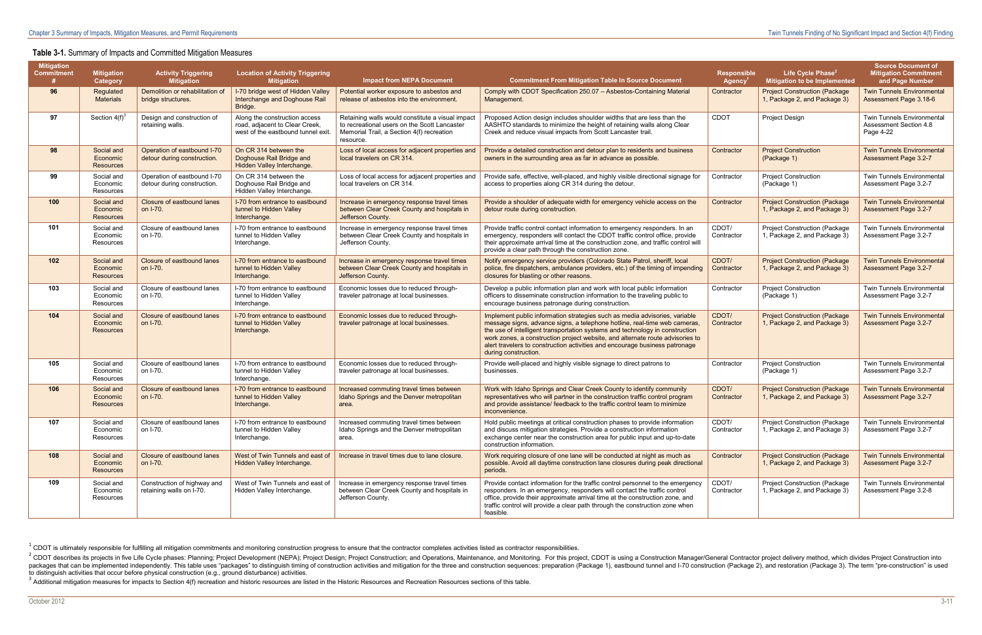<sup>3</sup> Additional mitigation measures for impacts to Section 4(f) recreation and historic resources are listed in the Historic Resources and Recreation Resources sections of this table.

#### **Table 3-1.** Summary of Impacts and Committed Mitigation Measures

| <b>Mitigation</b><br>Commitment | <b>Mitigation</b><br>Category              | <b>Activity Triggering</b><br><b>Mitigation</b>            | <b>Location of Activity Triggering</b><br><b>Mitigation</b>                                          | <b>Impact from NEPA Document</b>                                                                                                                           | <b>Commitment From Mitigation Table In Source Document</b>                                                                                                                                                                                                                                                                                                                                                                      | <b>Responsible</b><br>Agency | Life Cycle Phase <sup>2</sup><br>Mitigation to be Implemented         | <b>Source Document of</b><br><b>Mitigation Commitment</b><br>and Page Number    |
|---------------------------------|--------------------------------------------|------------------------------------------------------------|------------------------------------------------------------------------------------------------------|------------------------------------------------------------------------------------------------------------------------------------------------------------|---------------------------------------------------------------------------------------------------------------------------------------------------------------------------------------------------------------------------------------------------------------------------------------------------------------------------------------------------------------------------------------------------------------------------------|------------------------------|-----------------------------------------------------------------------|---------------------------------------------------------------------------------|
| 96                              | Regulated<br><b>Materials</b>              | Demolition or rehabilitation of<br>bridge structures.      | I-70 bridge west of Hidden Valley<br>Interchange and Doghouse Rail<br>Bridge.                        | Potential worker exposure to asbestos and<br>release of asbestos into the environment.                                                                     | Comply with CDOT Specification 250.07 - Asbestos-Containing Material<br>Management.                                                                                                                                                                                                                                                                                                                                             | Contractor                   | <b>Project Construction (Package</b><br>1, Package 2, and Package 3)  | <b>Twin Tunnels Environmental</b><br>Assessment Page 3.18-6                     |
| 97                              | Section $4(f)^3$                           | Design and construction of<br>retaining walls.             | Along the construction access<br>road, adjacent to Clear Creek,<br>west of the eastbound tunnel exit | Retaining walls would constitute a visual impact<br>to recreational users on the Scott Lancaster<br>Memorial Trail, a Section 4(f) recreation<br>resource. | Proposed Action design includes shoulder widths that are less than the<br>AASHTO standards to minimize the height of retaining walls along Clear<br>Creek and reduce visual impacts from Scott Lancaster trail.                                                                                                                                                                                                                 | <b>CDOT</b>                  | Project Design                                                        | <b>Twin Tunnels Environmental</b><br><b>Assessment Section 4.8</b><br>Page 4-22 |
| 98                              | Social and<br>Economic<br><b>Resources</b> | Operation of eastbound I-70<br>detour during construction. | On CR 314 between the<br>Doghouse Rail Bridge and<br>Hidden Valley Interchange.                      | Loss of local access for adjacent properties and<br>local travelers on CR 314.                                                                             | Provide a detailed construction and detour plan to residents and business<br>owners in the surrounding area as far in advance as possible.                                                                                                                                                                                                                                                                                      | Contractor                   | <b>Project Construction</b><br>(Package 1)                            | <b>Twin Tunnels Environmental</b><br><b>Assessment Page 3.2-7</b>               |
| 99                              | Social and<br>Economic<br>Resources        | Operation of eastbound I-70<br>detour during construction. | On CR 314 between the<br>Doghouse Rail Bridge and<br>Hidden Valley Interchange.                      | Loss of local access for adjacent properties and<br>local travelers on CR 314.                                                                             | Provide safe, effective, well-placed, and highly visible directional signage for<br>access to properties along CR 314 during the detour.                                                                                                                                                                                                                                                                                        | Contractor                   | <b>Project Construction</b><br>(Package 1)                            | <b>Twin Tunnels Environmental</b><br>Assessment Page 3.2-7                      |
| 100                             | Social and<br>Economic<br><b>Resources</b> | Closure of eastbound lanes<br>on I-70.                     | I-70 from entrance to eastbound<br>tunnel to Hidden Valley<br>Interchange.                           | Increase in emergency response travel times<br>between Clear Creek County and hospitals in<br>Jefferson County.                                            | Provide a shoulder of adequate width for emergency vehicle access on the<br>detour route during construction.                                                                                                                                                                                                                                                                                                                   | Contractor                   | <b>Project Construction (Package</b><br>1, Package 2, and Package 3)  | <b>Twin Tunnels Environmental</b><br>Assessment Page 3.2-7                      |
| 101                             | Social and<br>Economic<br>Resources        | Closure of eastbound lanes<br>on I-70.                     | I-70 from entrance to eastbound<br>tunnel to Hidden Valley<br>Interchange.                           | Increase in emergency response travel times<br>between Clear Creek County and hospitals in<br>Jefferson County.                                            | Provide traffic control contact information to emergency responders. In an<br>emergency, responders will contact the CDOT traffic control office, provide<br>their approximate arrival time at the construction zone, and traffic control will<br>provide a clear path through the construction zone.                                                                                                                           | CDOT/<br>Contractor          | <b>Project Construction (Package</b><br>1, Package 2, and Package 3)  | <b>Twin Tunnels Environmental</b><br>Assessment Page 3.2-7                      |
| 102 <sub>2</sub>                | Social and<br>Economic<br><b>Resources</b> | Closure of eastbound lanes<br>on I-70.                     | I-70 from entrance to eastbound<br>tunnel to Hidden Valley<br>Interchange.                           | Increase in emergency response travel times<br>between Clear Creek County and hospitals in<br>Jefferson County.                                            | Notify emergency service providers (Colorado State Patrol, sheriff, local<br>police, fire dispatchers, ambulance providers, etc.) of the timing of impending<br>closures for blasting or other reasons.                                                                                                                                                                                                                         | CDOT/<br>Contractor          | <b>Project Construction (Package</b><br>1, Package 2, and Package 3)  | <b>Twin Tunnels Environmental</b><br>Assessment Page 3.2-7                      |
| 103                             | Social and<br>Economic<br>Resources        | Closure of eastbound lanes<br>on I-70.                     | I-70 from entrance to eastbound<br>tunnel to Hidden Valley<br>Interchange.                           | Economic losses due to reduced through-<br>traveler patronage at local businesses.                                                                         | Develop a public information plan and work with local public information<br>officers to disseminate construction information to the traveling public to<br>encourage business patronage during construction.                                                                                                                                                                                                                    | Contractor                   | <b>Project Construction</b><br>(Package 1)                            | <b>Twin Tunnels Environmental</b><br>Assessment Page 3.2-7                      |
| 104                             | Social and<br>Economic<br>Resources        | Closure of eastbound lanes<br>on I-70.                     | I-70 from entrance to eastbound<br>tunnel to Hidden Valley<br>Interchange.                           | Economic losses due to reduced through-<br>traveler patronage at local businesses.                                                                         | Implement public information strategies such as media advisories, variable<br>message signs, advance signs, a telephone hotline, real-time web cameras,<br>the use of intelligent transportation systems and technology in construction<br>work zones, a construction project website, and alternate route advisories to<br>alert travelers to construction activities and encourage business patronage<br>during construction. | CDOT/<br>Contractor          | <b>Project Construction (Package)</b><br>1, Package 2, and Package 3) | <b>Twin Tunnels Environmental</b><br><b>Assessment Page 3.2-7</b>               |
| 105                             | Social and<br>Economic<br>Resources        | Closure of eastbound lanes<br>on I-70.                     | I-70 from entrance to eastbound<br>tunnel to Hidden Valley<br>Interchange.                           | Economic losses due to reduced through-<br>traveler patronage at local businesses.                                                                         | Provide well-placed and highly visible signage to direct patrons to<br>businesses.                                                                                                                                                                                                                                                                                                                                              | Contractor                   | <b>Project Construction</b><br>(Package 1)                            | <b>Twin Tunnels Environmental</b><br>Assessment Page 3.2-7                      |
| 106                             | Social and<br>Economic<br><b>Resources</b> | Closure of eastbound lanes<br>on I-70.                     | I-70 from entrance to eastbound<br>tunnel to Hidden Valley<br>Interchange.                           | Increased commuting travel times between<br>Idaho Springs and the Denver metropolitan<br>area.                                                             | Work with Idaho Springs and Clear Creek County to identify community<br>representatives who will partner in the construction traffic control program<br>and provide assistance/ feedback to the traffic control team to minimize<br>inconvenience.                                                                                                                                                                              | CDOT/<br>Contractor          | <b>Project Construction (Package)</b><br>1, Package 2, and Package 3) | <b>Twin Tunnels Environmental</b><br>Assessment Page 3.2-7                      |
| 107                             | Social and<br>Economic<br>Resources        | Closure of eastbound lanes<br>on I-70.                     | 1-70 from entrance to eastbound<br>tunnel to Hidden Valley<br>Interchange.                           | Increased commuting travel times between<br>Idaho Springs and the Denver metropolitan<br>area.                                                             | Hold public meetings at critical construction phases to provide information<br>and discuss mitigation strategies. Provide a construction information<br>exchange center near the construction area for public input and up-to-date<br>construction information.                                                                                                                                                                 | CDOT/<br>Contractor          | <b>Project Construction (Package</b><br>1, Package 2, and Package 3)  | Twin Tunnels Environmental<br>Assessment Page 3.2-7                             |
| 108                             | Social and<br>Economic<br><b>Resources</b> | Closure of eastbound lanes<br>on I-70.                     | West of Twin Tunnels and east of<br>Hidden Valley Interchange.                                       | Increase in travel times due to lane closure.                                                                                                              | Work requiring closure of one lane will be conducted at night as much as<br>possible. Avoid all daytime construction lane closures during peak directional<br>periods.                                                                                                                                                                                                                                                          | Contractor                   | <b>Project Construction (Package</b><br>1, Package 2, and Package 3)  | <b>Twin Tunnels Environmental</b><br>Assessment Page 3.2-7                      |
| 109                             | Social and<br>Economic<br>Resources        | Construction of highway and<br>retaining walls on I-70.    | West of Twin Tunnels and east of<br>Hidden Valley Interchange.                                       | Increase in emergency response travel times<br>between Clear Creek County and hospitals in<br>Jefferson County.                                            | Provide contact information for the traffic control personnel to the emergency<br>responders. In an emergency, responders will contact the traffic control<br>office, provide their approximate arrival time at the construction zone, and<br>traffic control will provide a clear path through the construction zone when<br>feasible.                                                                                         | CDOT/<br>Contractor          | <b>Project Construction (Package</b><br>1, Package 2, and Package 3)  | <b>Twin Tunnels Environmental</b><br>Assessment Page 3.2-8                      |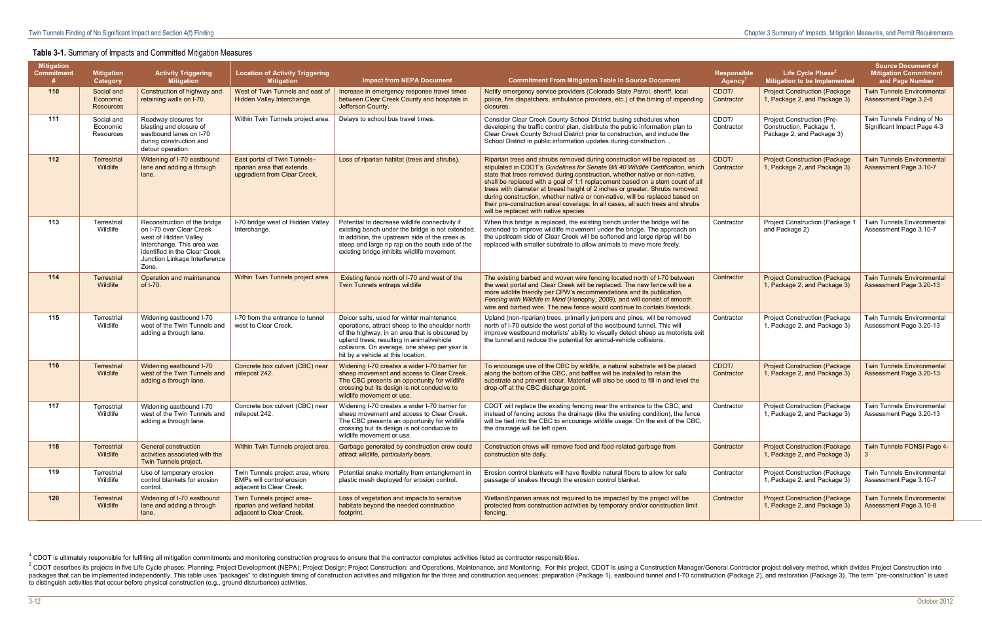### **Table 3-1.** Summary of Impacts and Committed Mitigation Measures

| <b>Mitigation</b><br>Commitment | <b>Mitigation</b><br>Category              | <b>Activity Triggering</b><br><b>Mitigation</b>                                                                                                                                            | <b>Location of Activity Triggering</b><br><b>Mitigation</b>                                | <b>Impact from NEPA Document</b>                                                                                                                                                                                                                                                   | <b>Commitment From Mitigation Table In Source Document</b>                                                                                                                                                                                                                                                                                                                                                                                                                                                                                                                                                              | <b>Responsible</b><br><b>Agency</b> | Life Cycle Phase <sup>2</sup><br>Mitigation to be Implemented                              | <b>Source Document of</b><br><b>Mitigation Commitment</b><br>and Page Number |
|---------------------------------|--------------------------------------------|--------------------------------------------------------------------------------------------------------------------------------------------------------------------------------------------|--------------------------------------------------------------------------------------------|------------------------------------------------------------------------------------------------------------------------------------------------------------------------------------------------------------------------------------------------------------------------------------|-------------------------------------------------------------------------------------------------------------------------------------------------------------------------------------------------------------------------------------------------------------------------------------------------------------------------------------------------------------------------------------------------------------------------------------------------------------------------------------------------------------------------------------------------------------------------------------------------------------------------|-------------------------------------|--------------------------------------------------------------------------------------------|------------------------------------------------------------------------------|
| 110                             | Social and<br>Economic<br><b>Resources</b> | Construction of highway and<br>retaining walls on I-70.                                                                                                                                    | West of Twin Tunnels and east of<br>Hidden Valley Interchange.                             | Increase in emergency response travel times<br>between Clear Creek County and hospitals in<br>Jefferson County.                                                                                                                                                                    | Notify emergency service providers (Colorado State Patrol, sheriff, local<br>police, fire dispatchers, ambulance providers, etc.) of the timing of impending<br>closures.                                                                                                                                                                                                                                                                                                                                                                                                                                               | CDOT/<br>Contractor                 | <b>Project Construction (Package)</b><br>1, Package 2, and Package 3)                      | <b>Twin Tunnels Environmental</b><br>Assessment Page 3.2-8                   |
| 111                             | Social and<br>Economic<br>Resources        | Roadway closures for<br>blasting and closure of<br>eastbound lanes on I-70<br>during construction and<br>detour operation.                                                                 | Within Twin Tunnels project area.                                                          | Delays to school bus travel times.                                                                                                                                                                                                                                                 | Consider Clear Creek County School District busing schedules when<br>developing the traffic control plan, distribute the public information plan to<br>Clear Creek County School District prior to construction, and include the<br>School District in public information updates during construction.                                                                                                                                                                                                                                                                                                                  | CDOT/<br>Contractor                 | <b>Project Construction (Pre-</b><br>Construction, Package 1,<br>Package 2, and Package 3) | Twin Tunnels Finding of No<br>Significant Impact Page 4-3                    |
| 112                             | <b>Terrestrial</b><br>Wildlife             | Widening of I-70 eastbound<br>lane and adding a through<br>lane.                                                                                                                           | East portal of Twin Tunnels-<br>riparian area that extends<br>upgradient from Clear Creek. | Loss of riparian habitat (trees and shrubs).                                                                                                                                                                                                                                       | Riparian trees and shrubs removed during construction will be replaced as<br>stipulated in CDOT's Guidelines for Senate Bill 40 Wildlife Certification, which<br>state that trees removed during construction, whether native or non-native,<br>shall be replaced with a goal of 1:1 replacement based on a stem count of all<br>trees with diameter at breast height of 2 inches or greater. Shrubs removed<br>during construction, whether native or non-native, will be replaced based on<br>their pre-construction areal coverage. In all cases, all such trees and shrubs<br>will be replaced with native species. | CDOT/<br>Contractor                 | <b>Project Construction (Package)</b><br>1, Package 2, and Package 3)                      | <b>Twin Tunnels Environmental</b><br>Assessment Page 3.10-7                  |
| 113                             | Terrestrial<br>Wildlife                    | Reconstruction of the bridge<br>on I-70 over Clear Creek<br>west of Hidden Valley<br>Interchange. This area was<br>identified in the Clear Creek<br>Junction Linkage Interference<br>Zone. | I-70 bridge west of Hidden Valley<br>Interchange.                                          | Potential to decrease wildlife connectivity if<br>existing bench under the bridge is not extended<br>In addition, the upstream side of the creek is<br>steep and large rip rap on the south side of the<br>existing bridge inhibits wildlife movement.                             | When this bridge is replaced, the existing bench under the bridge will be<br>extended to improve wildlife movement under the bridge. The approach on<br>the upstream side of Clear Creek will be softened and large riprap will be<br>replaced with smaller substrate to allow animals to move more freely.                                                                                                                                                                                                                                                                                                             | Contractor                          | Project Construction (Package 1<br>and Package 2)                                          | <b>Twin Tunnels Environmental</b><br>Assessment Page 3.10-7                  |
| 114                             | <b>Terrestrial</b><br>Wildlife             | Operation and maintenance<br>of I-70.                                                                                                                                                      | Within Twin Tunnels project area.                                                          | Existing fence north of I-70 and west of the<br>Twin Tunnels entraps wildlife                                                                                                                                                                                                      | The existing barbed and woven wire fencing located north of I-70 between<br>the west portal and Clear Creek will be replaced. The new fence will be a<br>more wildlife friendly per CPW's recommendations and its publication,<br>Fencing with Wildlife in Mind (Hanophy, 2009), and will consist of smooth<br>wire and barbed wire. The new fence would continue to contain livestock.                                                                                                                                                                                                                                 | Contractor                          | <b>Project Construction (Package)</b><br>1, Package 2, and Package 3)                      | <b>Twin Tunnels Environmental</b><br>Assessment Page 3.20-13                 |
| 115                             | Terrestrial<br>Wildlife                    | Widening eastbound I-70<br>west of the Twin Tunnels and<br>adding a through lane.                                                                                                          | I-70 from the entrance to tunnel<br>west to Clear Creek.                                   | Deicer salts, used for winter maintenance<br>operations, attract sheep to the shoulder north<br>of the highway, in an area that is obscured by<br>upland trees, resulting in animal/vehicle<br>collisions. On average, one sheep per year is<br>hit by a vehicle at this location. | Upland (non-riparian) trees, primarily junipers and pines, will be removed<br>north of I-70 outside the west portal of the westbound tunnel. This will<br>improve westbound motorists' ability to visually detect sheep as motorists exit<br>the tunnel and reduce the potential for animal-vehicle collisions.                                                                                                                                                                                                                                                                                                         | Contractor                          | Project Construction (Package<br>1, Package 2, and Package 3)                              | <b>Twin Tunnels Environmental</b><br>Assessment Page 3.20-13                 |
| 116                             | <b>Terrestrial</b><br>Wildlife             | Widening eastbound I-70<br>west of the Twin Tunnels and<br>adding a through lane.                                                                                                          | Concrete box culvert (CBC) near<br>milepost 242.                                           | Widening I-70 creates a wider I-70 barrier for<br>sheep movement and access to Clear Creek.<br>The CBC presents an opportunity for wildlife<br>crossing but its design is not conducive to<br>wildlife movement or use                                                             | To encourage use of the CBC by wildlife, a natural substrate will be placed<br>along the bottom of the CBC, and baffles will be installed to retain the<br>substrate and prevent scour. Material will also be used to fill in and level the<br>drop-off at the CBC discharge point.                                                                                                                                                                                                                                                                                                                                     | CDOT/<br>Contractor                 | <b>Project Construction (Package)</b><br>1, Package 2, and Package 3)                      | <b>Twin Tunnels Environmental</b><br>Assessment Page 3.20-13                 |
| 117                             | Terrestrial<br>Wildlife                    | Widening eastbound I-70<br>west of the Twin Tunnels and<br>adding a through lane.                                                                                                          | Concrete box culvert (CBC) near<br>milepost 242.                                           | Widening I-70 creates a wider I-70 barrier for<br>sheep movement and access to Clear Creek.<br>The CBC presents an opportunity for wildlife<br>crossing but its design is not conducive to<br>wildlife movement or use.                                                            | CDOT will replace the existing fencing near the entrance to the CBC, and<br>instead of fencing across the drainage (like the existing condition), the fence<br>will be tied into the CBC to encourage wildlife usage. On the exit of the CBC,<br>the drainage will be left open.                                                                                                                                                                                                                                                                                                                                        | Contractor                          | <b>Project Construction (Package)</b><br>1, Package 2, and Package 3)                      | <b>Twin Tunnels Environmental</b><br>Assessment Page 3.20-13                 |
| 118                             | <b>Terrestrial</b><br>Wildlife             | <b>General construction</b><br>activities associated with the<br>Twin Tunnels project.                                                                                                     | Within Twin Tunnels project area.                                                          | Garbage generated by construction crew could<br>attract wildlife, particularly bears.                                                                                                                                                                                              | Construction crews will remove food and food-related garbage from<br>construction site daily.                                                                                                                                                                                                                                                                                                                                                                                                                                                                                                                           | Contractor                          | <b>Project Construction (Package)</b><br>1, Package 2, and Package 3)                      | Twin Tunnels FONSI Page 4-                                                   |
| 119                             | Terrestrial<br>Wildlife                    | Use of temporary erosion<br>control blankets for erosion<br>control.                                                                                                                       | Twin Tunnels project area, where<br>BMPs will control erosion<br>adjacent to Clear Creek.  | Potential snake mortality from entanglement in<br>plastic mesh deployed for erosion control.                                                                                                                                                                                       | Erosion control blankets will have flexible natural fibers to allow for safe<br>passage of snakes through the erosion control blanket.                                                                                                                                                                                                                                                                                                                                                                                                                                                                                  | Contractor                          | Project Construction (Package<br>1, Package 2, and Package 3)                              | Twin Tunnels Environmental<br>Assessment Page 3.10-7                         |
| 120                             | <b>Terrestrial</b><br>Wildlife             | Widening of I-70 eastbound<br>lane and adding a through<br>lane.                                                                                                                           | Twin Tunnels project area-<br>riparian and wetland habitat<br>adjacent to Clear Creek.     | Loss of vegetation and impacts to sensitive<br>habitats beyond the needed construction<br>footprint.                                                                                                                                                                               | Wetland/riparian areas not required to be impacted by the project will be<br>protected from construction activities by temporary and/or construction limit<br>fencing.                                                                                                                                                                                                                                                                                                                                                                                                                                                  | Contractor                          | <b>Project Construction (Package)</b><br>1, Package 2, and Package 3)                      | <b>Twin Tunnels Environmental</b><br>Assessment Page 3.10-8                  |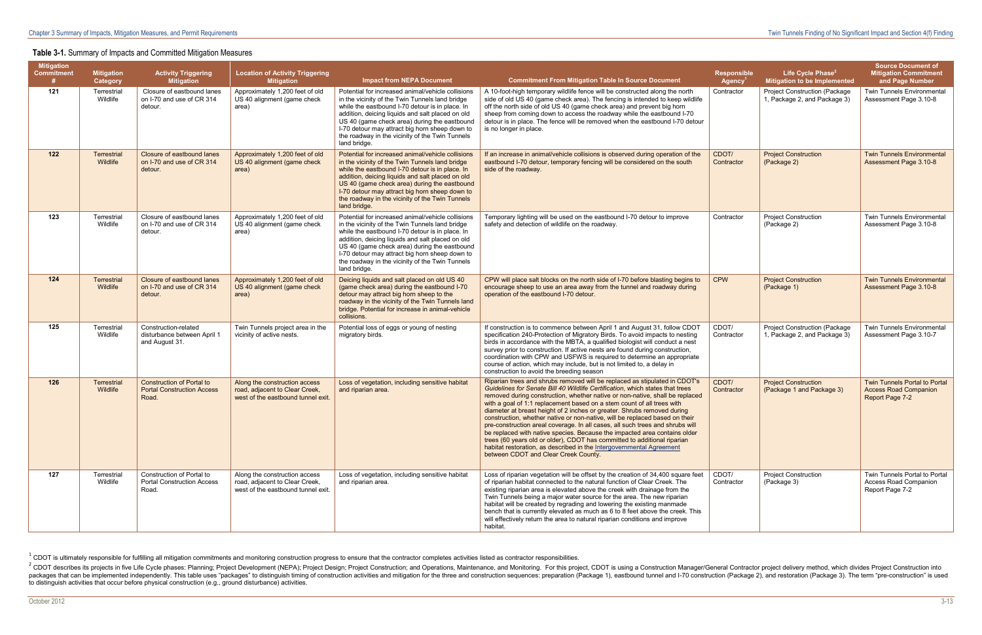#### **Table 3-1.** Summary of Impacts and Committed Mitigation Measures

| <b>Mitigation</b><br>Commitment | <b>Mitigation</b><br>Category  | <b>Activity Triggering</b><br><b>Mitigation</b>                         | <b>Location of Activity Triggering</b><br><b>Mitigation</b>                                           | <b>Impact from NEPA Document</b>                                                                                                                                                                                                                                                                                                                                                 | <b>Commitment From Mitigation Table In Source Document</b>                                                                                                                                                                                                                                                                                                                                                                                                                                                                                                                                                                                                                                                                                                                                                                                | <b>Responsible</b><br><b>Agency</b> | Life Cycle Phase <sup>2</sup><br>Mitigation to be Implemented        | <b>Source Document of</b><br><b>Mitigation Commitment</b><br>and Page Number     |
|---------------------------------|--------------------------------|-------------------------------------------------------------------------|-------------------------------------------------------------------------------------------------------|----------------------------------------------------------------------------------------------------------------------------------------------------------------------------------------------------------------------------------------------------------------------------------------------------------------------------------------------------------------------------------|-------------------------------------------------------------------------------------------------------------------------------------------------------------------------------------------------------------------------------------------------------------------------------------------------------------------------------------------------------------------------------------------------------------------------------------------------------------------------------------------------------------------------------------------------------------------------------------------------------------------------------------------------------------------------------------------------------------------------------------------------------------------------------------------------------------------------------------------|-------------------------------------|----------------------------------------------------------------------|----------------------------------------------------------------------------------|
| 121                             | Terrestrial<br>Wildlife        | Closure of eastbound lanes<br>on I-70 and use of CR 314<br>detour.      | Approximately 1,200 feet of old<br>US 40 alignment (game check<br>area)                               | Potential for increased animal/vehicle collisions<br>in the vicinity of the Twin Tunnels land bridge<br>while the eastbound I-70 detour is in place. In<br>addition, deicing liquids and salt placed on old<br>US 40 (game check area) during the eastbound<br>I-70 detour may attract big horn sheep down to<br>the roadway in the vicinity of the Twin Tunnels<br>land bridge. | A 10-foot-high temporary wildlife fence will be constructed along the north<br>side of old US 40 (game check area). The fencing is intended to keep wildlife<br>off the north side of old US 40 (game check area) and prevent big horn<br>sheep from coming down to access the roadway while the eastbound I-70<br>detour is in place. The fence will be removed when the eastbound I-70 detour<br>is no longer in place.                                                                                                                                                                                                                                                                                                                                                                                                                 | Contractor                          | <b>Project Construction (Package</b><br>1, Package 2, and Package 3) | Twin Tunnels Environmental<br>Assessment Page 3.10-8                             |
| 122                             | <b>Terrestrial</b><br>Wildlife | Closure of eastbound lanes<br>on I-70 and use of CR 314<br>detour.      | Approximately 1,200 feet of old<br>US 40 alignment (game check<br>area)                               | Potential for increased animal/vehicle collisions<br>in the vicinity of the Twin Tunnels land bridge<br>while the eastbound I-70 detour is in place. In<br>addition, deicing liquids and salt placed on old<br>US 40 (game check area) during the eastbound<br>I-70 detour may attract big horn sheep down to<br>the roadway in the vicinity of the Twin Tunnels<br>land bridge. | If an increase in animal/vehicle collisions is observed during operation of the<br>eastbound I-70 detour, temporary fencing will be considered on the south<br>side of the roadway.                                                                                                                                                                                                                                                                                                                                                                                                                                                                                                                                                                                                                                                       | CDOT/<br>Contractor                 | <b>Project Construction</b><br>(Package 2)                           | <b>Twin Tunnels Environmental</b><br>Assessment Page 3.10-8                      |
| 123                             | Terrestrial<br>Wildlife        | Closure of eastbound lanes<br>on I-70 and use of CR 314<br>detour.      | Approximately 1,200 feet of old<br>US 40 alignment (game check<br>area)                               | Potential for increased animal/vehicle collisions<br>in the vicinity of the Twin Tunnels land bridge<br>while the eastbound I-70 detour is in place. In<br>addition, deicing liquids and salt placed on old<br>US 40 (game check area) during the eastbound<br>I-70 detour may attract big horn sheep down to<br>the roadway in the vicinity of the Twin Tunnels<br>land bridge. | Temporary lighting will be used on the eastbound I-70 detour to improve<br>safety and detection of wildlife on the roadway.                                                                                                                                                                                                                                                                                                                                                                                                                                                                                                                                                                                                                                                                                                               | Contractor                          | <b>Project Construction</b><br>(Package 2)                           | <b>Twin Tunnels Environmental</b><br>Assessment Page 3.10-8                      |
| 124                             | <b>Terrestrial</b><br>Wildlife | Closure of eastbound lanes<br>on I-70 and use of CR 314<br>detour.      | Approximately 1,200 feet of old<br>US 40 alignment (game check<br>area)                               | Deicing liquids and salt placed on old US 40<br>(game check area) during the eastbound I-70<br>detour may attract big horn sheep to the<br>roadway in the vicinity of the Twin Tunnels land<br>bridge. Potential for increase in animal-vehicle<br>collisions.                                                                                                                   | CPW will place salt blocks on the north side of I-70 before blasting begins to<br>encourage sheep to use an area away from the tunnel and roadway during<br>operation of the eastbound I-70 detour.                                                                                                                                                                                                                                                                                                                                                                                                                                                                                                                                                                                                                                       | <b>CPW</b>                          | <b>Project Construction</b><br>(Package 1)                           | <b>Twin Tunnels Environmental</b><br>Assessment Page 3.10-8                      |
| 125                             | Terrestrial<br>Wildlife        | Construction-related<br>disturbance between April 1<br>and August 31.   | Twin Tunnels project area in the<br>vicinity of active nests.                                         | Potential loss of eggs or young of nesting<br>migratory birds.                                                                                                                                                                                                                                                                                                                   | If construction is to commence between April 1 and August 31, follow CDOT<br>specification 240-Protection of Migratory Birds. To avoid impacts to nesting<br>birds in accordance with the MBTA, a qualified biologist will conduct a nest<br>survey prior to construction. If active nests are found during construction,<br>coordination with CPW and USFWS is required to determine an appropriate<br>course of action, which may include, but is not limited to, a delay in<br>construction to avoid the breeding season                                                                                                                                                                                                                                                                                                               | CDOT/<br>Contractor                 | Project Construction (Package<br>1. Package 2, and Package 3)        | Twin Tunnels Environmental<br>Assessment Page 3.10-7                             |
| 126                             | Terrestrial<br>Wildlife        | Construction of Portal to<br><b>Portal Construction Access</b><br>Road. | Along the construction access<br>road, adjacent to Clear Creek,<br>west of the eastbound tunnel exit. | Loss of vegetation, including sensitive habitat<br>and riparian area.                                                                                                                                                                                                                                                                                                            | Riparian trees and shrubs removed will be replaced as stipulated in CDOT's<br>Guidelines for Senate Bill 40 Wildlife Certification, which states that trees<br>removed during construction, whether native or non-native, shall be replaced<br>with a goal of 1:1 replacement based on a stem count of all trees with<br>diameter at breast height of 2 inches or greater. Shrubs removed during<br>construction, whether native or non-native, will be replaced based on their<br>pre-construction areal coverage. In all cases, all such trees and shrubs will<br>be replaced with native species. Because the impacted area contains older<br>trees (60 years old or older), CDOT has committed to additional riparian<br>habitat restoration, as described in the Intergovernmental Agreement<br>between CDOT and Clear Creek County. | CDOT/<br>Contractor                 | <b>Project Construction</b><br>(Package 1 and Package 3)             | Twin Tunnels Portal to Portal<br><b>Access Road Companion</b><br>Report Page 7-2 |
| 127                             | Terrestrial<br>Wildlife        | Construction of Portal to<br><b>Portal Construction Access</b><br>Road. | Along the construction access<br>road, adjacent to Clear Creek,<br>west of the eastbound tunnel exit. | Loss of vegetation, including sensitive habitat<br>and riparian area.                                                                                                                                                                                                                                                                                                            | Loss of riparian vegetation will be offset by the creation of 34,400 square feet<br>of riparian habitat connected to the natural function of Clear Creek. The<br>existing riparian area is elevated above the creek with drainage from the<br>Twin Tunnels being a major water source for the area. The new riparian<br>habitat will be created by regrading and lowering the existing manmade<br>bench that is currently elevated as much as 6 to 8 feet above the creek. This<br>will effectively return the area to natural riparian conditions and improve<br>habitat.                                                                                                                                                                                                                                                                | CDOT/<br>Contractor                 | <b>Project Construction</b><br>(Package 3)                           | Twin Tunnels Portal to Portal<br>Access Road Companion<br>Report Page 7-2        |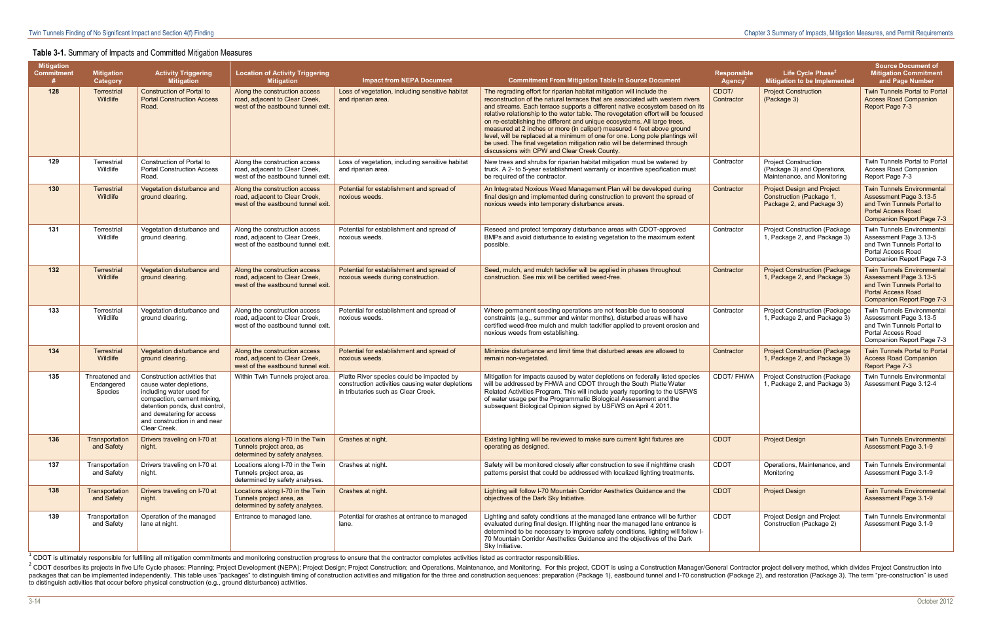#### **Table 3-1.** Summary of Impacts and Committed Mitigation Measures

| <b>Mitigation</b><br>Commitment | <b>Mitigation</b><br>Category           | <b>Activity Triggering</b><br><b>Mitigation</b>                                                                                                                                                                                  | <b>Location of Activity Triggering</b><br><b>Mitigation</b>                                           | <b>Impact from NEPA Document</b>                                                                                                     | <b>Commitment From Mitigation Table In Source Document</b>                                                                                                                                                                                                                                                                                                                                                                                                                                                                                                                                                                                                                                       | <b>Responsible</b><br><b>Agency</b> | Life Cycle Phase <sup>2</sup><br>Mitigation to be Implemented                              | <b>Source Document of</b><br><b>Mitigation Commitment</b><br>and Page Number                                                                               |
|---------------------------------|-----------------------------------------|----------------------------------------------------------------------------------------------------------------------------------------------------------------------------------------------------------------------------------|-------------------------------------------------------------------------------------------------------|--------------------------------------------------------------------------------------------------------------------------------------|--------------------------------------------------------------------------------------------------------------------------------------------------------------------------------------------------------------------------------------------------------------------------------------------------------------------------------------------------------------------------------------------------------------------------------------------------------------------------------------------------------------------------------------------------------------------------------------------------------------------------------------------------------------------------------------------------|-------------------------------------|--------------------------------------------------------------------------------------------|------------------------------------------------------------------------------------------------------------------------------------------------------------|
| 128                             | Terrestrial<br>Wildlife                 | <b>Construction of Portal to</b><br><b>Portal Construction Access</b><br>Road.                                                                                                                                                   | Along the construction access<br>road, adjacent to Clear Creek,<br>west of the eastbound tunnel exit. | Loss of vegetation, including sensitive habitat<br>and riparian area.                                                                | The regrading effort for riparian habitat mitigation will include the<br>reconstruction of the natural terraces that are associated with western rivers<br>and streams. Each terrace supports a different native ecosystem based on its<br>relative relationship to the water table. The revegetation effort will be focused<br>on re-establishing the different and unique ecosystems. All large trees,<br>measured at 2 inches or more (in caliper) measured 4 feet above ground<br>level, will be replaced at a minimum of one for one. Long pole plantings will<br>be used. The final vegetation mitigation ratio will be determined through<br>discussions with CPW and Clear Creek County. | CDOT/<br>Contractor                 | <b>Project Construction</b><br>(Package 3)                                                 | Twin Tunnels Portal to Portal<br><b>Access Road Companion</b><br>Report Page 7-3                                                                           |
| 129                             | Terrestrial<br>Wildlife                 | Construction of Portal to<br><b>Portal Construction Access</b><br>Road.                                                                                                                                                          | Along the construction access<br>road, adjacent to Clear Creek,<br>west of the eastbound tunnel exit. | Loss of vegetation, including sensitive habitat<br>and riparian area.                                                                | New trees and shrubs for riparian habitat mitigation must be watered by<br>truck. A 2- to 5-year establishment warranty or incentive specification must<br>be required of the contractor.                                                                                                                                                                                                                                                                                                                                                                                                                                                                                                        | Contractor                          | <b>Project Construction</b><br>(Package 3) and Operations,<br>Maintenance, and Monitoring  | Twin Tunnels Portal to Portal<br><b>Access Road Companion</b><br>Report Page 7-3                                                                           |
| 130                             | <b>Terrestrial</b><br>Wildlife          | Vegetation disturbance and<br>ground clearing.                                                                                                                                                                                   | Along the construction access<br>road, adjacent to Clear Creek,<br>west of the eastbound tunnel exit. | Potential for establishment and spread of<br>noxious weeds.                                                                          | An Integrated Noxious Weed Management Plan will be developed during<br>final design and implemented during construction to prevent the spread of<br>noxious weeds into temporary disturbance areas.                                                                                                                                                                                                                                                                                                                                                                                                                                                                                              | Contractor                          | <b>Project Design and Project</b><br>Construction (Package 1,<br>Package 2, and Package 3) | <b>Twin Tunnels Environmental</b><br>Assessment Page 3.13-5<br>and Twin Tunnels Portal to<br><b>Portal Access Road</b><br><b>Companion Report Page 7-3</b> |
| 131                             | Terrestrial<br>Wildlife                 | Vegetation disturbance and<br>ground clearing.                                                                                                                                                                                   | Along the construction access<br>road, adjacent to Clear Creek,<br>west of the eastbound tunnel exit. | Potential for establishment and spread of<br>noxious weeds.                                                                          | Reseed and protect temporary disturbance areas with CDOT-approved<br>BMPs and avoid disturbance to existing vegetation to the maximum extent<br>possible.                                                                                                                                                                                                                                                                                                                                                                                                                                                                                                                                        | Contractor                          | <b>Project Construction (Package</b><br>1. Package 2. and Package 3)                       | <b>Twin Tunnels Environmental</b><br>Assessment Page 3.13-5<br>and Twin Tunnels Portal to<br>Portal Access Road<br>Companion Report Page 7-3               |
| 132                             | <b>Terrestrial</b><br>Wildlife          | Vegetation disturbance and<br>ground clearing.                                                                                                                                                                                   | Along the construction access<br>road, adjacent to Clear Creek,<br>west of the eastbound tunnel exit. | Potential for establishment and spread of<br>noxious weeds during construction.                                                      | Seed, mulch, and mulch tackifier will be applied in phases throughout<br>construction. See mix will be certified weed-free.                                                                                                                                                                                                                                                                                                                                                                                                                                                                                                                                                                      | Contractor                          | <b>Project Construction (Package)</b><br>1, Package 2, and Package 3)                      | <b>Twin Tunnels Environmental</b><br>Assessment Page 3.13-5<br>and Twin Tunnels Portal to<br><b>Portal Access Road</b><br><b>Companion Report Page 7-3</b> |
| 133                             | Terrestrial<br>Wildlife                 | Vegetation disturbance and<br>ground clearing.                                                                                                                                                                                   | Along the construction access<br>road, adjacent to Clear Creek,<br>west of the eastbound tunnel exit. | Potential for establishment and spread of<br>noxious weeds.                                                                          | Where permanent seeding operations are not feasible due to seasonal<br>constraints (e.g., summer and winter months), disturbed areas will have<br>certified weed-free mulch and mulch tackifier applied to prevent erosion and<br>noxious weeds from establishing.                                                                                                                                                                                                                                                                                                                                                                                                                               | Contractor                          | <b>Project Construction (Package)</b><br>1, Package 2, and Package 3)                      | <b>Twin Tunnels Environmental</b><br>Assessment Page 3.13-5<br>and Twin Tunnels Portal to<br>Portal Access Road<br>Companion Report Page 7-3               |
| 134                             | <b>Terrestrial</b><br>Wildlife          | Vegetation disturbance and<br>ground clearing.                                                                                                                                                                                   | Along the construction access<br>road, adjacent to Clear Creek,<br>west of the eastbound tunnel exit. | Potential for establishment and spread of<br>noxious weeds.                                                                          | Minimize disturbance and limit time that disturbed areas are allowed to<br>remain non-vegetated.                                                                                                                                                                                                                                                                                                                                                                                                                                                                                                                                                                                                 | Contractor                          | <b>Project Construction (Package)</b><br>1, Package 2, and Package 3)                      | Twin Tunnels Portal to Portal<br><b>Access Road Companion</b><br>Report Page 7-3                                                                           |
| 135                             | Threatened and<br>Endangered<br>Species | Construction activities that<br>cause water depletions.<br>including water used for<br>compaction, cement mixing,<br>detention ponds, dust control,<br>and dewatering for access<br>and construction in and near<br>Clear Creek. | Within Twin Tunnels project area.                                                                     | Platte River species could be impacted by<br>construction activities causing water depletions<br>in tributaries such as Clear Creek. | Mitigation for impacts caused by water depletions on federally listed species<br>will be addressed by FHWA and CDOT through the South Platte Water<br>Related Activities Program. This will include yearly reporting to the USFWS<br>of water usage per the Programmatic Biological Assessment and the<br>subsequent Biological Opinion signed by USFWS on April 4 2011.                                                                                                                                                                                                                                                                                                                         | CDOT/ FHWA                          | <b>Project Construction (Package</b><br>1, Package 2, and Package 3)                       | <b>Twin Tunnels Environmental</b><br>Assessment Page 3.12-4                                                                                                |
| 136                             | Transportation<br>and Safety            | Drivers traveling on I-70 at<br>night.                                                                                                                                                                                           | Locations along I-70 in the Twin<br>Tunnels project area, as<br>determined by safety analyses.        | Crashes at night.                                                                                                                    | Existing lighting will be reviewed to make sure current light fixtures are<br>operating as designed.                                                                                                                                                                                                                                                                                                                                                                                                                                                                                                                                                                                             | <b>CDOT</b>                         | <b>Project Design</b>                                                                      | <b>Twin Tunnels Environmental</b><br>Assessment Page 3.1-9                                                                                                 |
| 137                             | Transportation<br>and Safety            | Drivers traveling on I-70 at<br>night.                                                                                                                                                                                           | Locations along I-70 in the Twin<br>Tunnels project area, as<br>determined by safety analyses.        | Crashes at night.                                                                                                                    | Safety will be monitored closely after construction to see if nighttime crash<br>patterns persist that could be addressed with localized lighting treatments.                                                                                                                                                                                                                                                                                                                                                                                                                                                                                                                                    | CDOT                                | Operations, Maintenance, and<br>Monitoring                                                 | <b>Twin Tunnels Environmental</b><br>Assessment Page 3.1-9                                                                                                 |
| 138                             | Transportation<br>and Safety            | Drivers traveling on I-70 at<br>night.                                                                                                                                                                                           | Locations along I-70 in the Twin<br>Tunnels project area, as<br>determined by safety analyses.        | Crashes at night.                                                                                                                    | Lighting will follow I-70 Mountain Corridor Aesthetics Guidance and the<br>objectives of the Dark Sky Initiative.                                                                                                                                                                                                                                                                                                                                                                                                                                                                                                                                                                                | <b>CDOT</b>                         | <b>Project Design</b>                                                                      | <b>Twin Tunnels Environmental</b><br>Assessment Page 3.1-9                                                                                                 |
| 139                             | Transportation<br>and Safety            | Operation of the managed<br>lane at night.                                                                                                                                                                                       | Entrance to managed lane.                                                                             | Potential for crashes at entrance to managed<br>lane.                                                                                | Lighting and safety conditions at the managed lane entrance will be further<br>evaluated during final design. If lighting near the managed lane entrance is<br>determined to be necessary to improve safety conditions, lighting will follow I-<br>70 Mountain Corridor Aesthetics Guidance and the objectives of the Dark<br>Sky Initiative.                                                                                                                                                                                                                                                                                                                                                    | CDOT                                | Project Design and Project<br>Construction (Package 2)                                     | <b>Twin Tunnels Environmental</b><br>Assessment Page 3.1-9                                                                                                 |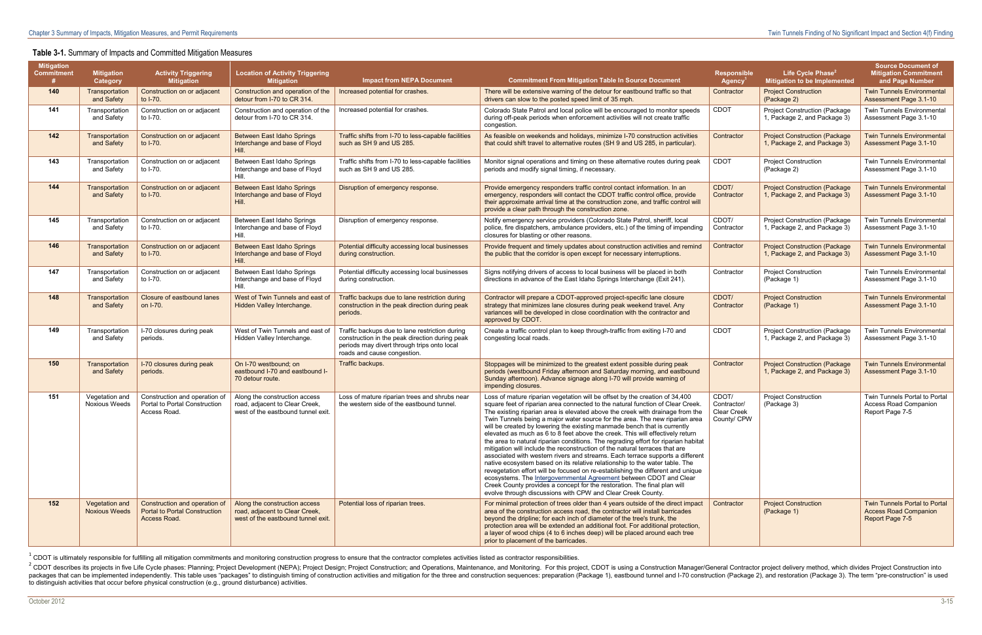#### **Table 3-1.** Summary of Impacts and Committed Mitigation Measures

| <b>Mitigation</b><br>Commitment | <b>Mitigation</b><br>Category          | <b>Activity Triggering</b><br><b>Mitigation</b>                                       | <b>Location of Activity Triggering</b><br><b>Mitigation</b>                                           | <b>Impact from NEPA Document</b>                                                                                                                                               | <b>Commitment From Mitigation Table In Source Document</b>                                                                                                                                                                                                                                                                                                                                                                                                                                                                                                                                                                                                                                                                                                                                                                                                                                                                                                                                                                                                                                                                          | <b>Responsible</b><br><b>Agency</b>                       | Life Cycle Phase <sup>2</sup><br>Mitigation to be Implemented         | <b>Source Document of</b><br><b>Mitigation Commitment</b><br>and Page Number     |
|---------------------------------|----------------------------------------|---------------------------------------------------------------------------------------|-------------------------------------------------------------------------------------------------------|--------------------------------------------------------------------------------------------------------------------------------------------------------------------------------|-------------------------------------------------------------------------------------------------------------------------------------------------------------------------------------------------------------------------------------------------------------------------------------------------------------------------------------------------------------------------------------------------------------------------------------------------------------------------------------------------------------------------------------------------------------------------------------------------------------------------------------------------------------------------------------------------------------------------------------------------------------------------------------------------------------------------------------------------------------------------------------------------------------------------------------------------------------------------------------------------------------------------------------------------------------------------------------------------------------------------------------|-----------------------------------------------------------|-----------------------------------------------------------------------|----------------------------------------------------------------------------------|
| 140                             | Transportation<br>and Safety           | Construction on or adjacent<br>to I-70.                                               | Construction and operation of the<br>detour from I-70 to CR 314.                                      | Increased potential for crashes.                                                                                                                                               | There will be extensive warning of the detour for eastbound traffic so that<br>drivers can slow to the posted speed limit of 35 mph.                                                                                                                                                                                                                                                                                                                                                                                                                                                                                                                                                                                                                                                                                                                                                                                                                                                                                                                                                                                                | Contractor                                                | <b>Project Construction</b><br>(Package 2)                            | <b>Twin Tunnels Environmental</b><br>Assessment Page 3.1-10                      |
| 141                             | Transportation<br>and Safety           | Construction on or adjacent<br>to I-70.                                               | Construction and operation of the<br>detour from I-70 to CR 314.                                      | Increased potential for crashes.                                                                                                                                               | Colorado State Patrol and local police will be encouraged to monitor speeds<br>during off-peak periods when enforcement activities will not create traffic<br>congestion.                                                                                                                                                                                                                                                                                                                                                                                                                                                                                                                                                                                                                                                                                                                                                                                                                                                                                                                                                           | CDOT                                                      | <b>Project Construction (Package</b><br>1, Package 2, and Package 3)  | <b>Twin Tunnels Environmental</b><br>Assessment Page 3.1-10                      |
| 142                             | Transportation<br>and Safety           | Construction on or adjacent<br>to $I-70$ .                                            | Between East Idaho Springs<br>Interchange and base of Floyd<br>Hill                                   | Traffic shifts from I-70 to less-capable facilities<br>such as SH 9 and US 285.                                                                                                | As feasible on weekends and holidays, minimize I-70 construction activities<br>that could shift travel to alternative routes (SH 9 and US 285, in particular).                                                                                                                                                                                                                                                                                                                                                                                                                                                                                                                                                                                                                                                                                                                                                                                                                                                                                                                                                                      | Contractor                                                | <b>Project Construction (Package)</b><br>1, Package 2, and Package 3) | <b>Twin Tunnels Environmental</b><br>Assessment Page 3.1-10                      |
| 143                             | Transportation<br>and Safety           | Construction on or adjacent<br>to I-70.                                               | Between East Idaho Springs<br>Interchange and base of Floyd<br>Hill.                                  | Traffic shifts from I-70 to less-capable facilities<br>such as SH 9 and US 285.                                                                                                | Monitor signal operations and timing on these alternative routes during peak<br>periods and modify signal timing, if necessary.                                                                                                                                                                                                                                                                                                                                                                                                                                                                                                                                                                                                                                                                                                                                                                                                                                                                                                                                                                                                     | CDOT                                                      | <b>Project Construction</b><br>(Package 2)                            | <b>Twin Tunnels Environmental</b><br>Assessment Page 3.1-10                      |
| 144                             | Transportation<br>and Safety           | Construction on or adjacent<br>to I-70.                                               | Between East Idaho Springs<br>Interchange and base of Floyd<br>Hill.                                  | Disruption of emergency response.                                                                                                                                              | Provide emergency responders traffic control contact information. In an<br>emergency, responders will contact the CDOT traffic control office, provide<br>their approximate arrival time at the construction zone, and traffic control will<br>provide a clear path through the construction zone.                                                                                                                                                                                                                                                                                                                                                                                                                                                                                                                                                                                                                                                                                                                                                                                                                                  | CDOT/<br>Contractor                                       | <b>Project Construction (Package)</b><br>1, Package 2, and Package 3) | <b>Twin Tunnels Environmental</b><br>Assessment Page 3.1-10                      |
| 145                             | Transportation<br>and Safety           | Construction on or adjacent<br>to I-70.                                               | Between East Idaho Springs<br>Interchange and base of Floyd<br>Hill.                                  | Disruption of emergency response.                                                                                                                                              | Notify emergency service providers (Colorado State Patrol, sheriff, local<br>police, fire dispatchers, ambulance providers, etc.) of the timing of impending<br>closures for blasting or other reasons.                                                                                                                                                                                                                                                                                                                                                                                                                                                                                                                                                                                                                                                                                                                                                                                                                                                                                                                             | CDOT/<br>Contractor                                       | <b>Project Construction (Package)</b><br>1, Package 2, and Package 3) | <b>Twin Tunnels Environmental</b><br>Assessment Page 3.1-10                      |
| 146                             | Transportation<br>and Safety           | Construction on or adjacent<br>to I-70.                                               | Between East Idaho Springs<br>Interchange and base of Floyd                                           | Potential difficulty accessing local businesses<br>during construction.                                                                                                        | Provide frequent and timely updates about construction activities and remind<br>the public that the corridor is open except for necessary interruptions.                                                                                                                                                                                                                                                                                                                                                                                                                                                                                                                                                                                                                                                                                                                                                                                                                                                                                                                                                                            | Contractor                                                | <b>Project Construction (Package)</b><br>1, Package 2, and Package 3) | <b>Twin Tunnels Environmental</b><br>Assessment Page 3.1-10                      |
| 147                             | Transportation<br>and Safety           | Construction on or adiacent<br>to I-70.                                               | Between East Idaho Springs<br>Interchange and base of Floyd                                           | Potential difficulty accessing local businesses<br>during construction.                                                                                                        | Signs notifying drivers of access to local business will be placed in both<br>directions in advance of the East Idaho Springs Interchange (Exit 241).                                                                                                                                                                                                                                                                                                                                                                                                                                                                                                                                                                                                                                                                                                                                                                                                                                                                                                                                                                               | Contractor                                                | <b>Project Construction</b><br>(Package 1)                            | <b>Twin Tunnels Environmental</b><br>Assessment Page 3.1-10                      |
| 148                             | Transportation<br>and Safety           | Closure of eastbound lanes<br>on I-70.                                                | West of Twin Tunnels and east of<br>Hidden Valley Interchange.                                        | Traffic backups due to lane restriction during<br>construction in the peak direction during peak<br>periods.                                                                   | Contractor will prepare a CDOT-approved project-specific lane closure<br>strategy that minimizes lane closures during peak weekend travel. Any<br>variances will be developed in close coordination with the contractor and<br>approved by CDOT.                                                                                                                                                                                                                                                                                                                                                                                                                                                                                                                                                                                                                                                                                                                                                                                                                                                                                    | CDOT/<br>Contractor                                       | <b>Project Construction</b><br>(Package 1)                            | <b>Twin Tunnels Environmental</b><br>Assessment Page 3.1-10                      |
| 149                             | Transportation<br>and Safety           | I-70 closures during peak<br>periods.                                                 | West of Twin Tunnels and east of<br>Hidden Valley Interchange.                                        | Traffic backups due to lane restriction during<br>construction in the peak direction during peak<br>periods may divert through trips onto local<br>roads and cause congestion. | Create a traffic control plan to keep through-traffic from exiting I-70 and<br>congesting local roads.                                                                                                                                                                                                                                                                                                                                                                                                                                                                                                                                                                                                                                                                                                                                                                                                                                                                                                                                                                                                                              | <b>CDOT</b>                                               | <b>Project Construction (Package)</b><br>1, Package 2, and Package 3) | <b>Twin Tunnels Environmental</b><br>Assessment Page 3.1-10                      |
| 150                             | Transportation<br>and Safety           | I-70 closures during peak<br>periods.                                                 | On I-70 westbound: on<br>eastbound I-70 and eastbound I-<br>70 detour route.                          | Traffic backups.                                                                                                                                                               | Stoppages will be minimized to the greatest extent possible during peak<br>periods (westbound Friday afternoon and Saturday morning, and eastbound<br>Sunday afternoon). Advance signage along I-70 will provide warning of<br>impending closures.                                                                                                                                                                                                                                                                                                                                                                                                                                                                                                                                                                                                                                                                                                                                                                                                                                                                                  | Contractor                                                | <b>Project Construction (Package)</b><br>1, Package 2, and Package 3) | <b>Twin Tunnels Environmental</b><br>Assessment Page 3.1-10                      |
| 151                             | Vegetation and<br><b>Noxious Weeds</b> | Construction and operation of<br>Portal to Portal Construction<br>Access Road.        | Along the construction access<br>road, adjacent to Clear Creek,<br>west of the eastbound tunnel exit. | Loss of mature riparian trees and shrubs near<br>the western side of the eastbound tunnel.                                                                                     | Loss of mature riparian vegetation will be offset by the creation of 34,400<br>square feet of riparian area connected to the natural function of Clear Creek.<br>The existing riparian area is elevated above the creek with drainage from the<br>Twin Tunnels being a major water source for the area. The new riparian area<br>will be created by lowering the existing manmade bench that is currently<br>elevated as much as 6 to 8 feet above the creek. This will effectively return<br>the area to natural riparian conditions. The regrading effort for riparian habitat<br>mitigation will include the reconstruction of the natural terraces that are<br>associated with western rivers and streams. Each terrace supports a different<br>native ecosystem based on its relative relationship to the water table. The<br>revegetation effort will be focused on re-establishing the different and unique<br>ecosystems. The Intergovernmental Agreement between CDOT and Clear<br>Creek County provides a concept for the restoration. The final plan will<br>evolve through discussions with CPW and Clear Creek County. | CDOT/<br>Contractor/<br><b>Clear Creek</b><br>County/ CPW | <b>Project Construction</b><br>(Package 3)                            | Twin Tunnels Portal to Portal<br><b>Access Road Companion</b><br>Report Page 7-5 |
| 152                             | Vegetation and<br><b>Noxious Weeds</b> | Construction and operation of<br><b>Portal to Portal Construction</b><br>Access Road. | Along the construction access<br>road, adjacent to Clear Creek,<br>west of the eastbound tunnel exit. | Potential loss of riparian trees.                                                                                                                                              | For minimal protection of trees older than 4 years outside of the direct impact<br>area of the construction access road, the contractor will install barricades<br>beyond the dripline; for each inch of diameter of the tree's trunk, the<br>protection area will be extended an additional foot. For additional protection,<br>a layer of wood chips (4 to 6 inches deep) will be placed around each tree<br>prior to placement of the barricades.                                                                                                                                                                                                                                                                                                                                                                                                                                                                                                                                                                                                                                                                                | Contractor                                                | <b>Project Construction</b><br>(Package 1)                            | Twin Tunnels Portal to Portal<br><b>Access Road Companion</b><br>Report Page 7-5 |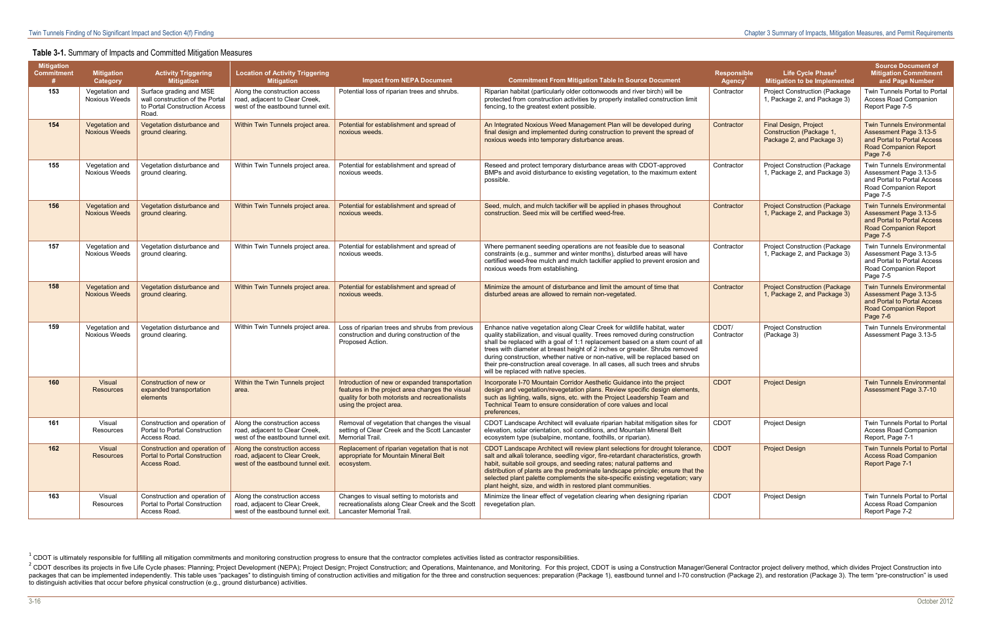#### **Table 3-1.** Summary of Impacts and Committed Mitigation Measures

| <b>Mitigation</b><br>Commitment | <b>Mitigation</b><br>Category          | <b>Activity Triggering</b><br><b>Mitigation</b>                                                      | <b>Location of Activity Triggering</b><br><b>Mitigation</b>                                           | <b>Impact from NEPA Document</b>                                                                                                                                                | <b>Commitment From Mitigation Table In Source Document</b>                                                                                                                                                                                                                                                                                                                                                                                                                                                                         | <b>Responsible</b><br><b>Agency</b> | Life Cycle Phase <sup>2</sup><br>Mitigation to be Implemented                         | <b>Source Document of</b><br><b>Mitigation Commitment</b><br>and Page Number                                                           |
|---------------------------------|----------------------------------------|------------------------------------------------------------------------------------------------------|-------------------------------------------------------------------------------------------------------|---------------------------------------------------------------------------------------------------------------------------------------------------------------------------------|------------------------------------------------------------------------------------------------------------------------------------------------------------------------------------------------------------------------------------------------------------------------------------------------------------------------------------------------------------------------------------------------------------------------------------------------------------------------------------------------------------------------------------|-------------------------------------|---------------------------------------------------------------------------------------|----------------------------------------------------------------------------------------------------------------------------------------|
| 153                             | Vegetation and<br><b>Noxious Weeds</b> | Surface grading and MSE<br>wall construction of the Portal<br>to Portal Construction Access<br>Road. | Along the construction access<br>road, adjacent to Clear Creek,<br>west of the eastbound tunnel exit. | Potential loss of riparian trees and shrubs.                                                                                                                                    | Riparian habitat (particularly older cottonwoods and river birch) will be<br>protected from construction activities by properly installed construction limit<br>fencing, to the greatest extent possible.                                                                                                                                                                                                                                                                                                                          | Contractor                          | <b>Project Construction (Package</b><br>1, Package 2, and Package 3)                  | Twin Tunnels Portal to Portal<br>Access Road Companion<br>Report Page 7-5                                                              |
| 154                             | Vegetation and<br><b>Noxious Weeds</b> | Vegetation disturbance and<br>ground clearing.                                                       | Within Twin Tunnels project area.                                                                     | Potential for establishment and spread of<br>noxious weeds.                                                                                                                     | An Integrated Noxious Weed Management Plan will be developed during<br>final design and implemented during construction to prevent the spread of<br>noxious weeds into temporary disturbance areas.                                                                                                                                                                                                                                                                                                                                | Contractor                          | <b>Final Design, Project</b><br>Construction (Package 1,<br>Package 2, and Package 3) | <b>Twin Tunnels Environmental</b><br>Assessment Page 3.13-5<br>and Portal to Portal Access<br><b>Road Companion Report</b><br>Page 7-6 |
| 155                             | Vegetation and<br><b>Noxious Weeds</b> | Vegetation disturbance and<br>ground clearing.                                                       | Within Twin Tunnels project area.                                                                     | Potential for establishment and spread of<br>noxious weeds.                                                                                                                     | Reseed and protect temporary disturbance areas with CDOT-approved<br>BMPs and avoid disturbance to existing vegetation, to the maximum extent<br>possible.                                                                                                                                                                                                                                                                                                                                                                         | Contractor                          | <b>Project Construction (Package</b><br>1, Package 2, and Package 3)                  | <b>Twin Tunnels Environmental</b><br>Assessment Page 3.13-5<br>and Portal to Portal Access<br>Road Companion Report<br>Page 7-5        |
| 156                             | Vegetation and<br><b>Noxious Weeds</b> | Vegetation disturbance and<br>ground clearing.                                                       | Within Twin Tunnels project area.                                                                     | Potential for establishment and spread of<br>noxious weeds.                                                                                                                     | Seed, mulch, and mulch tackifier will be applied in phases throughout<br>construction. Seed mix will be certified weed-free.                                                                                                                                                                                                                                                                                                                                                                                                       | Contractor                          | <b>Project Construction (Package)</b><br>1, Package 2, and Package 3)                 | <b>Twin Tunnels Environmental</b><br>Assessment Page 3.13-5<br>and Portal to Portal Access<br><b>Road Companion Report</b><br>Page 7-5 |
| 157                             | Vegetation and<br><b>Noxious Weeds</b> | Vegetation disturbance and<br>ground clearing.                                                       | Within Twin Tunnels project area.                                                                     | Potential for establishment and spread of<br>noxious weeds.                                                                                                                     | Where permanent seeding operations are not feasible due to seasonal<br>constraints (e.g., summer and winter months), disturbed areas will have<br>certified weed-free mulch and mulch tackifier applied to prevent erosion and<br>noxious weeds from establishing.                                                                                                                                                                                                                                                                 | Contractor                          | <b>Project Construction (Package)</b><br>1, Package 2, and Package 3)                 | Twin Tunnels Environmental<br>Assessment Page 3.13-5<br>and Portal to Portal Access<br>Road Companion Report<br>Page 7-5               |
| 158                             | Vegetation and<br><b>Noxious Weeds</b> | Vegetation disturbance and<br>ground clearing.                                                       | Within Twin Tunnels project area.                                                                     | Potential for establishment and spread of<br>noxious weeds.                                                                                                                     | Minimize the amount of disturbance and limit the amount of time that<br>disturbed areas are allowed to remain non-vegetated.                                                                                                                                                                                                                                                                                                                                                                                                       | Contractor                          | <b>Project Construction (Package)</b><br>1, Package 2, and Package 3)                 | <b>Twin Tunnels Environmental</b><br>Assessment Page 3.13-5<br>and Portal to Portal Access<br><b>Road Companion Report</b><br>Page 7-6 |
| 159                             | Vegetation and<br><b>Noxious Weeds</b> | Vegetation disturbance and<br>ground clearing.                                                       | Within Twin Tunnels project area.                                                                     | Loss of riparian trees and shrubs from previous<br>construction and during construction of the<br>Proposed Action.                                                              | Enhance native vegetation along Clear Creek for wildlife habitat, water<br>quality stabilization, and visual quality. Trees removed during construction<br>shall be replaced with a goal of 1:1 replacement based on a stem count of all<br>trees with diameter at breast height of 2 inches or greater. Shrubs removed<br>during construction, whether native or non-native, will be replaced based on<br>their pre-construction areal coverage. In all cases, all such trees and shrubs<br>will be replaced with native species. | CDOT/<br>Contractor                 | <b>Project Construction</b><br>(Package 3)                                            | <b>Twin Tunnels Environmental</b><br>Assessment Page 3.13-5                                                                            |
| 160                             | Visual<br><b>Resources</b>             | Construction of new or<br>expanded transportation<br>elements                                        | Within the Twin Tunnels project<br>area.                                                              | Introduction of new or expanded transportation<br>features in the project area changes the visual<br>quality for both motorists and recreationalists<br>using the project area. | Incorporate I-70 Mountain Corridor Aesthetic Guidance into the project<br>design and vegetation/revegetation plans. Review specific design elements,<br>such as lighting, walls, signs, etc. with the Project Leadership Team and<br>Technical Team to ensure consideration of core values and local<br>preferences,                                                                                                                                                                                                               | <b>CDOT</b>                         | <b>Project Design</b>                                                                 | <b>Twin Tunnels Environmental</b><br>Assessment Page 3.7-10                                                                            |
| 161                             | Visual<br>Resources                    | Construction and operation of<br>Portal to Portal Construction<br>Access Road.                       | Along the construction access<br>road, adjacent to Clear Creek,<br>west of the eastbound tunnel exit  | Removal of vegetation that changes the visual<br>setting of Clear Creek and the Scott Lancaster<br>Memorial Trail.                                                              | CDOT Landscape Architect will evaluate riparian habitat mitigation sites for<br>elevation, solar orientation, soil conditions, and Mountain Mineral Belt<br>ecosystem type (subalpine, montane, foothills, or riparian).                                                                                                                                                                                                                                                                                                           | CDOT                                | Project Design                                                                        | Twin Tunnels Portal to Portal<br><b>Access Road Companion</b><br>Report, Page 7-1                                                      |
| 162                             | Visual<br><b>Resources</b>             | Construction and operation of<br><b>Portal to Portal Construction</b><br>Access Road.                | Along the construction access<br>road, adjacent to Clear Creek,<br>west of the eastbound tunnel exit. | Replacement of riparian vegetation that is not<br>appropriate for Mountain Mineral Belt<br>ecosystem.                                                                           | CDOT Landscape Architect will review plant selections for drought tolerance,<br>salt and alkali tolerance, seedling vigor, fire-retardant characteristics, growth<br>habit, suitable soil groups, and seeding rates; natural patterns and<br>distribution of plants are the predominate landscape principle; ensure that the<br>selected plant palette complements the site-specific existing vegetation; vary<br>plant height, size, and width in restored plant communities.                                                     | <b>CDOT</b>                         | <b>Project Design</b>                                                                 | Twin Tunnels Portal to Portal<br><b>Access Road Companion</b><br>Report Page 7-1                                                       |
| 163                             | Visual<br>Resources                    | Construction and operation of<br>Portal to Portal Construction<br>Access Road.                       | Along the construction access<br>road, adjacent to Clear Creek,<br>west of the eastbound tunnel exit. | Changes to visual setting to motorists and<br>recreationalists along Clear Creek and the Scott<br>Lancaster Memorial Trail.                                                     | Minimize the linear effect of vegetation clearing when designing riparian<br>revegetation plan.                                                                                                                                                                                                                                                                                                                                                                                                                                    | CDOT                                | <b>Project Design</b>                                                                 | Twin Tunnels Portal to Portal<br><b>Access Road Companion</b><br>Report Page 7-2                                                       |

<sup>&</sup>lt;sup>2</sup> CDOT describes its projects in five Life Cycle phases: Planning; Project Development (NEPA); Project Design; Project Construction; and Operations, Maintenance, and Monitoring. For this project, CDOT is using a Construc packages that can be implemented independently. This table uses "packages" to distinguish timing of construction activities and mitigation for the three and construction sequences: preparation (Package 1), eastbound tunnel to distinguish activities that occur before physical construction (e.g., ground disturbance) activities.

 $1$  CDOT is ultimately responsible for fulfilling all mitigation commitments and monitoring construction progress to ensure that the contractor completes activities listed as contractor responsibilities.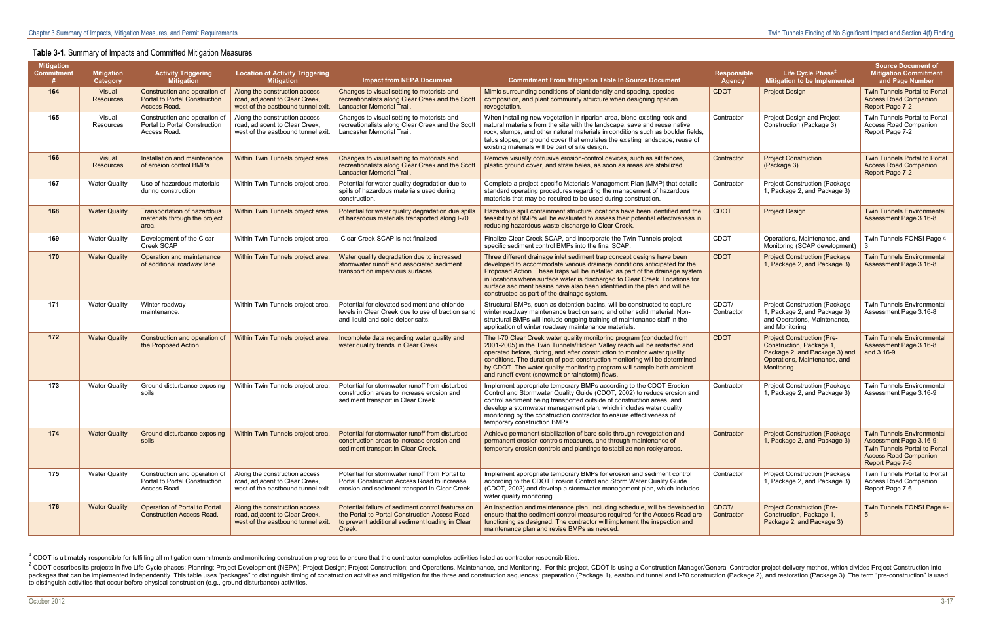#### **Table 3-1.** Summary of Impacts and Committed Mitigation Measures

| <b>Mitigation</b><br><b>Commitment</b> | <b>Mitigation</b><br>Category | <b>Activity Triggering</b><br><b>Mitigation</b>                                       | <b>Location of Activity Triggering</b><br><b>Mitigation</b>                                           | <b>Impact from NEPA Document</b>                                                                                                                                | <b>Commitment From Mitigation Table In Source Document</b>                                                                                                                                                                                                                                                                                                                                                                                      | <b>Responsible</b><br><b>Agency</b> | Life Cycle Phase <sup>2</sup><br>Mitigation to be Implemented                                                                                | <b>Source Document of</b><br><b>Mitigation Commitment</b><br>and Page Number                                                                     |
|----------------------------------------|-------------------------------|---------------------------------------------------------------------------------------|-------------------------------------------------------------------------------------------------------|-----------------------------------------------------------------------------------------------------------------------------------------------------------------|-------------------------------------------------------------------------------------------------------------------------------------------------------------------------------------------------------------------------------------------------------------------------------------------------------------------------------------------------------------------------------------------------------------------------------------------------|-------------------------------------|----------------------------------------------------------------------------------------------------------------------------------------------|--------------------------------------------------------------------------------------------------------------------------------------------------|
| 164                                    | Visual<br><b>Resources</b>    | Construction and operation of<br><b>Portal to Portal Construction</b><br>Access Road. | Along the construction access<br>road, adjacent to Clear Creek,<br>west of the eastbound tunnel exit. | Changes to visual setting to motorists and<br>recreationalists along Clear Creek and the Scott<br><b>Lancaster Memorial Trail.</b>                              | Mimic surrounding conditions of plant density and spacing, species<br>composition, and plant community structure when designing riparian<br>revegetation.                                                                                                                                                                                                                                                                                       | <b>CDOT</b>                         | <b>Project Design</b>                                                                                                                        | Twin Tunnels Portal to Portal<br><b>Access Road Companion</b><br>Report Page 7-2                                                                 |
| 165                                    | Visual<br>Resources           | Construction and operation of<br>Portal to Portal Construction<br>Access Road.        | Along the construction access<br>road, adjacent to Clear Creek,<br>west of the eastbound tunnel exit. | Changes to visual setting to motorists and<br>recreationalists along Clear Creek and the Scott<br>Lancaster Memorial Trail                                      | When installing new vegetation in riparian area, blend existing rock and<br>natural materials from the site with the landscape; save and reuse native<br>rock, stumps, and other natural materials in conditions such as boulder fields,<br>talus slopes, or ground cover that emulates the existing landscape; reuse of<br>existing materials will be part of site design.                                                                     | Contractor                          | Project Design and Project<br>Construction (Package 3)                                                                                       | Twin Tunnels Portal to Portal<br><b>Access Road Companion</b><br>Report Page 7-2                                                                 |
| 166                                    | Visual<br><b>Resources</b>    | Installation and maintenance<br>of erosion control BMPs                               | Within Twin Tunnels project area.                                                                     | Changes to visual setting to motorists and<br>recreationalists along Clear Creek and the Scott<br>Lancaster Memorial Trail.                                     | Remove visually obtrusive erosion-control devices, such as silt fences,<br>plastic ground cover, and straw bales, as soon as areas are stabilized.                                                                                                                                                                                                                                                                                              | Contractor                          | <b>Project Construction</b><br>(Package 3)                                                                                                   | Twin Tunnels Portal to Portal<br><b>Access Road Companion</b><br>Report Page 7-2                                                                 |
| 167                                    | <b>Water Quality</b>          | Use of hazardous materials<br>during construction                                     | Within Twin Tunnels project area.                                                                     | Potential for water quality degradation due to<br>spills of hazardous materials used during<br>construction.                                                    | Complete a project-specific Materials Management Plan (MMP) that details<br>standard operating procedures regarding the management of hazardous<br>materials that may be required to be used during construction.                                                                                                                                                                                                                               | Contractor                          | <b>Project Construction (Package</b><br>1, Package 2, and Package 3)                                                                         |                                                                                                                                                  |
| 168                                    | <b>Water Quality</b>          | <b>Transportation of hazardous</b><br>materials through the project<br>area.          | Within Twin Tunnels project area.                                                                     | Potential for water quality degradation due spills<br>of hazardous materials transported along I-70.                                                            | Hazardous spill containment structure locations have been identified and the<br>feasibility of BMPs will be evaluated to assess their potential effectiveness in<br>reducing hazardous waste discharge to Clear Creek.                                                                                                                                                                                                                          | <b>CDOT</b>                         | <b>Project Design</b>                                                                                                                        | <b>Twin Tunnels Environmental</b><br>Assessment Page 3.16-8                                                                                      |
| 169                                    | <b>Water Quality</b>          | Development of the Clear<br>Creek SCAP                                                | Within Twin Tunnels project area.                                                                     | Clear Creek SCAP is not finalized                                                                                                                               | Finalize Clear Creek SCAP, and incorporate the Twin Tunnels project-<br>specific sediment control BMPs into the final SCAP.                                                                                                                                                                                                                                                                                                                     | <b>CDOT</b>                         | Operations, Maintenance, and<br>Monitoring (SCAP development)                                                                                | Twin Tunnels FONSI Page 4-<br>$\mathbf{R}$                                                                                                       |
| 170                                    | <b>Water Quality</b>          | Operation and maintenance<br>of additional roadway lane.                              | Within Twin Tunnels project area.                                                                     | Water quality degradation due to increased<br>stormwater runoff and associated sediment<br>transport on impervious surfaces.                                    | Three different drainage inlet sediment trap concept designs have been<br>developed to accommodate various drainage conditions anticipated for the<br>Proposed Action. These traps will be installed as part of the drainage system<br>in locations where surface water is discharged to Clear Creek. Locations for<br>surface sediment basins have also been identified in the plan and will be<br>constructed as part of the drainage system. | <b>CDOT</b>                         | <b>Project Construction (Package</b><br>1, Package 2, and Package 3)                                                                         | <b>Twin Tunnels Environmental</b><br>Assessment Page 3.16-8                                                                                      |
| 171                                    | <b>Water Quality</b>          | Winter roadway<br>maintenance.                                                        | Within Twin Tunnels project area.                                                                     | Potential for elevated sediment and chloride<br>levels in Clear Creek due to use of traction sand<br>and liquid and solid deicer salts.                         | Structural BMPs, such as detention basins, will be constructed to capture<br>winter roadway maintenance traction sand and other solid material. Non-<br>structural BMPs will include ongoing training of maintenance staff in the<br>application of winter roadway maintenance materials.                                                                                                                                                       | CDOT/<br>Contractor                 | <b>Project Construction (Package)</b><br>1, Package 2, and Package 3)<br>and Operations, Maintenance,<br>and Monitoring                      | <b>Twin Tunnels Environmental</b><br>Assessment Page 3.16-8                                                                                      |
| 172                                    | <b>Water Quality</b>          | Construction and operation of<br>the Proposed Action.                                 | Within Twin Tunnels project area.                                                                     | Incomplete data regarding water quality and<br>water quality trends in Clear Creek.                                                                             | The I-70 Clear Creek water quality monitoring program (conducted from<br>2001-2005) in the Twin Tunnels/Hidden Valley reach will be restarted and<br>operated before, during, and after construction to monitor water quality<br>conditions. The duration of post-construction monitoring will be determined<br>by CDOT. The water quality monitoring program will sample both ambient<br>and runoff event (snowmelt or rainstorm) flows.       | <b>CDOT</b>                         | <b>Project Construction (Pre-</b><br>Construction, Package 1,<br>Package 2, and Package 3) and<br>Operations, Maintenance, and<br>Monitoring | <b>Twin Tunnels Environmental</b><br>Assessment Page 3.16-8<br>and 3.16-9                                                                        |
| 173                                    | <b>Water Quality</b>          | Ground disturbance exposing<br>soils                                                  | Within Twin Tunnels project area.                                                                     | Potential for stormwater runoff from disturbed<br>construction areas to increase erosion and<br>sediment transport in Clear Creek.                              | Implement appropriate temporary BMPs according to the CDOT Erosion<br>Control and Stormwater Quality Guide (CDOT, 2002) to reduce erosion and<br>control sediment being transported outside of construction areas, and<br>develop a stormwater management plan, which includes water quality<br>monitoring by the construction contractor to ensure effectiveness of<br>temporary construction BMPs.                                            | Contractor                          | <b>Project Construction (Package)</b><br>1, Package 2, and Package 3)                                                                        | <b>Twin Tunnels Environmental</b><br>Assessment Page 3.16-9                                                                                      |
| 174                                    | <b>Water Quality</b>          | Ground disturbance exposing<br>soils                                                  | Within Twin Tunnels project area.                                                                     | Potential for stormwater runoff from disturbed<br>construction areas to increase erosion and<br>sediment transport in Clear Creek.                              | Achieve permanent stabilization of bare soils through revegetation and<br>permanent erosion controls measures, and through maintenance of<br>temporary erosion controls and plantings to stabilize non-rocky areas.                                                                                                                                                                                                                             | Contractor                          | <b>Project Construction (Package)</b><br>1, Package 2, and Package 3)                                                                        | <b>Twin Tunnels Environmental</b><br>Assessment Page 3.16-9;<br>Twin Tunnels Portal to Portal<br><b>Access Road Companion</b><br>Report Page 7-6 |
| 175                                    | <b>Water Quality</b>          | Construction and operation of<br>Portal to Portal Construction<br>Access Road.        | Along the construction access<br>road, adjacent to Clear Creek,<br>west of the eastbound tunnel exit. | Potential for stormwater runoff from Portal to<br>Portal Construction Access Road to increase<br>erosion and sediment transport in Clear Creek.                 | Implement appropriate temporary BMPs for erosion and sediment control<br>according to the CDOT Erosion Control and Storm Water Quality Guide<br>(CDOT, 2002) and develop a stormwater management plan, which includes<br>water quality monitoring.                                                                                                                                                                                              | Contractor                          | <b>Project Construction (Package)</b><br>1, Package 2, and Package 3)                                                                        | Twin Tunnels Portal to Portal<br><b>Access Road Companion</b><br>Report Page 7-6                                                                 |
| 176                                    | <b>Water Quality</b>          | Operation of Portal to Portal<br><b>Construction Access Road.</b>                     | Along the construction access<br>road, adjacent to Clear Creek,<br>west of the eastbound tunnel exit. | Potential failure of sediment control features on<br>the Portal to Portal Construction Access Road<br>to prevent additional sediment loading in Clear<br>Creek. | An inspection and maintenance plan, including schedule, will be developed to<br>ensure that the sediment control measures required for the Access Road are<br>functioning as designed. The contractor will implement the inspection and<br>maintenance plan and revise BMPs as needed.                                                                                                                                                          | CDOT/<br>Contractor                 | <b>Project Construction (Pre-</b><br>Construction, Package 1,<br>Package 2, and Package 3)                                                   | Twin Tunnels FONSI Page 4-                                                                                                                       |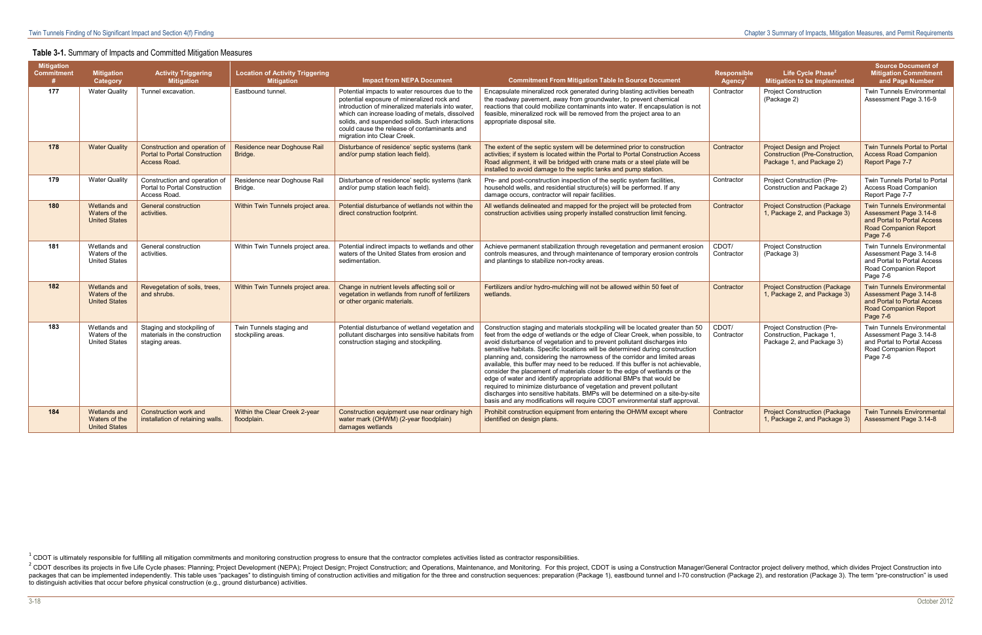#### **Table 3-1.** Summary of Impacts and Committed Mitigation Measures

| <b>Mitigation</b><br><b>Commitment</b><br># | <b>Mitigation</b><br>Category                         | <b>Activity Triggering</b><br><b>Mitigation</b>                                       | <b>Location of Activity Triggering</b><br><b>Mitigation</b> | <b>Impact from NEPA Document</b>                                                                                                                                                                                                                                                                                                       | <b>Commitment From Mitigation Table In Source Document</b>                                                                                                                                                                                                                                                                                                                                                                                                                                                                                                                                                                                                                                                                                                                                                                                                                                 | <b>Responsible</b><br><b>Agency</b> | Life Cycle Phase <sup>2</sup><br>Mitigation to be Implemented                                            | <b>Source Document of</b><br><b>Mitigation Commitment</b><br>and Page Number                                                           |
|---------------------------------------------|-------------------------------------------------------|---------------------------------------------------------------------------------------|-------------------------------------------------------------|----------------------------------------------------------------------------------------------------------------------------------------------------------------------------------------------------------------------------------------------------------------------------------------------------------------------------------------|--------------------------------------------------------------------------------------------------------------------------------------------------------------------------------------------------------------------------------------------------------------------------------------------------------------------------------------------------------------------------------------------------------------------------------------------------------------------------------------------------------------------------------------------------------------------------------------------------------------------------------------------------------------------------------------------------------------------------------------------------------------------------------------------------------------------------------------------------------------------------------------------|-------------------------------------|----------------------------------------------------------------------------------------------------------|----------------------------------------------------------------------------------------------------------------------------------------|
| 177                                         | <b>Water Quality</b>                                  | Tunnel excavation.                                                                    | Eastbound tunnel.                                           | Potential impacts to water resources due to the<br>potential exposure of mineralized rock and<br>introduction of mineralized materials into water.<br>which can increase loading of metals, dissolved<br>solids, and suspended solids. Such interactions<br>could cause the release of contaminants and<br>migration into Clear Creek. | Encapsulate mineralized rock generated during blasting activities beneath<br>the roadway pavement, away from groundwater, to prevent chemical<br>reactions that could mobilize contaminants into water. If encapsulation is not<br>feasible, mineralized rock will be removed from the project area to an<br>appropriate disposal site.                                                                                                                                                                                                                                                                                                                                                                                                                                                                                                                                                    | Contractor                          | <b>Project Construction</b><br>(Package 2)                                                               | <b>Twin Tunnels Environmental</b><br>Assessment Page 3.16-9                                                                            |
| 178                                         | <b>Water Quality</b>                                  | Construction and operation of<br><b>Portal to Portal Construction</b><br>Access Road. | Residence near Doghouse Rail<br>Bridge.                     | Disturbance of residence' septic systems (tank<br>and/or pump station leach field).                                                                                                                                                                                                                                                    | The extent of the septic system will be determined prior to construction<br>activities; if system is located within the Portal to Portal Construction Access<br>Road alignment, it will be bridged with crane mats or a steel plate will be<br>installed to avoid damage to the septic tanks and pump station.                                                                                                                                                                                                                                                                                                                                                                                                                                                                                                                                                                             | Contractor                          | <b>Project Design and Project</b><br><b>Construction (Pre-Construction,</b><br>Package 1, and Package 2) | <b>Twin Tunnels Portal to Portal</b><br><b>Access Road Companion</b><br><b>Report Page 7-7</b>                                         |
| 179                                         | <b>Water Quality</b>                                  | Construction and operation of<br>Portal to Portal Construction<br>Access Road.        | Residence near Doghouse Rail<br>Bridge.                     | Disturbance of residence' septic systems (tank<br>and/or pump station leach field).                                                                                                                                                                                                                                                    | Pre- and post-construction inspection of the septic system facilities,<br>household wells, and residential structure(s) will be performed. If any<br>damage occurs, contractor will repair facilities.                                                                                                                                                                                                                                                                                                                                                                                                                                                                                                                                                                                                                                                                                     | Contractor                          | Project Construction (Pre-<br>Construction and Package 2)                                                | Twin Tunnels Portal to Portal<br><b>Access Road Companion</b><br>Report Page 7-7                                                       |
| 180                                         | Wetlands and<br>Waters of the<br><b>United States</b> | <b>General construction</b><br>activities.                                            | Within Twin Tunnels project area.                           | Potential disturbance of wetlands not within the<br>direct construction footprint.                                                                                                                                                                                                                                                     | All wetlands delineated and mapped for the project will be protected from<br>construction activities using properly installed construction limit fencing.                                                                                                                                                                                                                                                                                                                                                                                                                                                                                                                                                                                                                                                                                                                                  | Contractor                          | <b>Project Construction (Package)</b><br>1, Package 2, and Package 3)                                    | <b>Twin Tunnels Environmental</b><br>Assessment Page 3.14-8<br>and Portal to Portal Access<br><b>Road Companion Report</b><br>Page 7-6 |
| 181                                         | Wetlands and<br>Waters of the<br><b>United States</b> | General construction<br>activities.                                                   | Within Twin Tunnels project area.                           | Potential indirect impacts to wetlands and other<br>waters of the United States from erosion and<br>sedimentation.                                                                                                                                                                                                                     | Achieve permanent stabilization through revegetation and permanent erosion<br>controls measures, and through maintenance of temporary erosion controls<br>and plantings to stabilize non-rocky areas.                                                                                                                                                                                                                                                                                                                                                                                                                                                                                                                                                                                                                                                                                      | CDOT/<br>Contractor                 | <b>Project Construction</b><br>(Package 3)                                                               | Twin Tunnels Environmental<br>Assessment Page 3.14-8<br>and Portal to Portal Access<br>Road Companion Report<br>Page 7-6               |
| 182                                         | Wetlands and<br>Waters of the<br><b>United States</b> | Revegetation of soils, trees,<br>and shrubs.                                          | Within Twin Tunnels project area.                           | Change in nutrient levels affecting soil or<br>vegetation in wetlands from runoff of fertilizers<br>or other organic materials.                                                                                                                                                                                                        | Fertilizers and/or hydro-mulching will not be allowed within 50 feet of<br>wetlands.                                                                                                                                                                                                                                                                                                                                                                                                                                                                                                                                                                                                                                                                                                                                                                                                       | Contractor                          | <b>Project Construction (Package)</b><br>1, Package 2, and Package 3)                                    | <b>Twin Tunnels Environmental</b><br>Assessment Page 3.14-8<br>and Portal to Portal Access<br><b>Road Companion Report</b><br>Page 7-6 |
| 183                                         | Wetlands and<br>Waters of the<br><b>United States</b> | Staging and stockpiling of<br>materials in the construction<br>staging areas.         | Twin Tunnels staging and<br>stockpiling areas.              | Potential disturbance of wetland vegetation and<br>pollutant discharges into sensitive habitats from<br>construction staging and stockpiling.                                                                                                                                                                                          | Construction staging and materials stockpiling will be located greater than 50<br>feet from the edge of wetlands or the edge of Clear Creek, when possible, to<br>avoid disturbance of vegetation and to prevent pollutant discharges into<br>sensitive habitats. Specific locations will be determined during construction<br>planning and, considering the narrowness of the corridor and limited areas<br>available, this buffer may need to be reduced. If this buffer is not achievable,<br>consider the placement of materials closer to the edge of wetlands or the<br>edge of water and identify appropriate additional BMPs that would be<br>required to minimize disturbance of vegetation and prevent pollutant<br>discharges into sensitive habitats. BMPs will be determined on a site-by-site<br>basis and any modifications will require CDOT environmental staff approval. | CDOT/<br>Contractor                 | Project Construction (Pre-<br>Construction, Package 1,<br>Package 2, and Package 3)                      | Twin Tunnels Environmental<br>Assessment Page 3.14-8<br>and Portal to Portal Access<br>Road Companion Report<br>Page 7-6               |
| 184                                         | Wetlands and<br>Waters of the<br><b>United States</b> | Construction work and<br>installation of retaining walls.                             | Within the Clear Creek 2-year<br>floodplain.                | Construction equipment use near ordinary high<br>water mark (OHWM) (2-year floodplain)<br>damages wetlands                                                                                                                                                                                                                             | Prohibit construction equipment from entering the OHWM except where<br>identified on design plans.                                                                                                                                                                                                                                                                                                                                                                                                                                                                                                                                                                                                                                                                                                                                                                                         | Contractor                          | <b>Project Construction (Package)</b><br>1, Package 2, and Package 3)                                    | <b>Twin Tunnels Environmental</b><br>Assessment Page 3.14-8                                                                            |

<sup>&</sup>lt;sup>2</sup> CDOT describes its projects in five Life Cycle phases: Planning; Project Development (NEPA); Project Design; Project Construction; and Operations, Maintenance, and Monitoring. For this project, CDOT is using a Construc packages that can be implemented independently. This table uses "packages" to distinguish timing of construction activities and mitigation for the three and construction sequences: preparation (Package 1), eastbound tunnel to distinguish activities that occur before physical construction (e.g., ground disturbance) activities.

 $1$  CDOT is ultimately responsible for fulfilling all mitigation commitments and monitoring construction progress to ensure that the contractor completes activities listed as contractor responsibilities.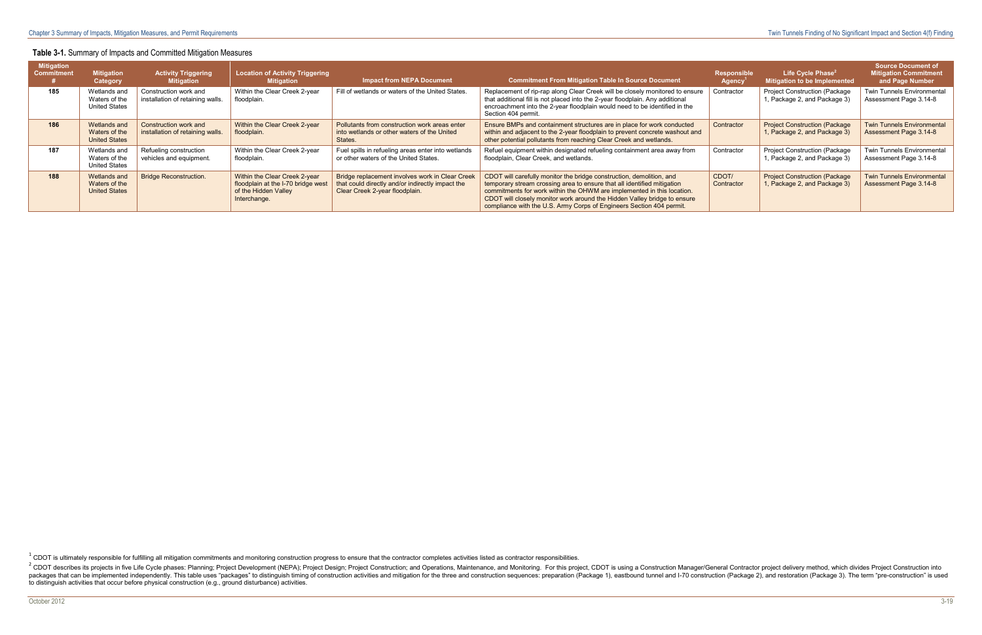#### **Table 3-1.** Summary of Impacts and Committed Mitigation Measures

| <b>Mitigation</b><br><b>Commitment</b> | <b>Mitigation</b><br>Category                         | <b>Activity Triggering</b><br><b>Mitigation</b>           | <b>Location of Activity Triggering</b><br><b>Mitigation</b>                                                 | <b>Impact from NEPA Document</b>                                                                                                      | <b>Commitment From Mitigation Table In Source Document</b>                                                                                                                                                                                                                                                                                                                    | <b>Responsible</b><br><b>Agency</b> | Life Cycle Phase <sup>2</sup><br>Mitigation to be Implemented         | <b>Source Document of</b><br><b>Mitigation Commitment</b><br>and Page Number |
|----------------------------------------|-------------------------------------------------------|-----------------------------------------------------------|-------------------------------------------------------------------------------------------------------------|---------------------------------------------------------------------------------------------------------------------------------------|-------------------------------------------------------------------------------------------------------------------------------------------------------------------------------------------------------------------------------------------------------------------------------------------------------------------------------------------------------------------------------|-------------------------------------|-----------------------------------------------------------------------|------------------------------------------------------------------------------|
| 185                                    | Wetlands and<br>Waters of the<br><b>United States</b> | Construction work and<br>installation of retaining walls. | Within the Clear Creek 2-year<br>floodplain.                                                                | Fill of wetlands or waters of the United States.                                                                                      | Replacement of rip-rap along Clear Creek will be closely monitored to ensure<br>that additional fill is not placed into the 2-year floodplain. Any additional<br>encroachment into the 2-year floodplain would need to be identified in the<br>Section 404 permit.                                                                                                            | Contractor                          | <b>Project Construction (Package)</b><br>1, Package 2, and Package 3) | <b>Twin Tunnels Environmental</b><br>Assessment Page 3.14-8                  |
| 186                                    | Wetlands and<br>Waters of the<br><b>United States</b> | Construction work and<br>installation of retaining walls. | Within the Clear Creek 2-year<br>floodplain.                                                                | Pollutants from construction work areas enter<br>into wetlands or other waters of the United<br>States.                               | Ensure BMPs and containment structures are in place for work conducted<br>within and adjacent to the 2-year floodplain to prevent concrete washout and<br>other potential pollutants from reaching Clear Creek and wetlands.                                                                                                                                                  | Contractor                          | <b>Project Construction (Package)</b><br>1, Package 2, and Package 3) | <b>Twin Tunnels Environmental</b><br>Assessment Page 3.14-8                  |
| 187                                    | Wetlands and<br>Waters of the<br><b>United States</b> | Refueling construction<br>vehicles and equipment.         | Within the Clear Creek 2-year<br>floodplain.                                                                | Fuel spills in refueling areas enter into wetlands<br>or other waters of the United States.                                           | Refuel equipment within designated refueling containment area away from<br>floodplain. Clear Creek, and wetlands.                                                                                                                                                                                                                                                             | Contractor                          | <b>Project Construction (Package</b><br>1, Package 2, and Package 3)  | <b>Twin Tunnels Environmental</b><br>Assessment Page 3.14-8                  |
| 188                                    | Wetlands and<br>Waters of the<br><b>United States</b> | <b>Bridge Reconstruction.</b>                             | Within the Clear Creek 2-year<br>floodplain at the I-70 bridge west<br>of the Hidden Valley<br>Interchange. | Bridge replacement involves work in Clear Creek<br>that could directly and/or indirectly impact the<br>Clear Creek 2-year floodplain. | CDOT will carefully monitor the bridge construction, demolition, and<br>temporary stream crossing area to ensure that all identified mitigation<br>commitments for work within the OHWM are implemented in this location.<br>CDOT will closely monitor work around the Hidden Valley bridge to ensure<br>compliance with the U.S. Army Corps of Engineers Section 404 permit. | CDOT/<br>Contractor                 | <b>Project Construction (Package)</b><br>1, Package 2, and Package 3) | <b>Twin Tunnels Environmental</b><br>Assessment Page 3.14-8                  |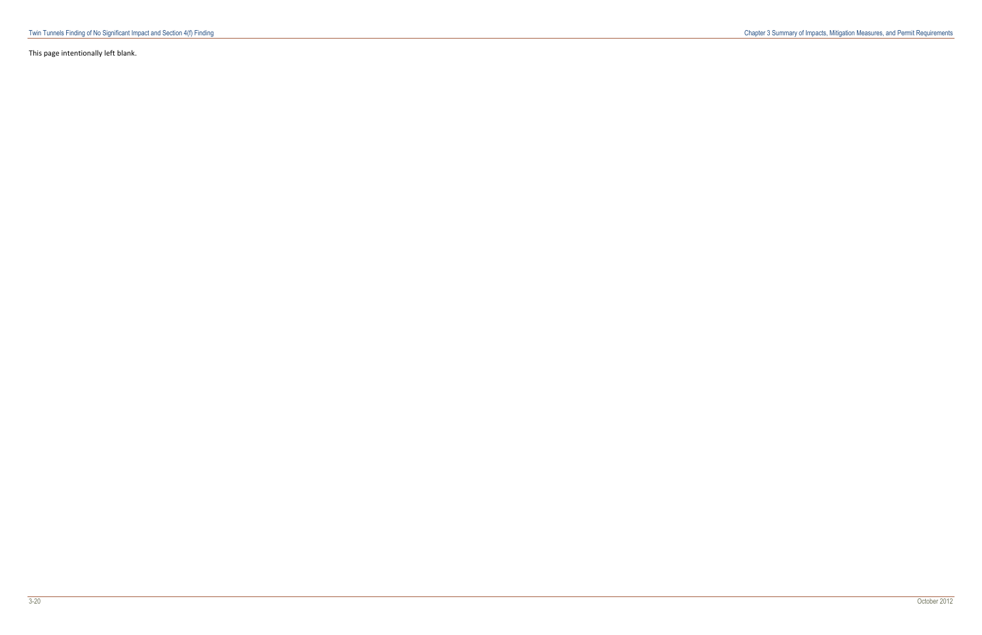This page intentionally left blank.